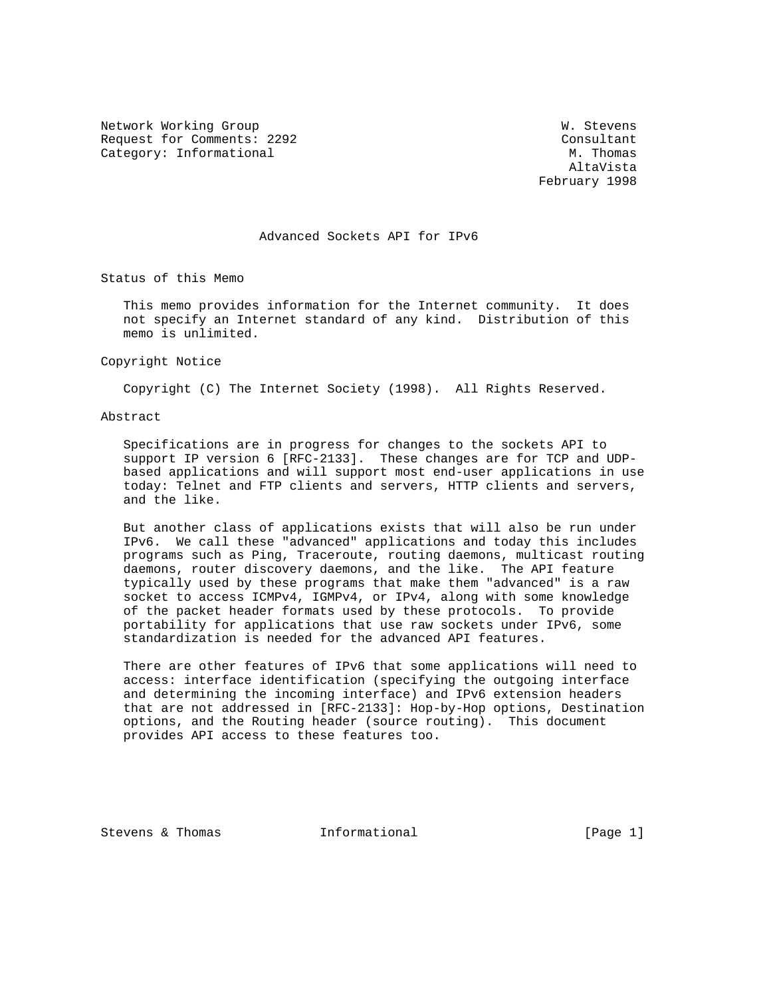Network Working Group W. Stevens Request for Comments: 2292 Consultant Category: Informational

 AltaVista February 1998

#### Advanced Sockets API for IPv6

Status of this Memo

 This memo provides information for the Internet community. It does not specify an Internet standard of any kind. Distribution of this memo is unlimited.

Copyright Notice

Copyright (C) The Internet Society (1998). All Rights Reserved.

Abstract

 Specifications are in progress for changes to the sockets API to support IP version 6 [RFC-2133]. These changes are for TCP and UDP based applications and will support most end-user applications in use today: Telnet and FTP clients and servers, HTTP clients and servers, and the like.

 But another class of applications exists that will also be run under IPv6. We call these "advanced" applications and today this includes programs such as Ping, Traceroute, routing daemons, multicast routing daemons, router discovery daemons, and the like. The API feature typically used by these programs that make them "advanced" is a raw socket to access ICMPv4, IGMPv4, or IPv4, along with some knowledge of the packet header formats used by these protocols. To provide portability for applications that use raw sockets under IPv6, some standardization is needed for the advanced API features.

 There are other features of IPv6 that some applications will need to access: interface identification (specifying the outgoing interface and determining the incoming interface) and IPv6 extension headers that are not addressed in [RFC-2133]: Hop-by-Hop options, Destination options, and the Routing header (source routing). This document provides API access to these features too.

Stevens & Thomas **Informational** [Page 1]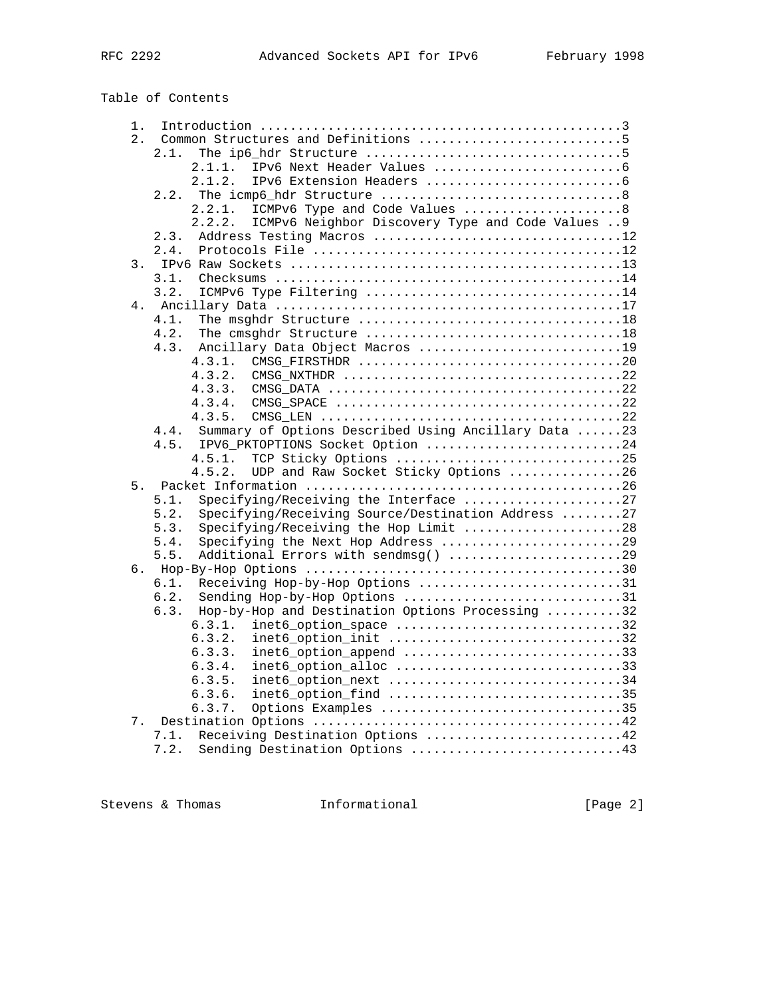Table of Contents

| 1. |                                                              |  |
|----|--------------------------------------------------------------|--|
| 2. | Common Structures and Definitions 5                          |  |
|    | 2.1.                                                         |  |
|    | 2.1.1.                                                       |  |
|    | 2.1.2.                                                       |  |
|    | 2.2.                                                         |  |
|    | ICMPv6 Type and Code Values 8<br>2.2.1.                      |  |
|    | ICMPv6 Neighbor Discovery Type and Code Values  9<br>2.2.2.  |  |
|    | Address Testing Macros 12<br>2.3.                            |  |
|    | 2.4.                                                         |  |
| 3. |                                                              |  |
|    | 3.1.                                                         |  |
|    | 3.2.                                                         |  |
| 4. |                                                              |  |
|    | 4.1.                                                         |  |
|    | 4.2.                                                         |  |
|    | 4.3.<br>Ancillary Data Object Macros 19                      |  |
|    | 4.3.1.                                                       |  |
|    | CMSG NXTHDR 22<br>4.3.2.                                     |  |
|    | 4.3.3.                                                       |  |
|    | 4.3.4.                                                       |  |
|    | 4.3.5.                                                       |  |
|    | Summary of Options Described Using Ancillary Data 23<br>4.4. |  |
|    | IPV6_PKTOPTIONS Socket Option 24<br>4.5.                     |  |
|    | TCP Sticky Options 25<br>4.5.1.                              |  |
|    | UDP and Raw Socket Sticky Options 26<br>4.5.2.               |  |
| 5. |                                                              |  |
|    | Specifying/Receiving the Interface 27<br>5.1.                |  |
|    | Specifying/Receiving Source/Destination Address 27<br>5.2.   |  |
|    | Specifying/Receiving the Hop Limit 28<br>5.3.                |  |
|    | Specifying the Next Hop Address 29<br>5.4.                   |  |
|    | Additional Errors with sendmsg() 29<br>5.5.                  |  |
| б. |                                                              |  |
|    | Receiving Hop-by-Hop Options 31<br>6.1.                      |  |
|    | Sending Hop-by-Hop Options 31<br>6.2.                        |  |
|    | Hop-by-Hop and Destination Options Processing 32<br>6.3.     |  |
|    | 6.3.1.<br>inet6_option_space 32                              |  |
|    | inet6_option_init 32<br>6.3.2.                               |  |
|    | inet6_option_append 33<br>6.3.3.                             |  |
|    | inet6_option_alloc 33<br>6.3.4.                              |  |
|    | inet6_option_next 34<br>6.3.5.                               |  |
|    | inet6_option_find 35<br>6.3.6.                               |  |
|    | 6.3.7.                                                       |  |
| 7. | Options Examples 35                                          |  |
|    | Receiving Destination Options 42<br>7.1.                     |  |
|    | 7.2.                                                         |  |
|    | Sending Destination Options 43                               |  |

Stevens & Thomas **Informational** [Page 2]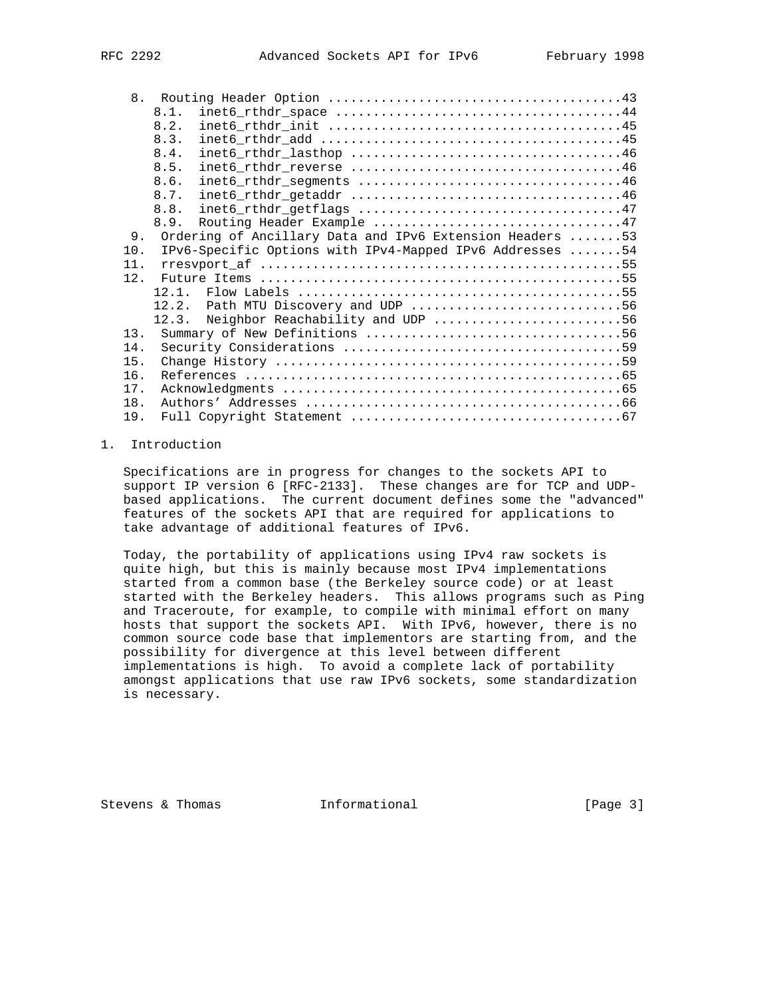| 8.  |                                                          |
|-----|----------------------------------------------------------|
|     | 8.1.                                                     |
|     | 8.2.                                                     |
|     | 8.3.                                                     |
|     | 8.4.                                                     |
|     | 8.5.                                                     |
|     | 8.6.                                                     |
|     | 8.7.                                                     |
|     | 8.8.                                                     |
|     | 8.9.                                                     |
| 9.  | Ordering of Ancillary Data and IPv6 Extension Headers 53 |
| 10. | IPv6-Specific Options with IPv4-Mapped IPv6 Addresses 54 |
| 11. |                                                          |
| 12. |                                                          |
|     | 12.1.                                                    |
|     | Path MTU Discovery and UDP 56<br>12.2.                   |
|     | Neighbor Reachability and UDP 56<br>12.3.                |
| 13. |                                                          |
| 14. |                                                          |
| 15. |                                                          |
| 16. |                                                          |
| 17. |                                                          |
| 18. |                                                          |
| 19. |                                                          |
|     |                                                          |

# 1. Introduction

 Specifications are in progress for changes to the sockets API to support IP version 6 [RFC-2133]. These changes are for TCP and UDP based applications. The current document defines some the "advanced" features of the sockets API that are required for applications to take advantage of additional features of IPv6.

 Today, the portability of applications using IPv4 raw sockets is quite high, but this is mainly because most IPv4 implementations started from a common base (the Berkeley source code) or at least started with the Berkeley headers. This allows programs such as Ping and Traceroute, for example, to compile with minimal effort on many hosts that support the sockets API. With IPv6, however, there is no common source code base that implementors are starting from, and the possibility for divergence at this level between different implementations is high. To avoid a complete lack of portability amongst applications that use raw IPv6 sockets, some standardization is necessary.

Stevens & Thomas **Informational** [Page 3]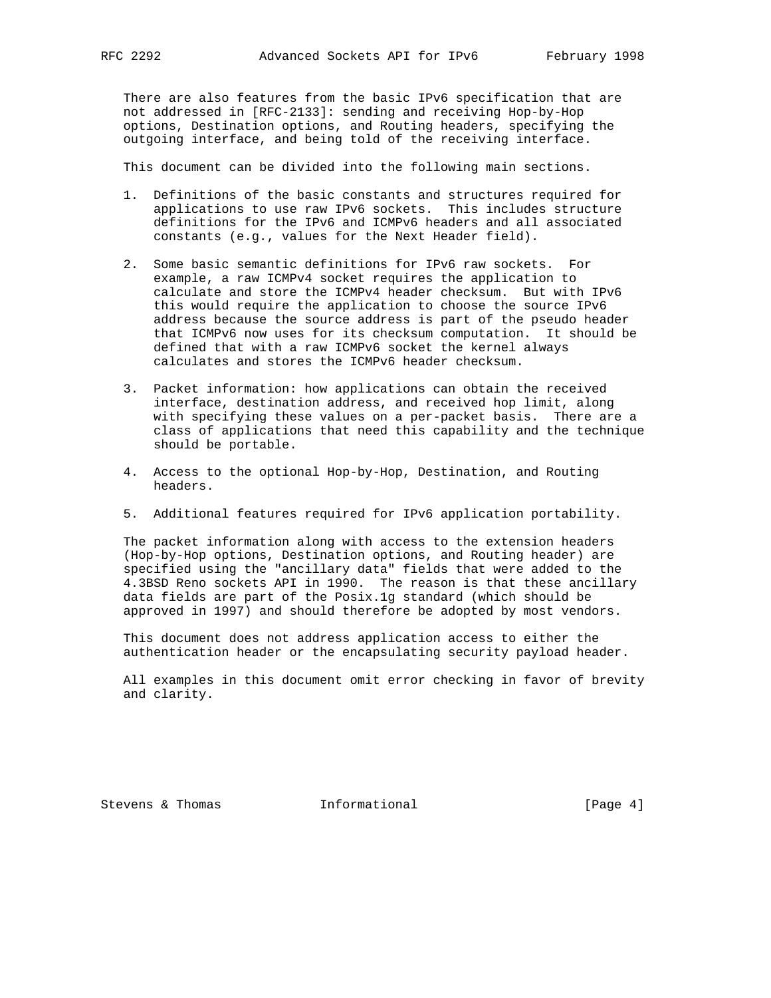There are also features from the basic IPv6 specification that are not addressed in [RFC-2133]: sending and receiving Hop-by-Hop options, Destination options, and Routing headers, specifying the outgoing interface, and being told of the receiving interface.

This document can be divided into the following main sections.

- 1. Definitions of the basic constants and structures required for applications to use raw IPv6 sockets. This includes structure definitions for the IPv6 and ICMPv6 headers and all associated constants (e.g., values for the Next Header field).
- 2. Some basic semantic definitions for IPv6 raw sockets. For example, a raw ICMPv4 socket requires the application to calculate and store the ICMPv4 header checksum. But with IPv6 this would require the application to choose the source IPv6 address because the source address is part of the pseudo header that ICMPv6 now uses for its checksum computation. It should be defined that with a raw ICMPv6 socket the kernel always calculates and stores the ICMPv6 header checksum.
- 3. Packet information: how applications can obtain the received interface, destination address, and received hop limit, along with specifying these values on a per-packet basis. There are a class of applications that need this capability and the technique should be portable.
- 4. Access to the optional Hop-by-Hop, Destination, and Routing headers.
- 5. Additional features required for IPv6 application portability.

 The packet information along with access to the extension headers (Hop-by-Hop options, Destination options, and Routing header) are specified using the "ancillary data" fields that were added to the 4.3BSD Reno sockets API in 1990. The reason is that these ancillary data fields are part of the Posix.1g standard (which should be approved in 1997) and should therefore be adopted by most vendors.

 This document does not address application access to either the authentication header or the encapsulating security payload header.

 All examples in this document omit error checking in favor of brevity and clarity.

Stevens & Thomas **Informational** [Page 4]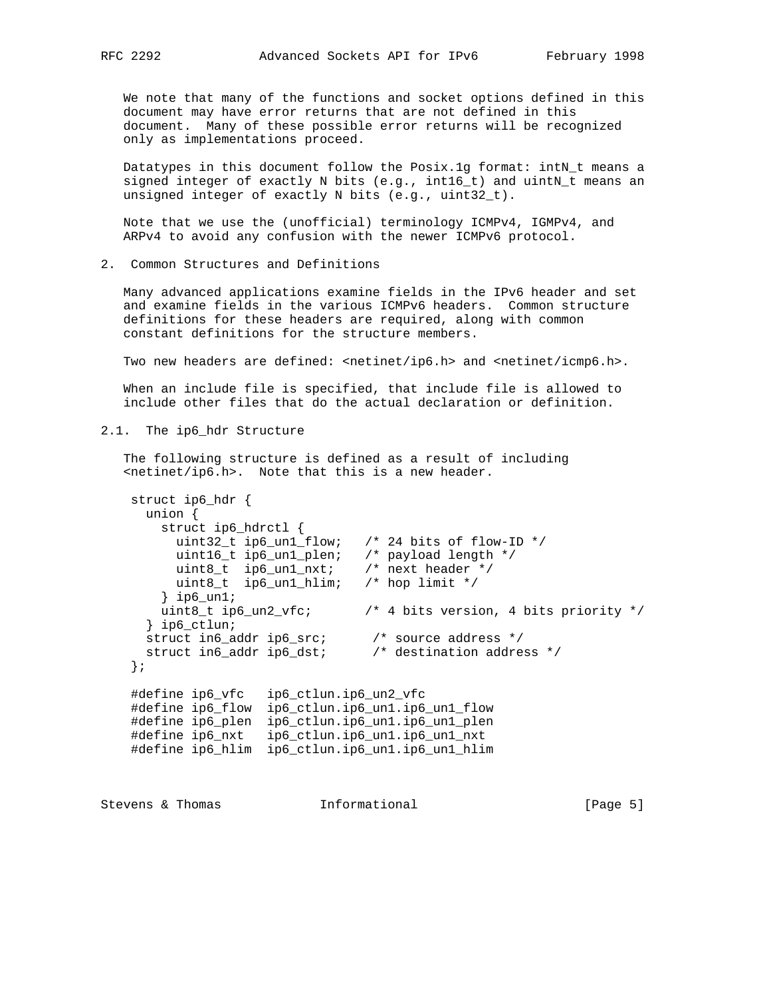We note that many of the functions and socket options defined in this document may have error returns that are not defined in this document. Many of these possible error returns will be recognized only as implementations proceed.

Datatypes in this document follow the Posix.1g format: intN\_t means a signed integer of exactly N bits (e.g., int16\_t) and uintN\_t means an unsigned integer of exactly N bits (e.g., uint32\_t).

 Note that we use the (unofficial) terminology ICMPv4, IGMPv4, and ARPv4 to avoid any confusion with the newer ICMPv6 protocol.

2. Common Structures and Definitions

 Many advanced applications examine fields in the IPv6 header and set and examine fields in the various ICMPv6 headers. Common structure definitions for these headers are required, along with common constant definitions for the structure members.

Two new headers are defined:  $\langle$  netinet/ip6.h> and  $\langle$  netinet/icmp6.h>.

 When an include file is specified, that include file is allowed to include other files that do the actual declaration or definition.

2.1. The ip6\_hdr Structure

 The following structure is defined as a result of including <netinet/ip6.h>. Note that this is a new header.

```
 struct ip6_hdr {
      union {
        struct ip6_hdrctl {
        uint32_t ip6_un1_flow; /* 24 bits of flow-ID */
         uint16_t ip6_un1_plen; /* payload length */
         uint8_t ip6_un1_nxt; /* next header */
         uint8_t ip6_un1_hlim; /* hop limit */
        } ip6_un1;
        uint8_t ip6_un2_vfc; /* 4 bits version, 4 bits priority */
      } ip6_ctlun;
 struct in6_addr ip6_src; /* source address */
 struct in6_addr ip6_dst; /* destination address */
    };
    #define ip6_vfc ip6_ctlun.ip6_un2_vfc
    #define ip6_flow ip6_ctlun.ip6_un1.ip6_un1_flow
    #define ip6_plen ip6_ctlun.ip6_un1.ip6_un1_plen
    #define ip6_nxt ip6_ctlun.ip6_un1.ip6_un1_nxt
    #define ip6_hlim ip6_ctlun.ip6_un1.ip6_un1_hlim
```
Stevens & Thomas **Informational** [Page 5]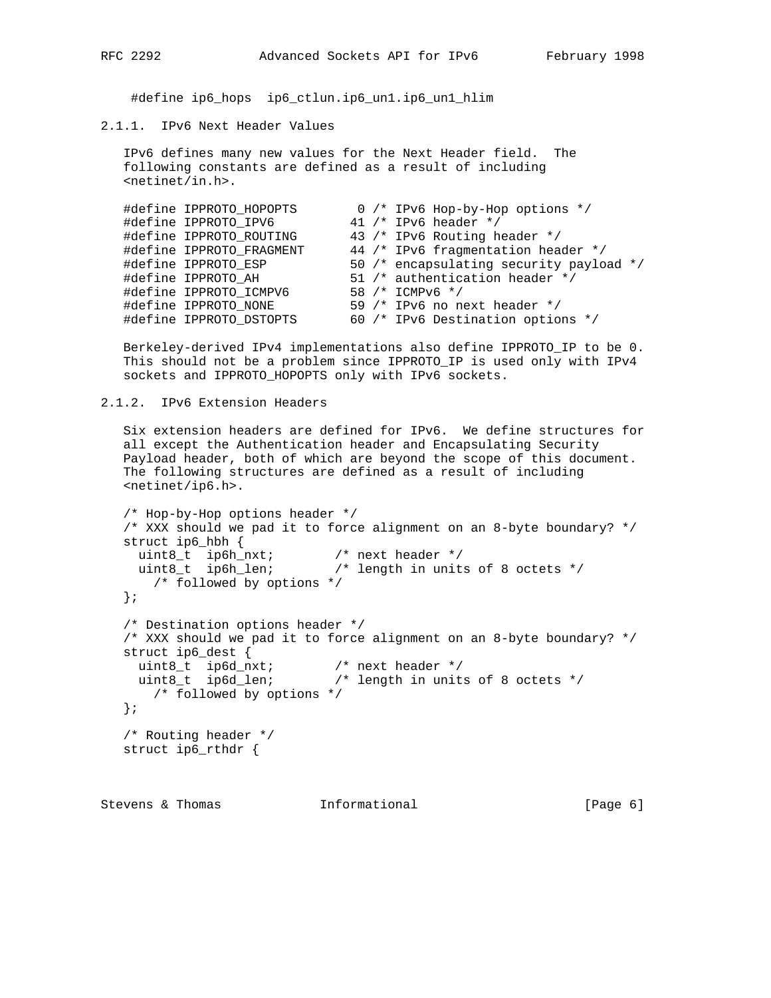#define ip6\_hops ip6\_ctlun.ip6\_un1.ip6\_un1\_hlim

# 2.1.1. IPv6 Next Header Values

 IPv6 defines many new values for the Next Header field. The following constants are defined as a result of including <netinet/in.h>.

| #define IPPROTO_HOPOPTS  |  | 0 /* IPv6 Hop-by-Hop options */         |
|--------------------------|--|-----------------------------------------|
| #define IPPROTO IPV6     |  | 41 /* IPv6 header */                    |
| #define IPPROTO_ROUTING  |  | 43 /* IPv6 Routing header */            |
| #define IPPROTO FRAGMENT |  | 44 /* IPv6 fragmentation header */      |
| #define IPPROTO ESP      |  | 50 /* encapsulating security payload */ |
| #define IPPROTO AH       |  | 51 /* authentication header */          |
| #define IPPROTO ICMPV6   |  | 58 /* ICMPv6 */                         |
| #define IPPROTO NONE     |  | 59 $/*$ IPv6 no next header $*/$        |
| #define IPPROTO DSTOPTS  |  | 60 /* IPv6 Destination options */       |

 Berkeley-derived IPv4 implementations also define IPPROTO\_IP to be 0. This should not be a problem since IPPROTO\_IP is used only with IPv4 sockets and IPPROTO\_HOPOPTS only with IPv6 sockets.

2.1.2. IPv6 Extension Headers

 Six extension headers are defined for IPv6. We define structures for all except the Authentication header and Encapsulating Security Payload header, both of which are beyond the scope of this document. The following structures are defined as a result of including <netinet/ip6.h>.

```
 /* Hop-by-Hop options header */
   /* XXX should we pad it to force alignment on an 8-byte boundary? */
   struct ip6_hbh {
 uint8_t ip6h_nxt; /* next header */
 uint8_t ip6h_len; /* length in units of 8 octets */
      /* followed by options */
   };
   /* Destination options header */
   /* XXX should we pad it to force alignment on an 8-byte boundary? */
   struct ip6_dest {
 uint8_t ip6d_nxt; /* next header */
 uint8_t ip6d_len; /* length in units of 8 octets */
      /* followed by options */
   };
   /* Routing header */
   struct ip6_rthdr {
```
Stevens & Thomas **Informational** [Page 6]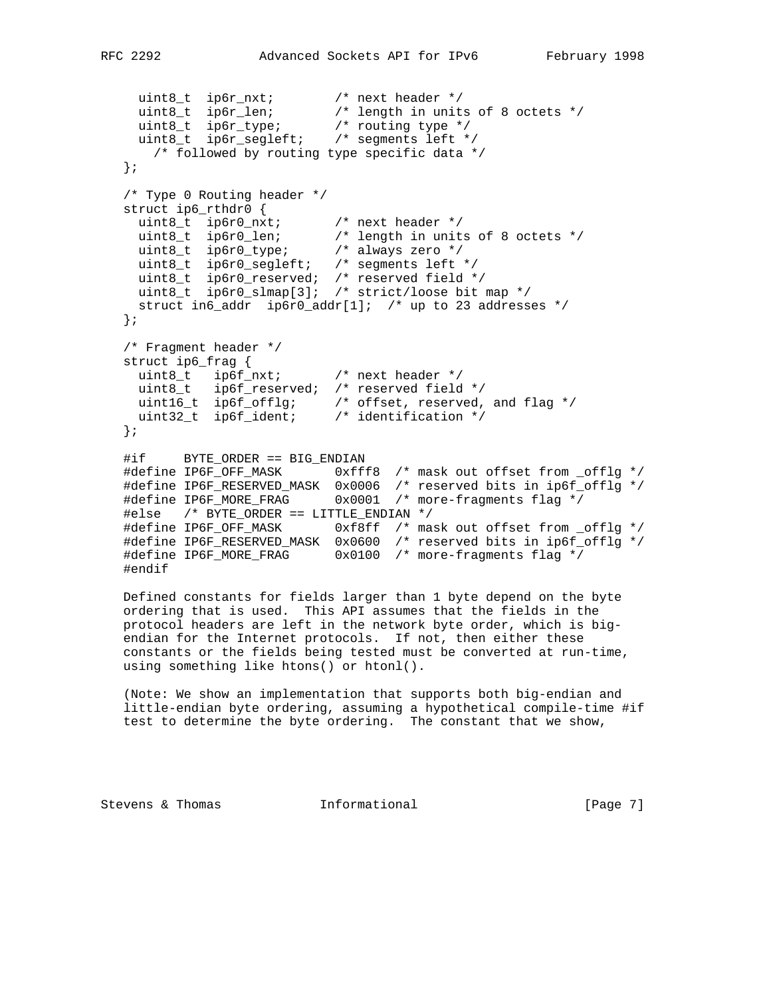```
 uint8_t ip6r_nxt; /* next header */
 uint8_t ip6r_len; /* length in units of 8 octets */
 uint8_t ip6r_type; /* routing type */
 uint8_t ip6r_segleft; /* segments left */
      /* followed by routing type specific data */
   };
   /* Type 0 Routing header */
   struct ip6_rthdr0 {
 uint8_t ip6r0_nxt; /* next header */
 uint8_t ip6r0_len; /* length in units of 8 octets */
 uint8_t ip6r0_type; /* always zero */
 uint8_t ip6r0_segleft; /* segments left */
 uint8_t ip6r0_reserved; /* reserved field */
 uint8_t ip6r0_slmap[3]; /* strict/loose bit map */
     struct in6_addr ip6r0_addr[1]; /* up to 23 addresses */
   };
   /* Fragment header */
   struct ip6_frag {
    uint8_t ip6f_nxt; /* next header */
    uint8_t ip6f_reserved; /* reserved field */
 uint16_t ip6f_offlg; /* offset, reserved, and flag */
 uint32_t ip6f_ident; /* identification */
   };
   #if BYTE_ORDER == BIG_ENDIAN
   #define IP6F_OFF_MASK 0xfff8 /* mask out offset from _offlg */
 #define IP6F_RESERVED_MASK 0x0006 /* reserved bits in ip6f_offlg */
 #define IP6F_MORE_FRAG 0x0001 /* more-fragments flag */
   #else /* BYTE_ORDER == LITTLE_ENDIAN */
   #define IP6F_OFF_MASK 0xf8ff /* mask out offset from _offlg */
   #define IP6F_RESERVED_MASK 0x0600 /* reserved bits in ip6f_offlg */
  #define IP6F MORE FRAG 0x0100 /* more-fragments flag */
   #endif
   Defined constants for fields larger than 1 byte depend on the byte
   ordering that is used. This API assumes that the fields in the
   protocol headers are left in the network byte order, which is big-
   endian for the Internet protocols. If not, then either these
   constants or the fields being tested must be converted at run-time,
   using something like htons() or htonl().
```
 (Note: We show an implementation that supports both big-endian and little-endian byte ordering, assuming a hypothetical compile-time #if test to determine the byte ordering. The constant that we show,

Stevens & Thomas **Informational** [Page 7]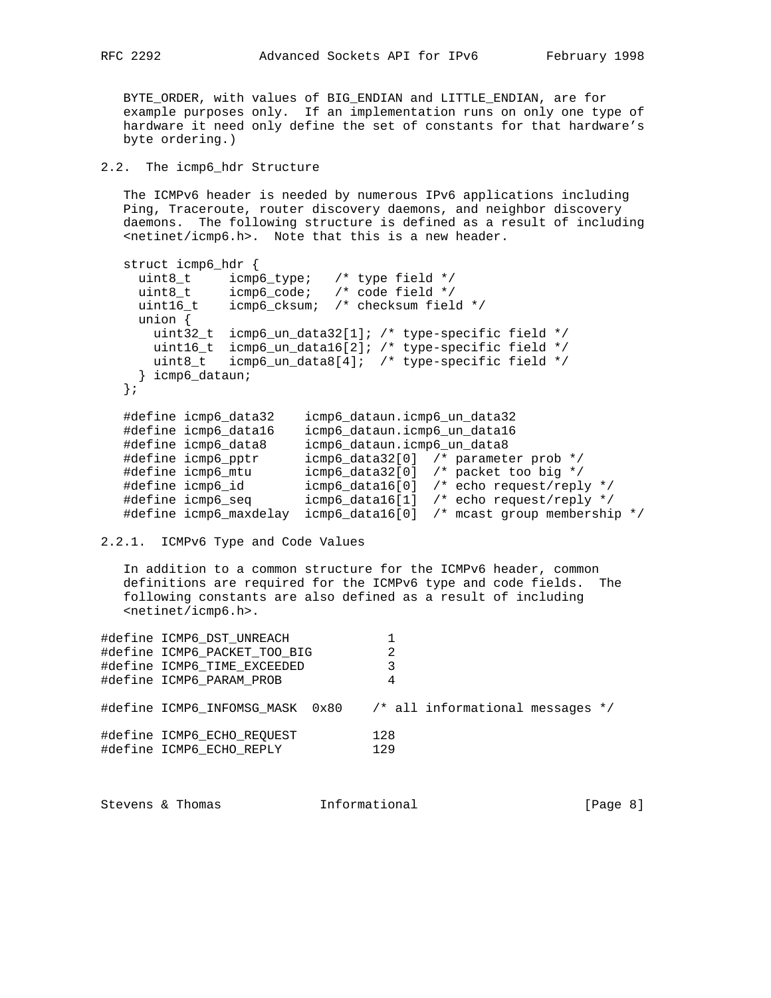BYTE\_ORDER, with values of BIG\_ENDIAN and LITTLE\_ENDIAN, are for example purposes only. If an implementation runs on only one type of hardware it need only define the set of constants for that hardware's byte ordering.)

# 2.2. The icmp6\_hdr Structure

 The ICMPv6 header is needed by numerous IPv6 applications including Ping, Traceroute, router discovery daemons, and neighbor discovery daemons. The following structure is defined as a result of including <netinet/icmp6.h>. Note that this is a new header.

```
 struct icmp6_hdr {
 uint8_t icmp6_type; /* type field */
 uint8_t icmp6_code; /* code field */
 uint16_t icmp6_cksum; /* checksum field */
     union {
      uint32_t icmp6_un_data32[1]; /* type-specific field */
      uint16_t icmp6_un_data16[2]; /* type-specific field */
      uint8_t icmp6_un_data8[4]; /* type-specific field */
     } icmp6_dataun;
   };
 #define icmp6_data32 icmp6_dataun.icmp6_un_data32
 #define icmp6_data16 icmp6_dataun.icmp6_un_data16
 #define icmp6_data8 icmp6_dataun.icmp6_un_data8
 #define icmp6_pptr icmp6_data32[0] /* parameter prob */
 #define icmp6_mtu icmp6_data32[0] /* packet too big */
 #define icmp6_id icmp6_data16[0] /* echo request/reply */
 #define icmp6_seq icmp6_data16[1] /* echo request/reply */
   #define icmp6_maxdelay icmp6_data16[0] /* mcast group membership */
```
2.2.1. ICMPv6 Type and Code Values

 In addition to a common structure for the ICMPv6 header, common definitions are required for the ICMPv6 type and code fields. The following constants are also defined as a result of including <netinet/icmp6.h>.

| #define ICMP6 DST UNREACH<br>#define ICMP6 PACKET TOO BIG<br>#define ICMP6 TIME EXCEEDED<br>#define ICMP6 PARAM PROB | 2<br>3<br>4                                                      |
|----------------------------------------------------------------------------------------------------------------------|------------------------------------------------------------------|
|                                                                                                                      | #define ICMP6 INFOMSG MASK 0x80 /* all informational messages */ |
| #define ICMP6 ECHO REOUEST<br>#define ICMP6 ECHO REPLY                                                               | 128<br>129                                                       |

| [Page 8]<br>Informational<br>Stevens & Thomas |  |  |  |  |
|-----------------------------------------------|--|--|--|--|
|-----------------------------------------------|--|--|--|--|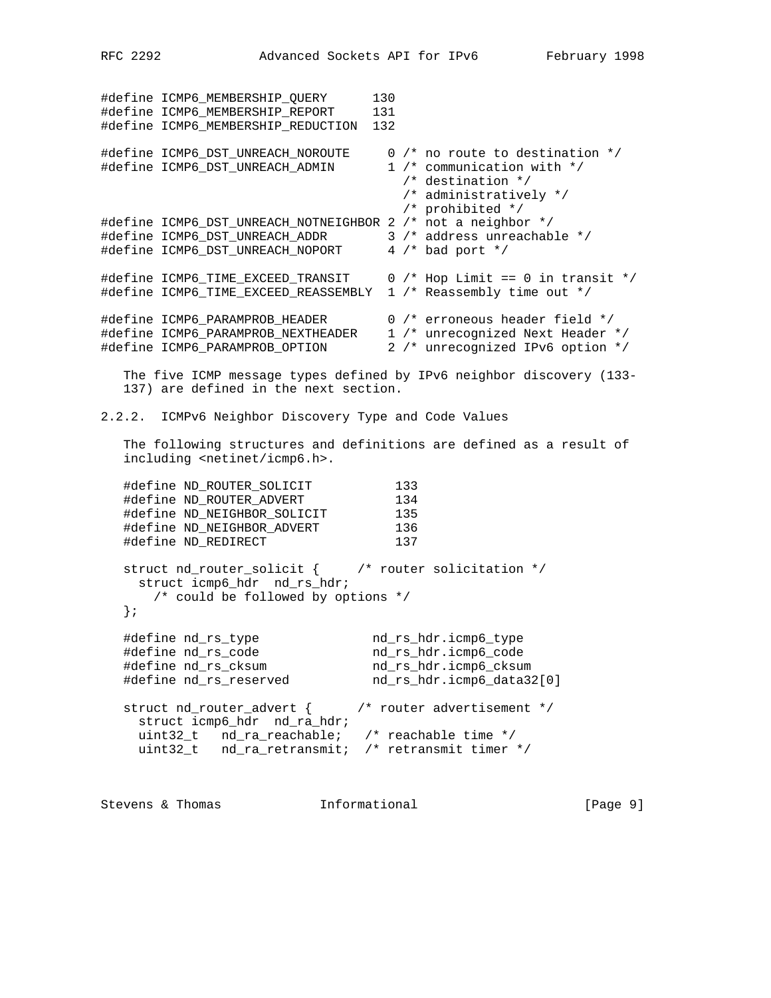#define ICMP6\_MEMBERSHIP\_QUERY 130 #define ICMP6\_MEMBERSHIP\_REPORT 131 #define ICMP6\_MEMBERSHIP\_REDUCTION 132 #define ICMP6\_DST\_UNREACH\_NOROUTE 0 /\* no route to destination \*/ #define ICMP6\_DST\_UNREACH\_ADMIN 1 /\* communication with \*/ /\* destination \*/ /\* administratively \*/ /\* prohibited \*/ #define ICMP6\_DST\_UNREACH\_NOTNEIGHBOR 2 /\* not a neighbor \*/ #define ICMP6\_DST\_UNREACH\_ADDR 3 /\* address unreachable \*/ #define ICMP6\_DST\_UNREACH\_NOPORT 4 /\* bad port \*/ #define ICMP6\_TIME\_EXCEED\_TRANSIT 0 /\* Hop Limit == 0 in transit \*/ #define ICMP6\_TIME\_EXCEED\_REASSEMBLY 1 /\* Reassembly time out \*/ #define ICMP6\_PARAMPROB\_HEADER 0 /\* erroneous header field \*/ #define ICMP6\_PARAMPROB\_NEXTHEADER 1 /\* unrecognized Next Header \*/ #define ICMP6\_PARAMPROB\_OPTION 2 /\* unrecognized IPv6 option \*/ The five ICMP message types defined by IPv6 neighbor discovery (133- 137) are defined in the next section. 2.2.2. ICMPv6 Neighbor Discovery Type and Code Values The following structures and definitions are defined as a result of including <netinet/icmp6.h>. #define ND\_ROUTER\_SOLICIT 133 #define ND\_ROUTER\_ADVERT 134 #define ND\_NEIGHBOR\_SOLICIT 135 #define ND\_NEIGHBOR\_ADVERT 136 #define ND\_REDIRECT 137 struct nd\_router\_solicit {  $\qquad$  /\* router solicitation \*/ struct icmp6\_hdr nd\_rs\_hdr; /\* could be followed by options \*/ }; #define nd\_rs\_type nd\_rs\_hdr.icmp6\_type #define nd\_rs\_code nd\_rs\_hdr.icmp6\_code #define nd\_rs\_cksum nd\_rs\_hdr.icmp6\_cksum #define nd\_rs\_reserved nd\_rs\_hdr.icmp6\_data32[0] struct nd\_router\_advert { /\* router advertisement \*/ struct icmp6\_hdr nd\_ra\_hdr; uint32\_t nd\_ra\_reachable; /\* reachable time \*/ uint32\_t nd\_ra\_retransmit; /\* retransmit timer \*/

Stevens & Thomas **Informational** [Page 9]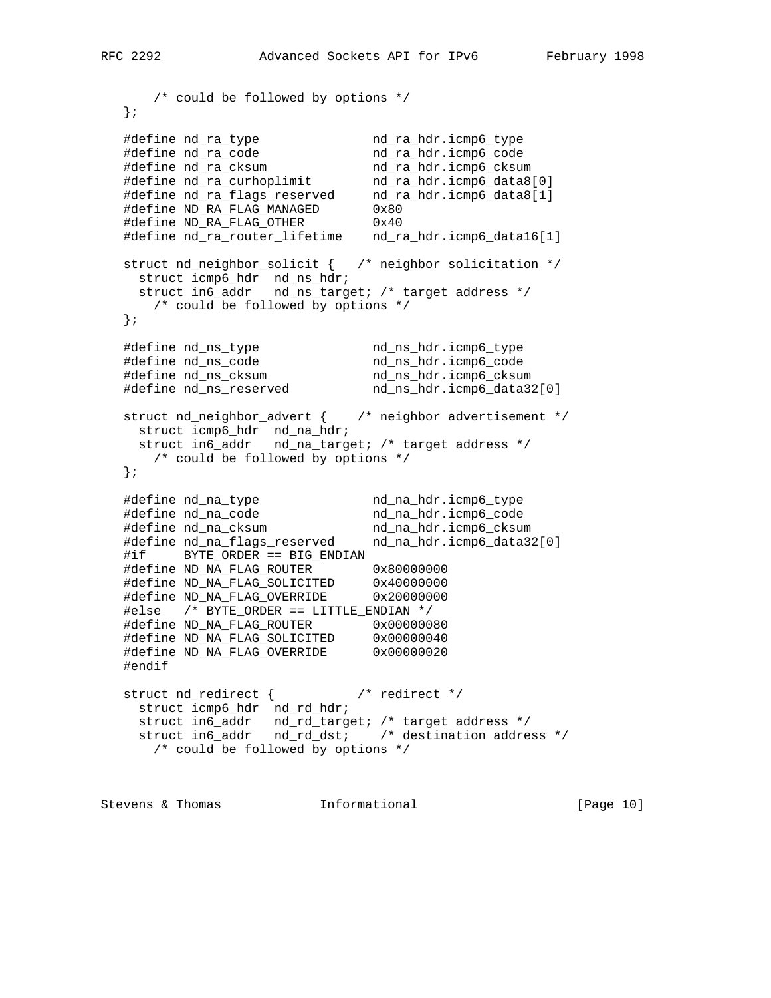```
 /* could be followed by options */
   };
 #define nd_ra_type nd_ra_hdr.icmp6_type
 #define nd_ra_code nd_ra_hdr.icmp6_code
 #define nd_ra_cksum nd_ra_hdr.icmp6_cksum
 #define nd_ra_curhoplimit nd_ra_hdr.icmp6_data8[0]
 #define nd_ra_flags_reserved nd_ra_hdr.icmp6_data8[1]
 #define ND_RA_FLAG_MANAGED 0x80
 #define ND_RA_FLAG_OTHER 0x40
   #define nd_ra_router_lifetime nd_ra_hdr.icmp6_data16[1]
   struct nd_neighbor_solicit { /* neighbor solicitation */
 struct icmp6_hdr nd_ns_hdr;
 struct in6_addr nd_ns_target; /* target address */
      /* could be followed by options */
   };
 #define nd_ns_type nd_ns_hdr.icmp6_type
 #define nd_ns_code nd_ns_hdr.icmp6_code
 #define nd_ns_cksum nd_ns_hdr.icmp6_cksum
 #define nd_ns_reserved nd_ns_hdr.icmp6_data32[0]
   struct nd_neighbor_advert { /* neighbor advertisement */
    struct icmp6_hdr nd_na_hdr;
    struct in6_addr nd_na_target; /* target address */
      /* could be followed by options */
   };
 #define nd_na_type nd_na_hdr.icmp6_type
 #define nd_na_code nd_na_hdr.icmp6_code
 #define nd_na_cksum nd_na_hdr.icmp6_cksum
 #define nd_na_flags_reserved nd_na_hdr.icmp6_data32[0]
   #if BYTE_ORDER == BIG_ENDIAN
 #define ND_NA_FLAG_ROUTER 0x80000000
 #define ND_NA_FLAG_SOLICITED 0x40000000
 #define ND_NA_FLAG_OVERRIDE 0x20000000
   #else /* BYTE_ORDER == LITTLE_ENDIAN */
 #define ND_NA_FLAG_ROUTER 0x00000080
 #define ND_NA_FLAG_SOLICITED 0x00000040
 #define ND_NA_FLAG_OVERRIDE 0x00000020
   #endif
   struct nd_redirect { /* redirect */
    struct icmp6_hdr nd_rd_hdr;
    struct in6_addr nd_rd_target; /* target address */
    struct in6_addr nd_rd_dst; /* destination address */
      /* could be followed by options */
```
Stevens & Thomas **Informational** [Page 10]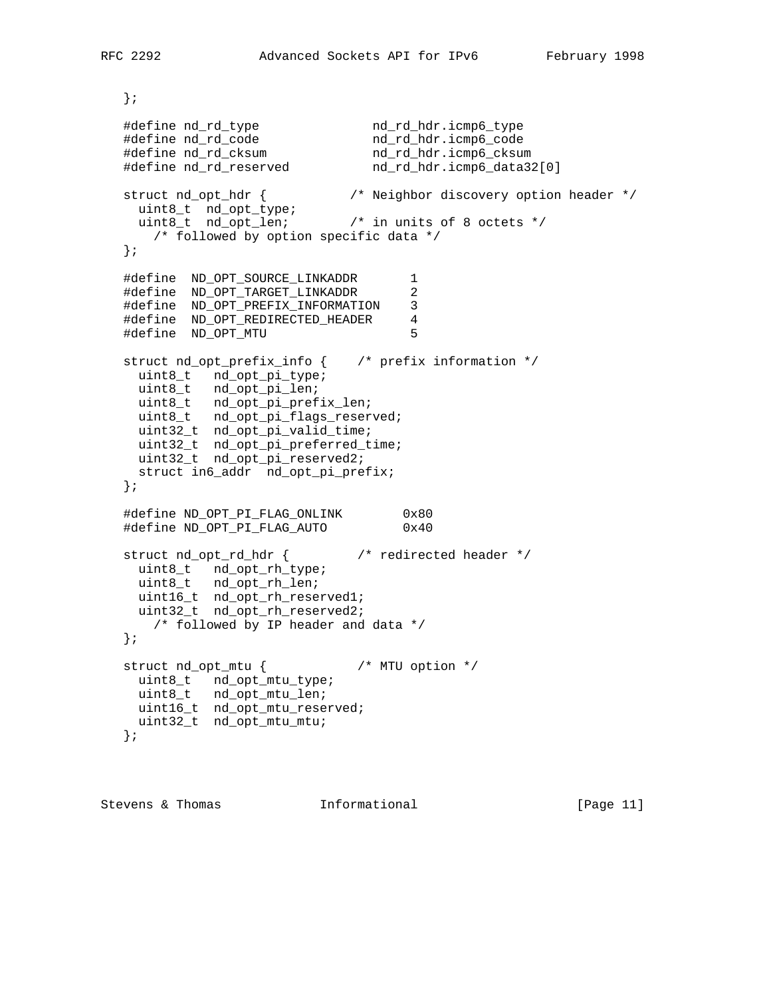```
 };
 #define nd_rd_type nd_rd_hdr.icmp6_type
 #define nd_rd_code nd_rd_hdr.icmp6_code
 #define nd_rd_cksum nd_rd_hdr.icmp6_cksum
 #define nd_rd_reserved nd_rd_hdr.icmp6_data32[0]
   struct nd_opt_hdr { /* Neighbor discovery option header */
 uint8_t nd_opt_type;
 uint8_t nd_opt_len; /* in units of 8 octets */
      /* followed by option specific data */
   };
   #define ND_OPT_SOURCE_LINKADDR 1
   #define ND_OPT_TARGET_LINKADDR 2
   #define ND_OPT_PREFIX_INFORMATION 3
   #define ND_OPT_REDIRECTED_HEADER 4
   #define ND_OPT_MTU 5
   struct nd_opt_prefix_info { /* prefix information */
    uint8_t nd_opt_pi_type;
    uint8_t nd_opt_pi_len;
    uint8_t nd_opt_pi_prefix_len;
    uint8_t nd_opt_pi_flags_reserved;
    uint32_t nd_opt_pi_valid_time;
 uint32_t nd_opt_pi_preferred_time;
 uint32_t nd_opt_pi_reserved2;
    struct in6_addr nd_opt_pi_prefix;
   };
   #define ND_OPT_PI_FLAG_ONLINK 0x80
   #define ND_OPT_PI_FLAG_AUTO 0x40
   struct nd_opt_rd_hdr { /* redirected header */
    uint8_t nd_opt_rh_type;
    uint8_t nd_opt_rh_len;
    uint16_t nd_opt_rh_reserved1;
    uint32_t nd_opt_rh_reserved2;
      /* followed by IP header and data */
   };
   struct nd_opt_mtu { /* MTU option */
    uint8_t nd_opt_mtu_type;
    uint8_t nd_opt_mtu_len;
    uint16_t nd_opt_mtu_reserved;
    uint32_t nd_opt_mtu_mtu;
   };
```
Stevens & Thomas **Informational** [Page 11]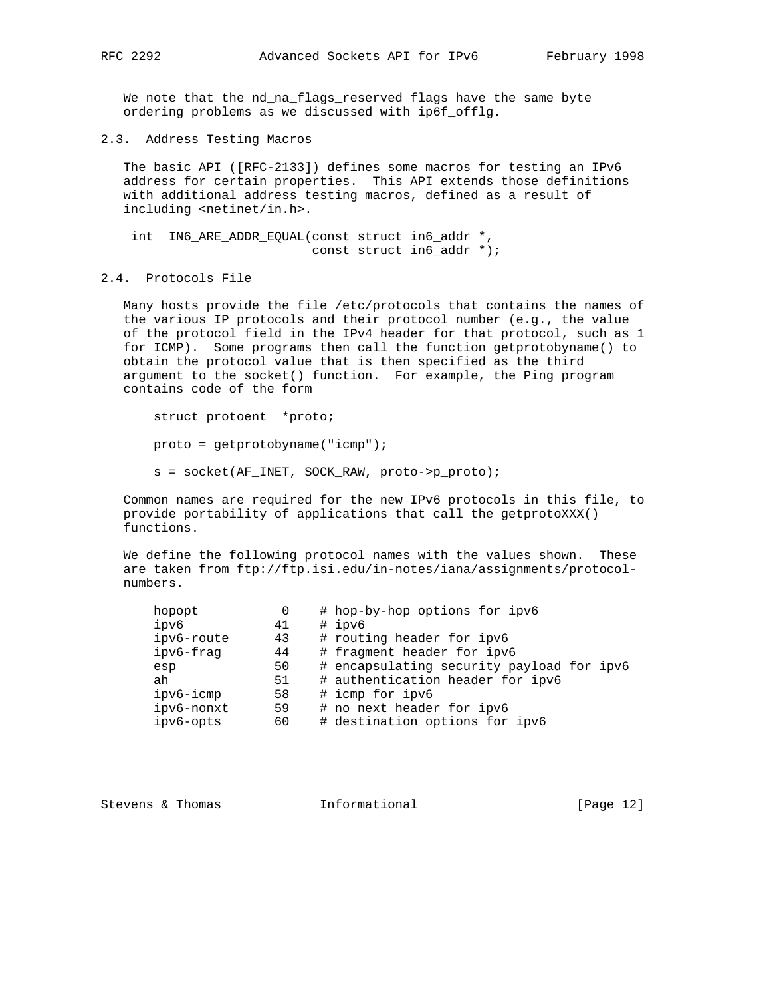We note that the nd\_na\_flags\_reserved flags have the same byte ordering problems as we discussed with ip6f\_offlg.

2.3. Address Testing Macros

 The basic API ([RFC-2133]) defines some macros for testing an IPv6 address for certain properties. This API extends those definitions with additional address testing macros, defined as a result of including <netinet/in.h>.

 int IN6\_ARE\_ADDR\_EQUAL(const struct in6\_addr \*, const struct in6\_addr \*);

# 2.4. Protocols File

 Many hosts provide the file /etc/protocols that contains the names of the various IP protocols and their protocol number (e.g., the value of the protocol field in the IPv4 header for that protocol, such as 1 for ICMP). Some programs then call the function getprotobyname() to obtain the protocol value that is then specified as the third argument to the socket() function. For example, the Ping program contains code of the form

 struct protoent \*proto; proto = getprotobyname("icmp"); s = socket(AF\_INET, SOCK\_RAW, proto->p\_proto);

 Common names are required for the new IPv6 protocols in this file, to provide portability of applications that call the getprotoXXX() functions.

 We define the following protocol names with the values shown. These are taken from ftp://ftp.isi.edu/in-notes/iana/assignments/protocol numbers.

| hopopt     | 0  | # hop-by-hop options for ipv6             |
|------------|----|-------------------------------------------|
| ipv6       | 41 | # ipv6                                    |
| ipv6-route | 43 | # routing header for ipv6                 |
| ipv6-fraq  | 44 | # fragment header for ipv6                |
| esp        | 50 | # encapsulating security payload for ipv6 |
| ah         | 51 | # authentication header for ipv6          |
| ipv6-icmp  | 58 | # icmp for ipv6                           |
| ipv6-nonxt | 59 | # no next header for ipv6                 |
| ipv6-opts  | 60 | # destination options for ipv6            |
|            |    |                                           |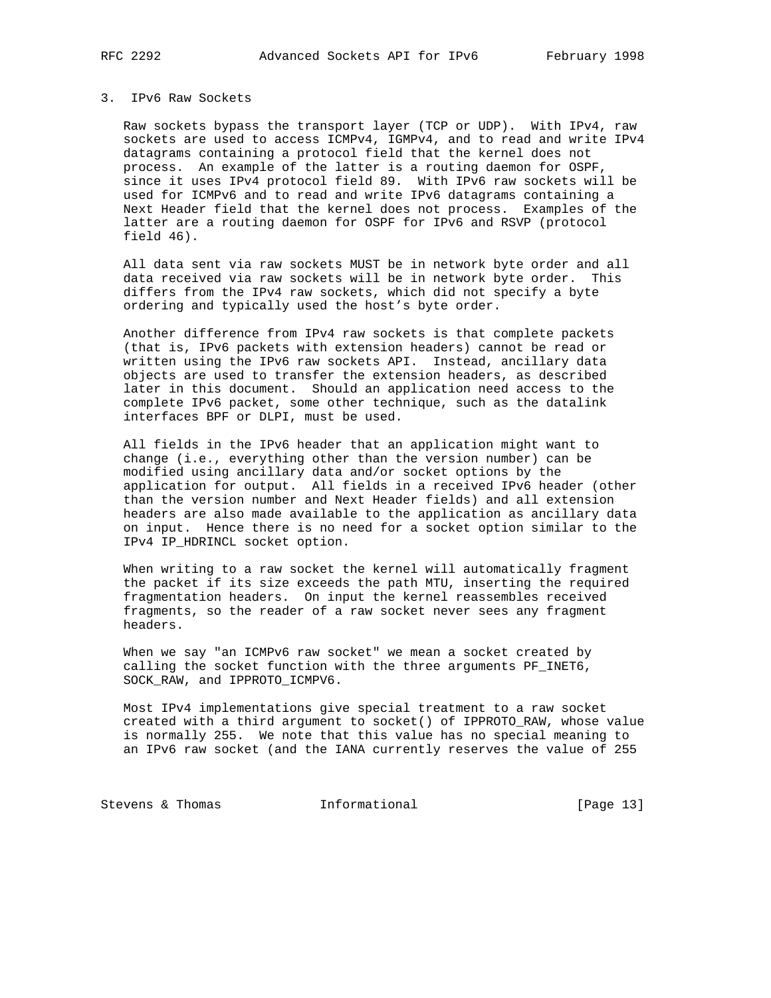# 3. IPv6 Raw Sockets

 Raw sockets bypass the transport layer (TCP or UDP). With IPv4, raw sockets are used to access ICMPv4, IGMPv4, and to read and write IPv4 datagrams containing a protocol field that the kernel does not process. An example of the latter is a routing daemon for OSPF, since it uses IPv4 protocol field 89. With IPv6 raw sockets will be used for ICMPv6 and to read and write IPv6 datagrams containing a Next Header field that the kernel does not process. Examples of the latter are a routing daemon for OSPF for IPv6 and RSVP (protocol field 46).

 All data sent via raw sockets MUST be in network byte order and all data received via raw sockets will be in network byte order. This differs from the IPv4 raw sockets, which did not specify a byte ordering and typically used the host's byte order.

 Another difference from IPv4 raw sockets is that complete packets (that is, IPv6 packets with extension headers) cannot be read or written using the IPv6 raw sockets API. Instead, ancillary data objects are used to transfer the extension headers, as described later in this document. Should an application need access to the complete IPv6 packet, some other technique, such as the datalink interfaces BPF or DLPI, must be used.

 All fields in the IPv6 header that an application might want to change (i.e., everything other than the version number) can be modified using ancillary data and/or socket options by the application for output. All fields in a received IPv6 header (other than the version number and Next Header fields) and all extension headers are also made available to the application as ancillary data on input. Hence there is no need for a socket option similar to the IPv4 IP\_HDRINCL socket option.

 When writing to a raw socket the kernel will automatically fragment the packet if its size exceeds the path MTU, inserting the required fragmentation headers. On input the kernel reassembles received fragments, so the reader of a raw socket never sees any fragment headers.

 When we say "an ICMPv6 raw socket" we mean a socket created by calling the socket function with the three arguments PF\_INET6, SOCK\_RAW, and IPPROTO\_ICMPV6.

 Most IPv4 implementations give special treatment to a raw socket created with a third argument to socket() of IPPROTO\_RAW, whose value is normally 255. We note that this value has no special meaning to an IPv6 raw socket (and the IANA currently reserves the value of 255

Stevens & Thomas 1nformational [Page 13]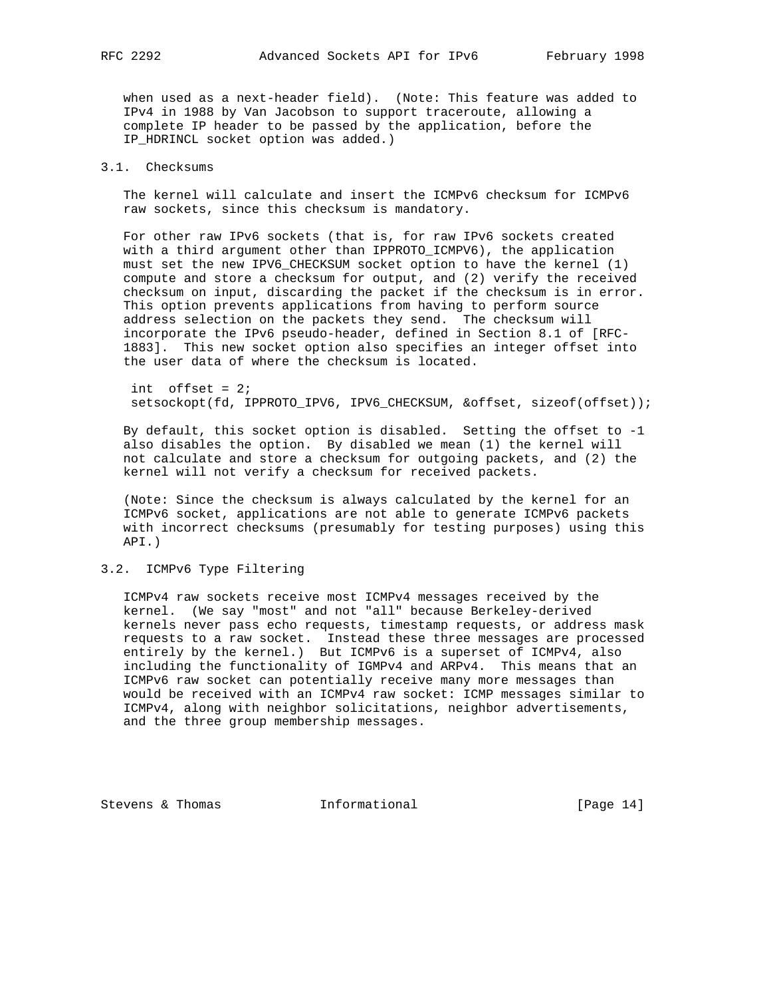when used as a next-header field). (Note: This feature was added to IPv4 in 1988 by Van Jacobson to support traceroute, allowing a complete IP header to be passed by the application, before the IP HDRINCL socket option was added.)

# 3.1. Checksums

 The kernel will calculate and insert the ICMPv6 checksum for ICMPv6 raw sockets, since this checksum is mandatory.

 For other raw IPv6 sockets (that is, for raw IPv6 sockets created with a third argument other than IPPROTO\_ICMPV6), the application must set the new IPV6\_CHECKSUM socket option to have the kernel (1) compute and store a checksum for output, and (2) verify the received checksum on input, discarding the packet if the checksum is in error. This option prevents applications from having to perform source address selection on the packets they send. The checksum will incorporate the IPv6 pseudo-header, defined in Section 8.1 of [RFC- 1883]. This new socket option also specifies an integer offset into the user data of where the checksum is located.

 int offset = 2; setsockopt(fd, IPPROTO\_IPV6, IPV6\_CHECKSUM, &offset, sizeof(offset));

 By default, this socket option is disabled. Setting the offset to -1 also disables the option. By disabled we mean (1) the kernel will not calculate and store a checksum for outgoing packets, and (2) the kernel will not verify a checksum for received packets.

 (Note: Since the checksum is always calculated by the kernel for an ICMPv6 socket, applications are not able to generate ICMPv6 packets with incorrect checksums (presumably for testing purposes) using this API.)

# 3.2. ICMPv6 Type Filtering

 ICMPv4 raw sockets receive most ICMPv4 messages received by the kernel. (We say "most" and not "all" because Berkeley-derived kernels never pass echo requests, timestamp requests, or address mask requests to a raw socket. Instead these three messages are processed entirely by the kernel.) But ICMPv6 is a superset of ICMPv4, also including the functionality of IGMPv4 and ARPv4. This means that an ICMPv6 raw socket can potentially receive many more messages than would be received with an ICMPv4 raw socket: ICMP messages similar to ICMPv4, along with neighbor solicitations, neighbor advertisements, and the three group membership messages.

Stevens & Thomas **Informational** [Page 14]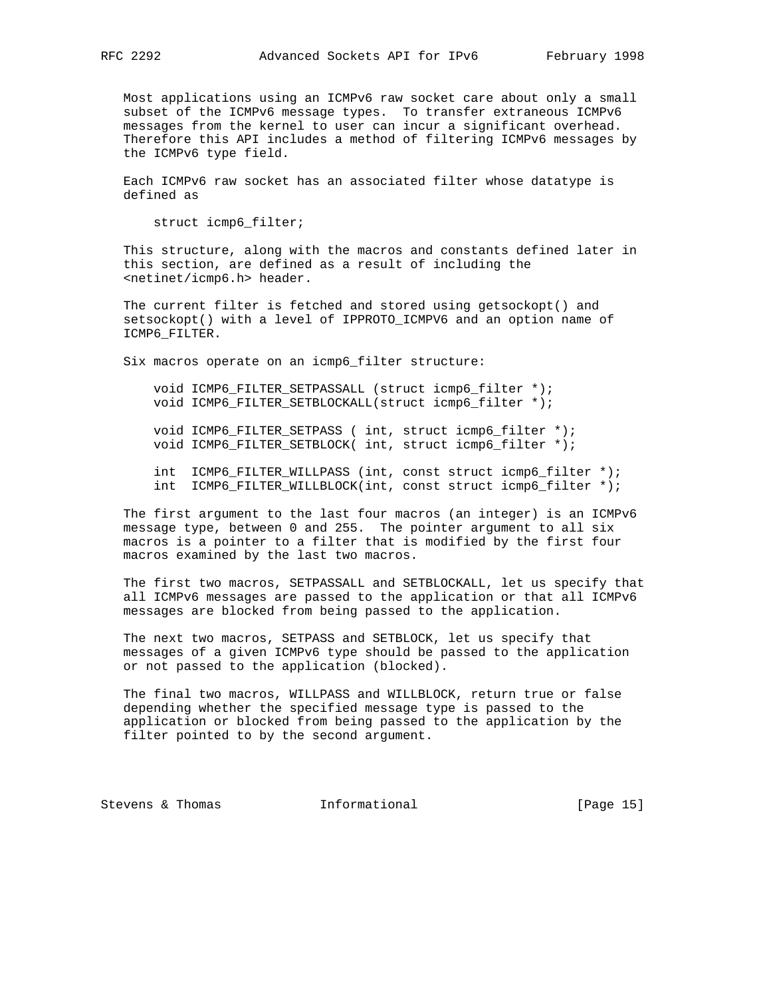Most applications using an ICMPv6 raw socket care about only a small subset of the ICMPv6 message types. To transfer extraneous ICMPv6 messages from the kernel to user can incur a significant overhead. Therefore this API includes a method of filtering ICMPv6 messages by the ICMPv6 type field.

 Each ICMPv6 raw socket has an associated filter whose datatype is defined as

struct icmp6\_filter;

 This structure, along with the macros and constants defined later in this section, are defined as a result of including the <netinet/icmp6.h> header.

 The current filter is fetched and stored using getsockopt() and setsockopt() with a level of IPPROTO\_ICMPV6 and an option name of ICMP6\_FILTER.

Six macros operate on an icmp6\_filter structure:

 void ICMP6\_FILTER\_SETPASSALL (struct icmp6\_filter \*); void ICMP6\_FILTER\_SETBLOCKALL(struct icmp6\_filter \*);

 void ICMP6\_FILTER\_SETPASS ( int, struct icmp6\_filter \*); void ICMP6\_FILTER\_SETBLOCK( int, struct icmp6\_filter \*);

 int ICMP6\_FILTER\_WILLPASS (int, const struct icmp6\_filter \*); int ICMP6\_FILTER\_WILLBLOCK(int, const struct icmp6\_filter \*);

 The first argument to the last four macros (an integer) is an ICMPv6 message type, between 0 and 255. The pointer argument to all six macros is a pointer to a filter that is modified by the first four macros examined by the last two macros.

 The first two macros, SETPASSALL and SETBLOCKALL, let us specify that all ICMPv6 messages are passed to the application or that all ICMPv6 messages are blocked from being passed to the application.

 The next two macros, SETPASS and SETBLOCK, let us specify that messages of a given ICMPv6 type should be passed to the application or not passed to the application (blocked).

 The final two macros, WILLPASS and WILLBLOCK, return true or false depending whether the specified message type is passed to the application or blocked from being passed to the application by the filter pointed to by the second argument.

Stevens & Thomas **Informational** [Page 15]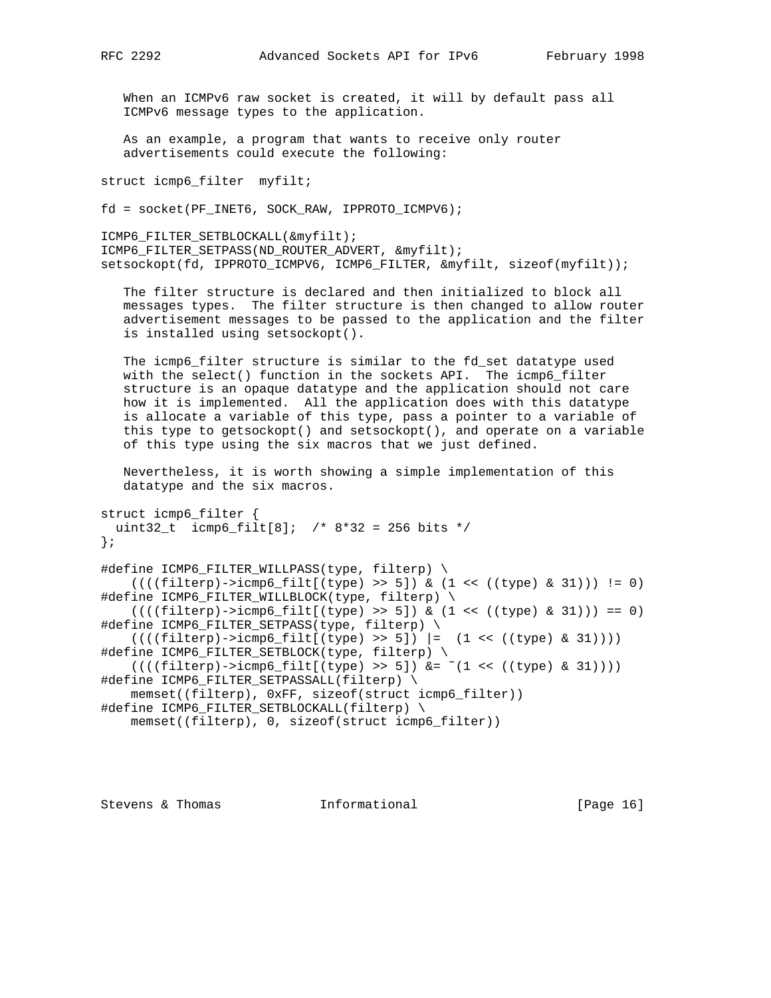When an ICMPv6 raw socket is created, it will by default pass all ICMPv6 message types to the application.

 As an example, a program that wants to receive only router advertisements could execute the following:

struct icmp6\_filter myfilt;

fd = socket(PF\_INET6, SOCK\_RAW, IPPROTO\_ICMPV6);

ICMP6\_FILTER\_SETBLOCKALL(&myfilt); ICMP6\_FILTER\_SETPASS(ND\_ROUTER\_ADVERT, &myfilt); setsockopt(fd, IPPROTO\_ICMPV6, ICMP6\_FILTER, &myfilt, sizeof(myfilt));

 The filter structure is declared and then initialized to block all messages types. The filter structure is then changed to allow router advertisement messages to be passed to the application and the filter is installed using setsockopt().

 The icmp6\_filter structure is similar to the fd\_set datatype used with the select() function in the sockets API. The icmp6\_filter structure is an opaque datatype and the application should not care how it is implemented. All the application does with this datatype is allocate a variable of this type, pass a pointer to a variable of this type to getsockopt() and setsockopt(), and operate on a variable of this type using the six macros that we just defined.

 Nevertheless, it is worth showing a simple implementation of this datatype and the six macros.

```
struct icmp6_filter {
 uint32_t icmp6_filt[8]; /* 8*32 = 256 bits */};
```

```
#define ICMP6_FILTER_WILLPASS(type, filterp) \
   ((((filter)->icmp6_filt[(type) >> 5]) & (1 << ((type) & 31))) := 0)#define ICMP6_FILTER_WILLBLOCK(type, filterp) \
    ((((filter)->icmp6_filt[(type) >> 5]) & (1 << ((type) & 31))) == 0)#define ICMP6_FILTER_SETPASS(type, filterp) \
   ((((filter)->icmp6_filt[(type) >> 5]) |= (1 << ((type) & 31))))#define ICMP6_FILTER_SETBLOCK(type, filterp) \
   ((((filter)->icmp6_filt[(type)>>5]) &= ^(1 << ((type) &31))))#define ICMP6_FILTER_SETPASSALL(filterp) \
    memset((filterp), 0xFF, sizeof(struct icmp6_filter))
#define ICMP6_FILTER_SETBLOCKALL(filterp) \
    memset((filterp), 0, sizeof(struct icmp6_filter))
```
Stevens & Thomas **Informational** [Page 16]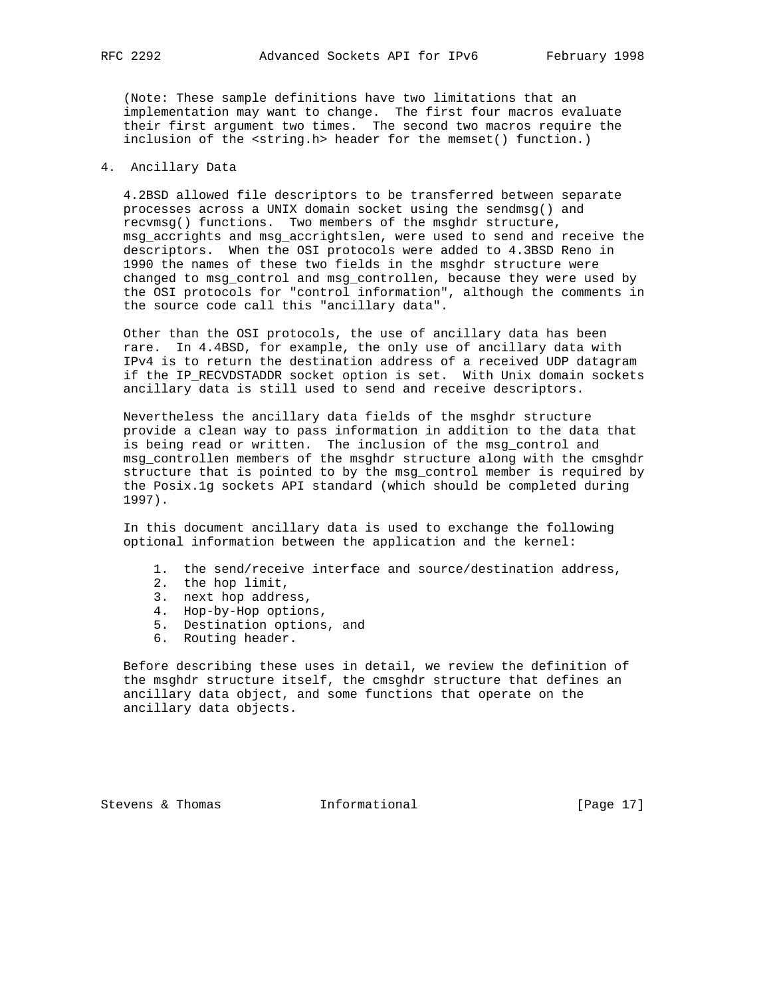(Note: These sample definitions have two limitations that an implementation may want to change. The first four macros evaluate their first argument two times. The second two macros require the inclusion of the <string.h> header for the memset() function.)

# 4. Ancillary Data

 4.2BSD allowed file descriptors to be transferred between separate processes across a UNIX domain socket using the sendmsg() and recvmsg() functions. Two members of the msghdr structure, msg\_accrights and msg\_accrightslen, were used to send and receive the descriptors. When the OSI protocols were added to 4.3BSD Reno in 1990 the names of these two fields in the msghdr structure were changed to msg\_control and msg\_controllen, because they were used by the OSI protocols for "control information", although the comments in the source code call this "ancillary data".

 Other than the OSI protocols, the use of ancillary data has been rare. In 4.4BSD, for example, the only use of ancillary data with IPv4 is to return the destination address of a received UDP datagram if the IP\_RECVDSTADDR socket option is set. With Unix domain sockets ancillary data is still used to send and receive descriptors.

 Nevertheless the ancillary data fields of the msghdr structure provide a clean way to pass information in addition to the data that is being read or written. The inclusion of the msg\_control and msg\_controllen members of the msghdr structure along with the cmsghdr structure that is pointed to by the msg\_control member is required by the Posix.1g sockets API standard (which should be completed during 1997).

 In this document ancillary data is used to exchange the following optional information between the application and the kernel:

- 1. the send/receive interface and source/destination address,
- 2. the hop limit,
- 3. next hop address,
- 4. Hop-by-Hop options,
- 5. Destination options, and
	- 6. Routing header.

 Before describing these uses in detail, we review the definition of the msghdr structure itself, the cmsghdr structure that defines an ancillary data object, and some functions that operate on the ancillary data objects.

Stevens & Thomas **Informational** [Page 17]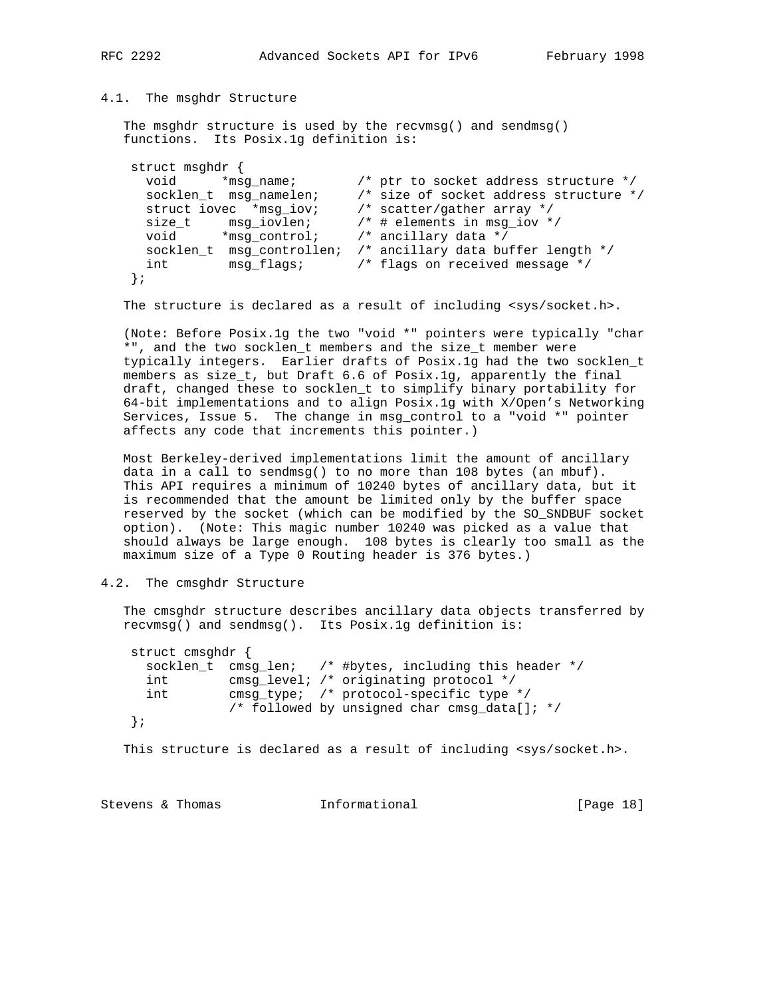# 4.1. The msghdr Structure

 The msghdr structure is used by the recvmsg() and sendmsg() functions. Its Posix.1g definition is:

```
 struct msghdr {
 void *msg_name; /* ptr to socket address structure */
 socklen_t msg_namelen; /* size of socket address structure */
 struct iovec *msg_iov; /* scatter/gather array */
 size_t msg_iovlen; /* # elements in msg_iov */
 void *msg_control; /* ancillary data */
    socklen_t msg_controllen; /* ancillary data buffer length */
     int msg_flags; /* flags on received message */
    };
```
The structure is declared as a result of including <sys/socket.h>.

 (Note: Before Posix.1g the two "void \*" pointers were typically "char \*", and the two socklen\_t members and the size\_t member were typically integers. Earlier drafts of Posix.1g had the two socklen\_t members as size\_t, but Draft 6.6 of Posix.1g, apparently the final draft, changed these to socklen\_t to simplify binary portability for 64-bit implementations and to align Posix.1g with X/Open's Networking Services, Issue 5. The change in msg\_control to a "void \*" pointer affects any code that increments this pointer.)

 Most Berkeley-derived implementations limit the amount of ancillary data in a call to sendmsg() to no more than 108 bytes (an mbuf). This API requires a minimum of 10240 bytes of ancillary data, but it is recommended that the amount be limited only by the buffer space reserved by the socket (which can be modified by the SO\_SNDBUF socket option). (Note: This magic number 10240 was picked as a value that should always be large enough. 108 bytes is clearly too small as the maximum size of a Type 0 Routing header is 376 bytes.)

## 4.2. The cmsghdr Structure

 The cmsghdr structure describes ancillary data objects transferred by recvmsg() and sendmsg(). Its Posix.1g definition is:

 struct cmsghdr { socklen\_t cmsg\_len; /\* #bytes, including this header \*/ int cmsg\_level; /\* originating protocol \*/ int cmsg\_type; /\* protocol-specific type \*/ /\* followed by unsigned char cmsg\_data[]; \*/ };

This structure is declared as a result of including <sys/socket.h>.

Stevens & Thomas **Informational** [Page 18]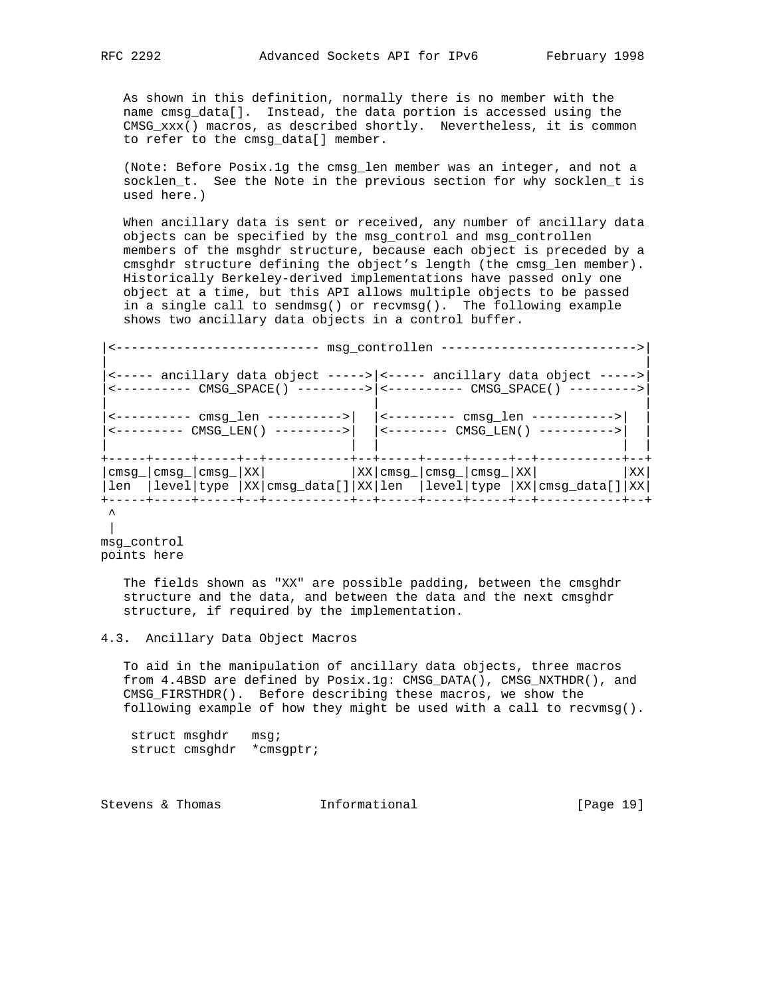As shown in this definition, normally there is no member with the name cmsg\_data[]. Instead, the data portion is accessed using the CMSG\_xxx() macros, as described shortly. Nevertheless, it is common to refer to the cmsg\_data[] member.

 (Note: Before Posix.1g the cmsg\_len member was an integer, and not a socklen\_t. See the Note in the previous section for why socklen\_t is used here.)

 When ancillary data is sent or received, any number of ancillary data objects can be specified by the msg\_control and msg\_controllen members of the msghdr structure, because each object is preceded by a cmsghdr structure defining the object's length (the cmsg\_len member). Historically Berkeley-derived implementations have passed only one object at a time, but this API allows multiple objects to be passed in a single call to sendmsg() or recvmsg(). The following example shows two ancillary data objects in a control buffer.

```
|<--------------------------- msg_controllen -------------------------->|
| |
|<----- ancillary data object ----->|<----- ancillary data object ----->|
|<---------- CMSG_SPACE() --------->|<---------- CMSG_SPACE() --------->|
| | |
\left| \frac{1}{2} cmsq len --------->| \left| \frac{1}{2} (--------- cmsq len ----------->|
|<--------- CMSG_LEN() --------->| |<-------- CMSG_LEN() ---------->| |
| | | | |
+-----+-----+-----+--+-----------+--+-----+-----+-----+--+-----------+--+
|\text{cmsg}_{\text{max}}|\text{cmsg}_{\text{max}}|\text{XX}| |\text{XX}|\text{cmsg}_{\text{max}}|\text{cmsg}_{\text{max}}|\text{XX}| |\text{XX}|\text{XX}||len |level|type |XX|cmsg_data[]|XX|len |level|type |XX|cmsg_data[]|XX|
+-----+-----+-----+--+-----------+--+-----+-----+-----+--+-----------+--+
\lambda
```
 $\mathbb{R}$ msg\_control points here

> The fields shown as "XX" are possible padding, between the cmsghdr structure and the data, and between the data and the next cmsghdr structure, if required by the implementation.

## 4.3. Ancillary Data Object Macros

 To aid in the manipulation of ancillary data objects, three macros from 4.4BSD are defined by Posix.1g: CMSG\_DATA(), CMSG\_NXTHDR(), and CMSG\_FIRSTHDR(). Before describing these macros, we show the following example of how they might be used with a call to recvmsg().

struct msghdr msg; struct cmsghdr \*cmsgptr;

Stevens & Thomas **Informational** [Page 19]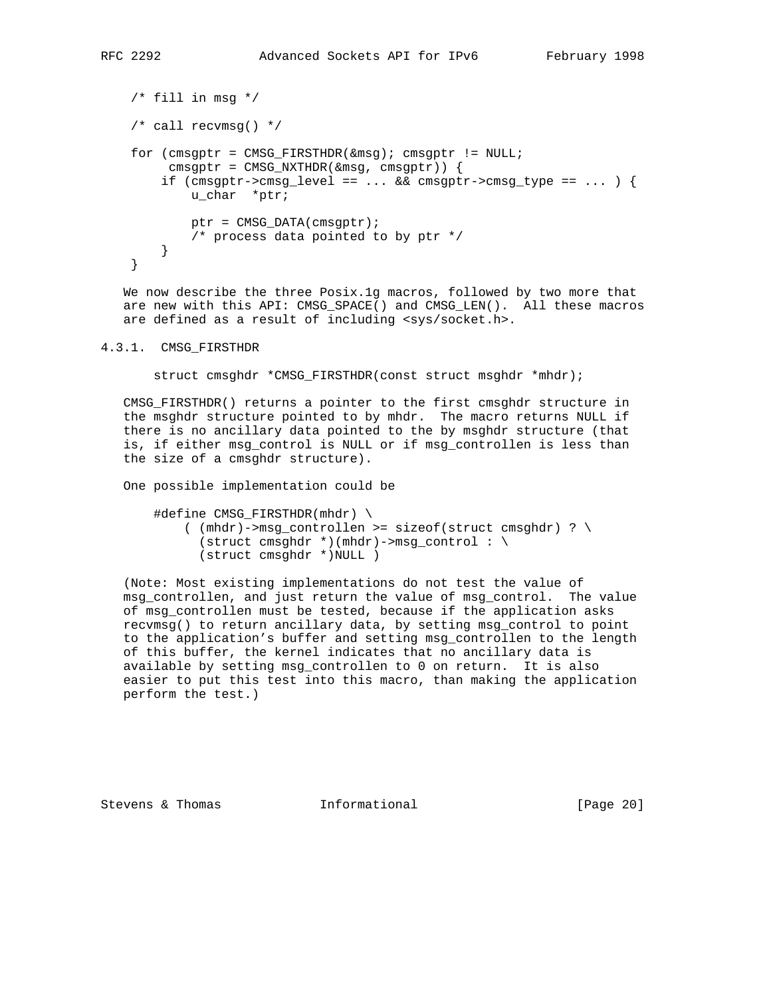```
/* fill in msg */
 /* call recvmsg() */
 for (cmsgptr = CMSG_FIRSTHDR(&msg); cmsgptr != NULL;
      cmsgptr = CMSG_NXTHDR(&msg, cmsgptr)) {
    if (cmsgptr->cmsg_level == \ldots && cmsgptr->cmsg_type == \ldots ) {
         u_char *ptr;
        ptr = CMSG_DATA(cmsgptr);
        /* process data pointed to by ptr */
     }
 }
```
 We now describe the three Posix.1g macros, followed by two more that are new with this API: CMSG\_SPACE() and CMSG\_LEN(). All these macros are defined as a result of including <sys/socket.h>.

4.3.1. CMSG\_FIRSTHDR

struct cmsghdr \*CMSG\_FIRSTHDR(const struct msghdr \*mhdr);

 CMSG\_FIRSTHDR() returns a pointer to the first cmsghdr structure in the msghdr structure pointed to by mhdr. The macro returns NULL if there is no ancillary data pointed to the by msghdr structure (that is, if either msg\_control is NULL or if msg\_controllen is less than the size of a cmsghdr structure).

One possible implementation could be

```
#define CMSG FIRSTHDR(mhdr) \setminus( (mhdr)->msg_controllen >= sizeof(struct cmsghdr) ? \setminus(struct cmsghdr *)(mhdr)->msg_control : \
       (struct cmsghdr *)NULL )
```
 (Note: Most existing implementations do not test the value of msg\_controllen, and just return the value of msg\_control. The value of msg\_controllen must be tested, because if the application asks recvmsg() to return ancillary data, by setting msg\_control to point to the application's buffer and setting msg\_controllen to the length of this buffer, the kernel indicates that no ancillary data is available by setting msg\_controllen to 0 on return. It is also easier to put this test into this macro, than making the application perform the test.)

Stevens & Thomas **Informational** [Page 20]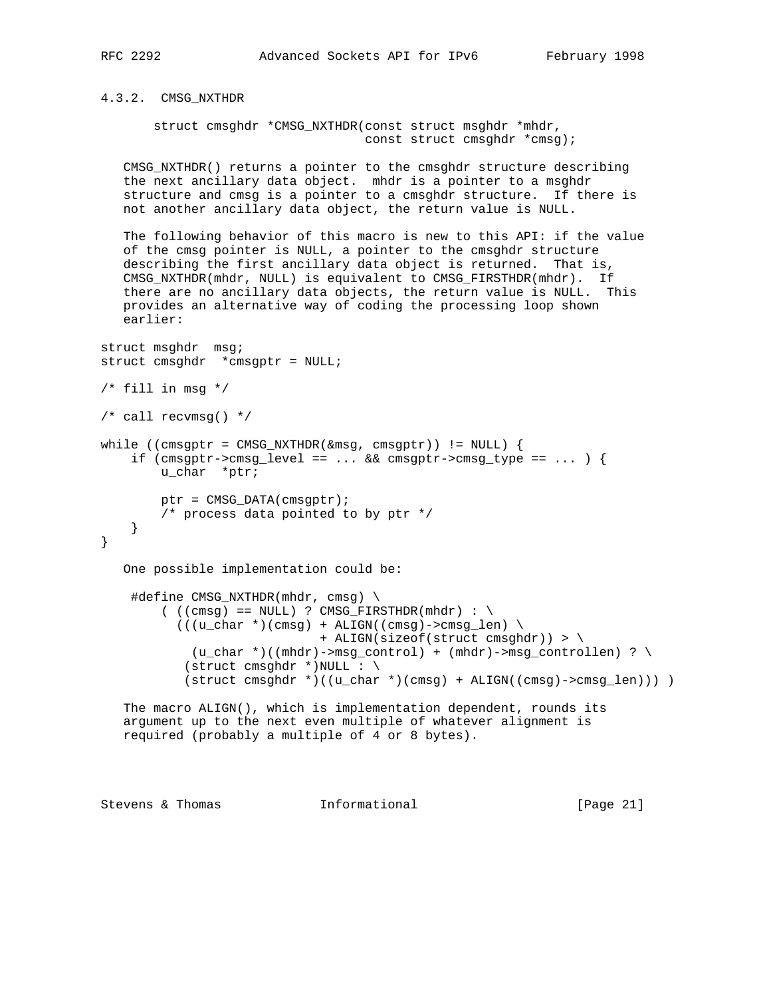4.3.2. CMSG\_NXTHDR

 struct cmsghdr \*CMSG\_NXTHDR(const struct msghdr \*mhdr, const struct cmsghdr \*cmsg);

 CMSG\_NXTHDR() returns a pointer to the cmsghdr structure describing the next ancillary data object. mhdr is a pointer to a msghdr structure and cmsg is a pointer to a cmsghdr structure. If there is not another ancillary data object, the return value is NULL.

 The following behavior of this macro is new to this API: if the value of the cmsg pointer is NULL, a pointer to the cmsghdr structure describing the first ancillary data object is returned. That is, CMSG\_NXTHDR(mhdr, NULL) is equivalent to CMSG\_FIRSTHDR(mhdr). If there are no ancillary data objects, the return value is NULL. This provides an alternative way of coding the processing loop shown earlier:

```
struct msghdr msg;
struct cmsghdr *cmsgptr = NULL;
/* fill in msg */
/* call recvmsg() */
while ((cmsgptr = CMSG_NXTHDR(\&msg, cmsgptr)) != NULL) {
     if (\text{cmsgptr}\text{-}\text{cmsg\_level} == \dots \& \text{cmsgptr}\text{-}\text{cmsg\_type} == \dots ) u_char *ptr;
          ptr = CMSG_DATA(cmsgptr);
          /* process data pointed to by ptr */
     }
}
    One possible implementation could be:
      #define CMSG_NXTHDR(mhdr, cmsg) \
          ((\text{cmsg}) == \text{NULL}) ? \text{CMSG\_FIRSTHDR}(\text{mhdr}) : \setminus(((u_{char} * (cmsg) + ALIGN((cmsg)-\text{cmsg\_len}) \setminus + ALIGN(sizeof(struct cmsghdr)) > \
              (u_char *)((mhdr)->msg_control) + (mhdr)->msg_controllen) ? \
             (struct cmsghdr *)NULL : \setminus(\text{struct } \text{cmsghdr } *)((\text{u\_char } *)(\text{cmsg}) + \text{ALIGN}((\text{cmsg}) - \text{cmsg\_len}))) ) The macro ALIGN(), which is implementation dependent, rounds its
    argument up to the next even multiple of whatever alignment is
    required (probably a multiple of 4 or 8 bytes).
```
Stevens & Thomas **Informational** [Page 21]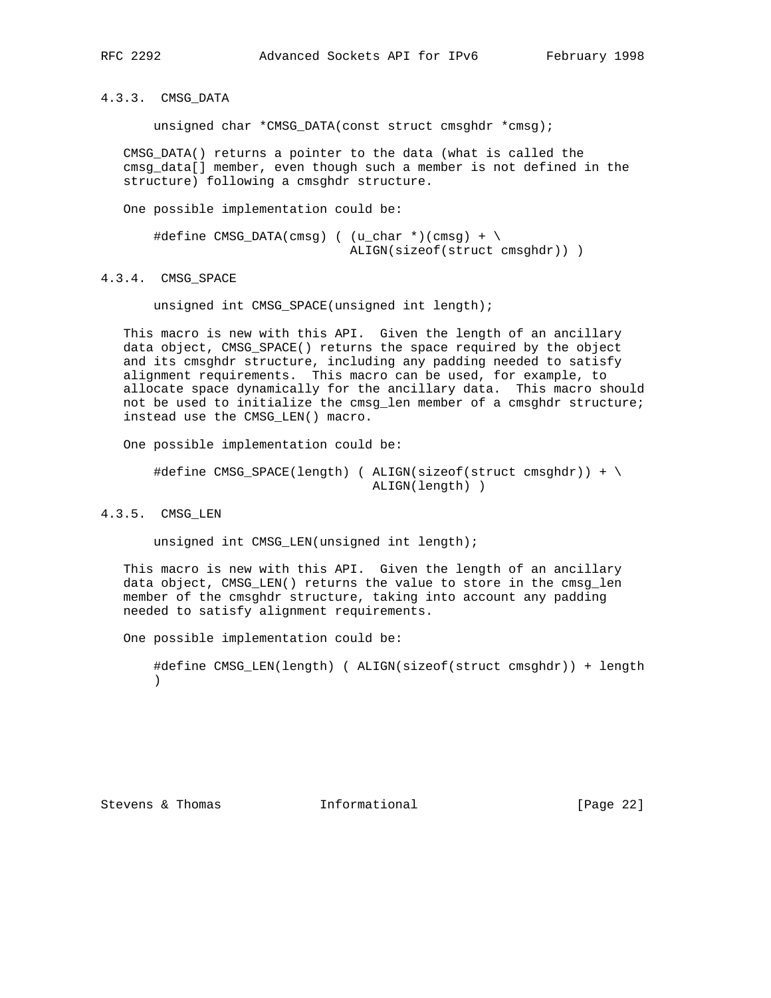4.3.3. CMSG\_DATA

unsigned char \*CMSG\_DATA(const struct cmsghdr \*cmsg);

 CMSG\_DATA() returns a pointer to the data (what is called the cmsg\_data[] member, even though such a member is not defined in the structure) following a cmsghdr structure.

One possible implementation could be:

```
\#define \ CMSG_DATA(cmsg) ( (u_char *)(cmsg) + \n ALIGN(sizeof(struct cmsghdr)) )
```
# 4.3.4. CMSG\_SPACE

unsigned int CMSG SPACE(unsigned int length);

 This macro is new with this API. Given the length of an ancillary data object, CMSG\_SPACE() returns the space required by the object and its cmsghdr structure, including any padding needed to satisfy alignment requirements. This macro can be used, for example, to allocate space dynamically for the ancillary data. This macro should not be used to initialize the cmsg\_len member of a cmsghdr structure; instead use the CMSG\_LEN() macro.

One possible implementation could be:

```
 #define CMSG_SPACE(length) ( ALIGN(sizeof(struct cmsghdr)) + \
                              ALIGN(length) )
```
# 4.3.5. CMSG\_LEN

unsigned int CMSG\_LEN(unsigned int length);

 This macro is new with this API. Given the length of an ancillary data object, CMSG\_LEN() returns the value to store in the cmsg\_len member of the cmsghdr structure, taking into account any padding needed to satisfy alignment requirements.

One possible implementation could be:

 #define CMSG\_LEN(length) ( ALIGN(sizeof(struct cmsghdr)) + length  $)$ 

Stevens & Thomas **Informational** [Page 22]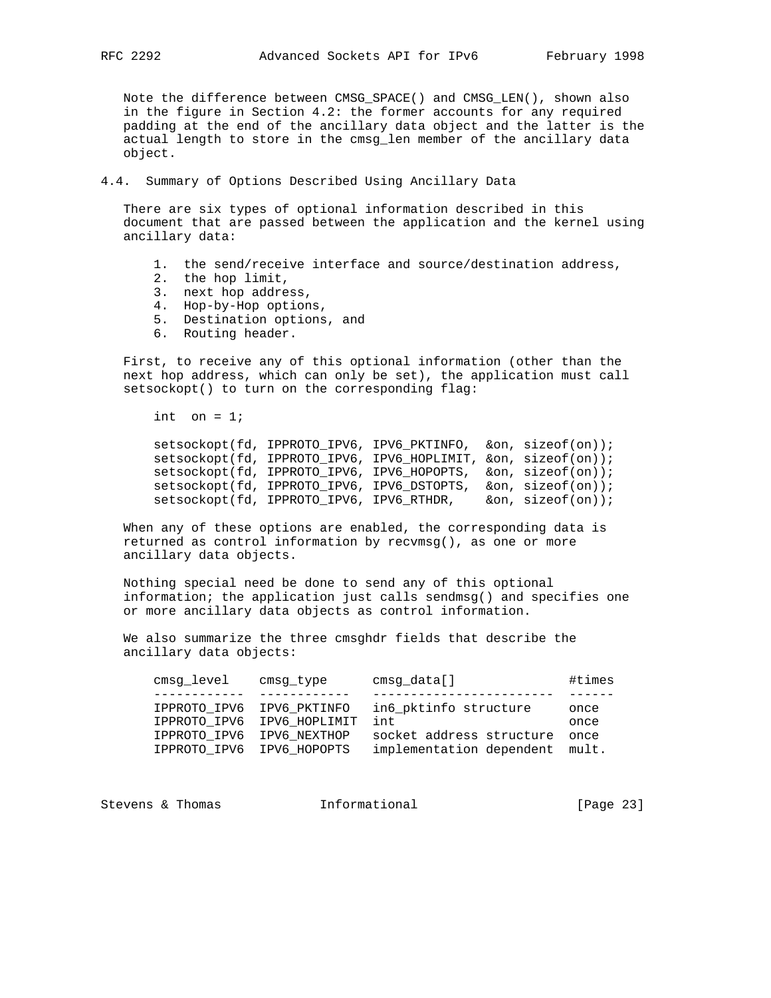Note the difference between CMSG\_SPACE() and CMSG\_LEN(), shown also in the figure in Section 4.2: the former accounts for any required padding at the end of the ancillary data object and the latter is the actual length to store in the cmsg\_len member of the ancillary data object.

## 4.4. Summary of Options Described Using Ancillary Data

 There are six types of optional information described in this document that are passed between the application and the kernel using ancillary data:

- 1. the send/receive interface and source/destination address,
- 2. the hop limit,
- 3. next hop address,
- 4. Hop-by-Hop options,
	- 5. Destination options, and
	- 6. Routing header.

 First, to receive any of this optional information (other than the next hop address, which can only be set), the application must call setsockopt() to turn on the corresponding flag:

int on  $= 1$ ;

 setsockopt(fd, IPPROTO\_IPV6, IPV6\_PKTINFO, &on, sizeof(on)); setsockopt(fd, IPPROTO\_IPV6, IPV6\_HOPLIMIT, &on, sizeof(on)); setsockopt(fd, IPPROTO\_IPV6, IPV6\_HOPOPTS, &on, sizeof(on)); setsockopt(fd, IPPROTO\_IPV6, IPV6\_DSTOPTS, &on, sizeof(on)); setsockopt(fd, IPPROTO\_IPV6, IPV6\_RTHDR, &on, sizeof(on));

 When any of these options are enabled, the corresponding data is returned as control information by recvmsg(), as one or more ancillary data objects.

 Nothing special need be done to send any of this optional information; the application just calls sendmsg() and specifies one or more ancillary data objects as control information.

 We also summarize the three cmsghdr fields that describe the ancillary data objects:

| cmsg level                | cmsq type                  | cmsg_data[]                    | #times |
|---------------------------|----------------------------|--------------------------------|--------|
|                           |                            |                                |        |
|                           | IPPROTO IPV6 IPV6 PKTINFO  | in6 pktinfo structure          | once   |
|                           | IPPROTO IPV6 IPV6 HOPLIMIT | int                            | once   |
| IPPROTO IPV6              | IPV6 NEXTHOP               | socket address structure       | once   |
| IPPROTO IPV6 IPV6 HOPOPTS |                            | implementation dependent mult. |        |

Stevens & Thomas **Informational** [Page 23]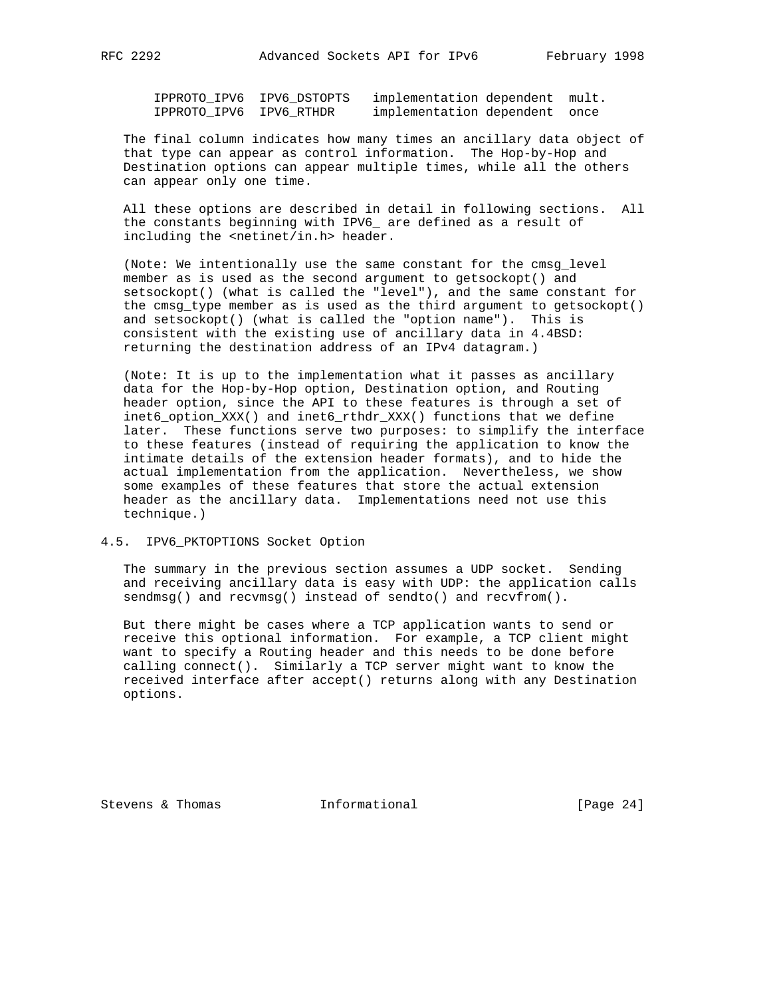IPPROTO\_IPV6 IPV6\_DSTOPTS implementation dependent mult. IPPROTO\_IPV6 IPV6\_RTHDR implementation dependent once

 The final column indicates how many times an ancillary data object of that type can appear as control information. The Hop-by-Hop and Destination options can appear multiple times, while all the others can appear only one time.

 All these options are described in detail in following sections. All the constants beginning with IPV6\_ are defined as a result of including the <netinet/in.h> header.

 (Note: We intentionally use the same constant for the cmsg\_level member as is used as the second argument to getsockopt() and setsockopt() (what is called the "level"), and the same constant for the cmsg type member as is used as the third argument to getsockopt() and setsockopt() (what is called the "option name"). This is consistent with the existing use of ancillary data in 4.4BSD: returning the destination address of an IPv4 datagram.)

 (Note: It is up to the implementation what it passes as ancillary data for the Hop-by-Hop option, Destination option, and Routing header option, since the API to these features is through a set of inet6\_option\_XXX() and inet6\_rthdr\_XXX() functions that we define later. These functions serve two purposes: to simplify the interface to these features (instead of requiring the application to know the intimate details of the extension header formats), and to hide the actual implementation from the application. Nevertheless, we show some examples of these features that store the actual extension header as the ancillary data. Implementations need not use this technique.)

## 4.5. IPV6\_PKTOPTIONS Socket Option

 The summary in the previous section assumes a UDP socket. Sending and receiving ancillary data is easy with UDP: the application calls sendmsg() and recvmsg() instead of sendto() and recvfrom().

 But there might be cases where a TCP application wants to send or receive this optional information. For example, a TCP client might want to specify a Routing header and this needs to be done before calling connect(). Similarly a TCP server might want to know the received interface after accept() returns along with any Destination options.

Stevens & Thomas **Informational** [Page 24]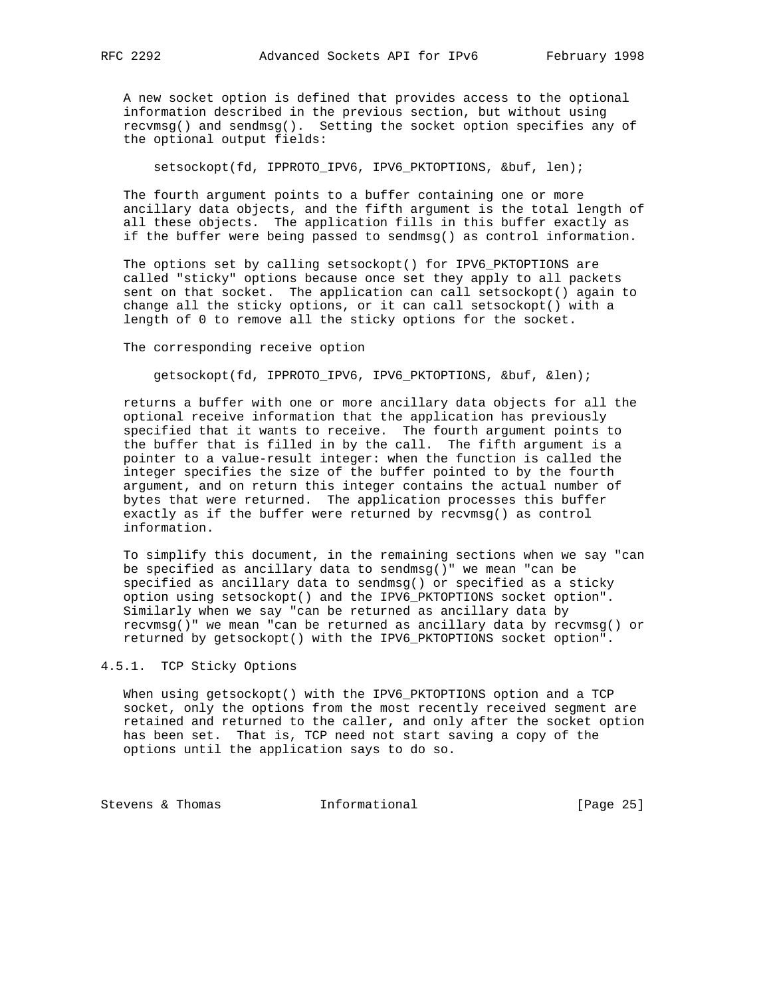A new socket option is defined that provides access to the optional information described in the previous section, but without using recvmsg() and sendmsg(). Setting the socket option specifies any of the optional output fields:

setsockopt(fd, IPPROTO\_IPV6, IPV6\_PKTOPTIONS, &buf, len);

 The fourth argument points to a buffer containing one or more ancillary data objects, and the fifth argument is the total length of all these objects. The application fills in this buffer exactly as if the buffer were being passed to sendmsg() as control information.

 The options set by calling setsockopt() for IPV6\_PKTOPTIONS are called "sticky" options because once set they apply to all packets sent on that socket. The application can call setsockopt() again to change all the sticky options, or it can call setsockopt() with a length of 0 to remove all the sticky options for the socket.

The corresponding receive option

getsockopt(fd, IPPROTO\_IPV6, IPV6\_PKTOPTIONS, &buf, &len);

 returns a buffer with one or more ancillary data objects for all the optional receive information that the application has previously specified that it wants to receive. The fourth argument points to the buffer that is filled in by the call. The fifth argument is a pointer to a value-result integer: when the function is called the integer specifies the size of the buffer pointed to by the fourth argument, and on return this integer contains the actual number of bytes that were returned. The application processes this buffer exactly as if the buffer were returned by recvmsg() as control information.

 To simplify this document, in the remaining sections when we say "can be specified as ancillary data to sendmsg()" we mean "can be specified as ancillary data to sendmsg() or specified as a sticky option using setsockopt() and the IPV6\_PKTOPTIONS socket option". Similarly when we say "can be returned as ancillary data by recvmsg()" we mean "can be returned as ancillary data by recvmsg() or returned by getsockopt() with the IPV6\_PKTOPTIONS socket option".

# 4.5.1. TCP Sticky Options

 When using getsockopt() with the IPV6\_PKTOPTIONS option and a TCP socket, only the options from the most recently received segment are retained and returned to the caller, and only after the socket option has been set. That is, TCP need not start saving a copy of the options until the application says to do so.

Stevens & Thomas **Informational** [Page 25]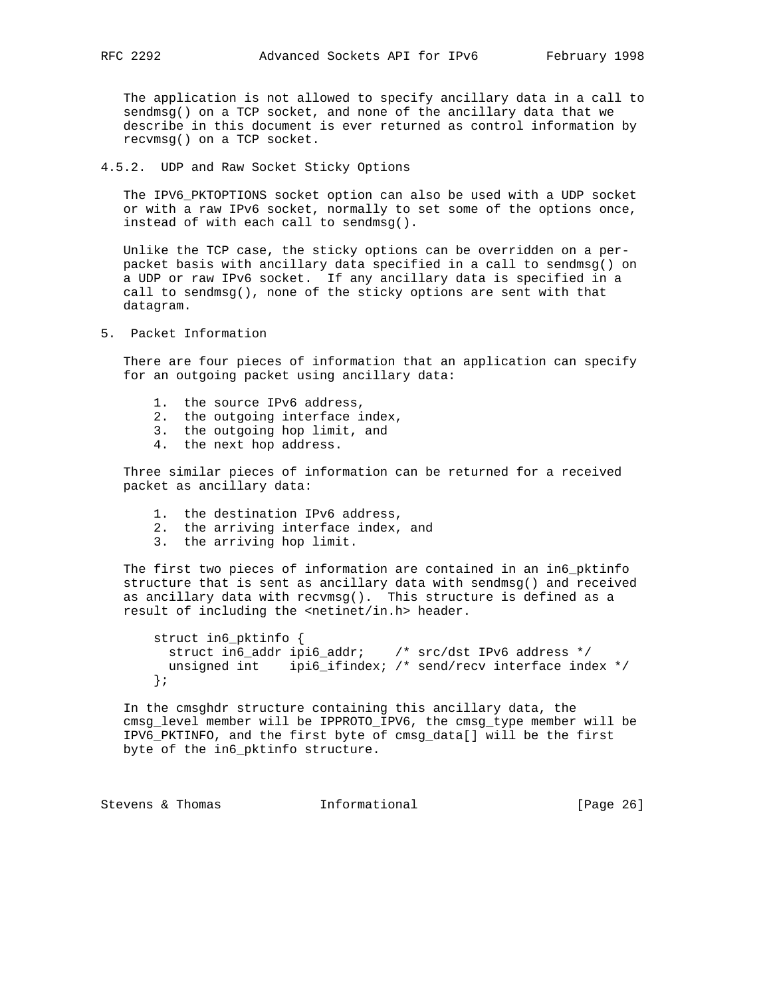The application is not allowed to specify ancillary data in a call to sendmsg() on a TCP socket, and none of the ancillary data that we describe in this document is ever returned as control information by recvmsg() on a TCP socket.

4.5.2. UDP and Raw Socket Sticky Options

 The IPV6\_PKTOPTIONS socket option can also be used with a UDP socket or with a raw IPv6 socket, normally to set some of the options once, instead of with each call to sendmsg().

 Unlike the TCP case, the sticky options can be overridden on a per packet basis with ancillary data specified in a call to sendmsg() on a UDP or raw IPv6 socket. If any ancillary data is specified in a call to sendmsg(), none of the sticky options are sent with that datagram.

5. Packet Information

 There are four pieces of information that an application can specify for an outgoing packet using ancillary data:

- 1. the source IPv6 address,
- 2. the outgoing interface index,
- 3. the outgoing hop limit, and
- 4. the next hop address.

 Three similar pieces of information can be returned for a received packet as ancillary data:

- 1. the destination IPv6 address,
- 2. the arriving interface index, and
- 3. the arriving hop limit.

 The first two pieces of information are contained in an in6\_pktinfo structure that is sent as ancillary data with sendmsg() and received as ancillary data with recvmsg(). This structure is defined as a result of including the <netinet/in.h> header.

```
 struct in6_pktinfo {
  struct in6_addr ipi6_addr; /* src/dst IPv6 address */
  unsigned int ipi6_ifindex; /* send/recv interface index */
 };
```
 In the cmsghdr structure containing this ancillary data, the cmsg\_level member will be IPPROTO\_IPV6, the cmsg\_type member will be IPV6\_PKTINFO, and the first byte of cmsg\_data[] will be the first byte of the in6\_pktinfo structure.

Stevens & Thomas **Informational** [Page 26]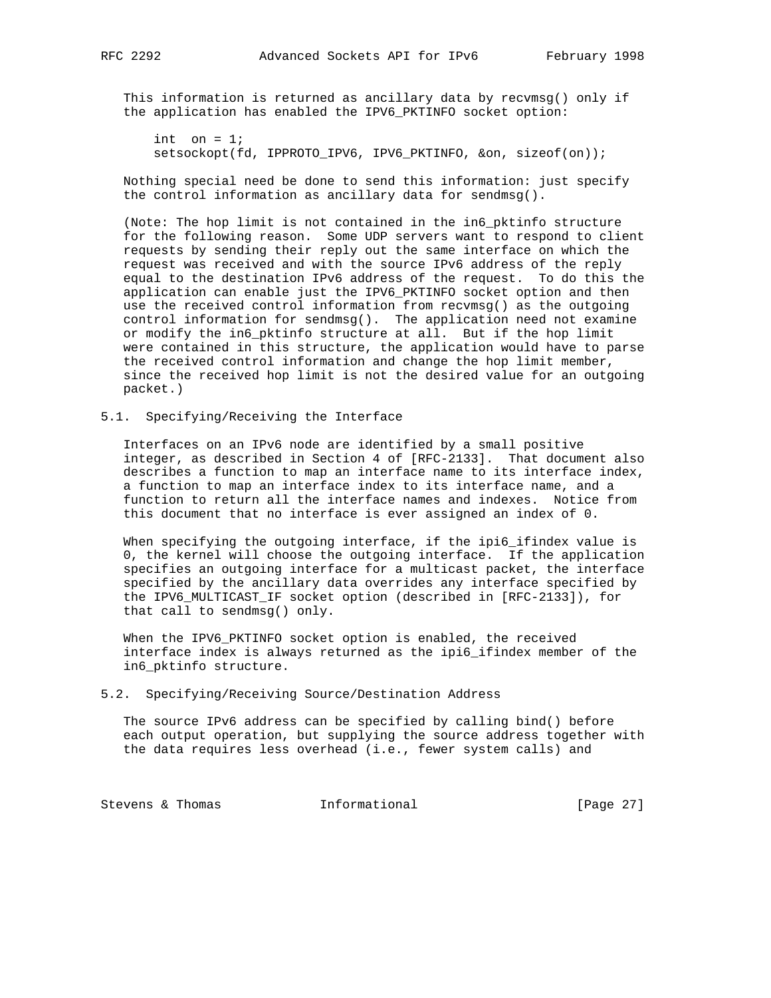This information is returned as ancillary data by recvmsg() only if the application has enabled the IPV6\_PKTINFO socket option:

int on  $= 1$ ; setsockopt(fd, IPPROTO\_IPV6, IPV6\_PKTINFO, &on, sizeof(on));

 Nothing special need be done to send this information: just specify the control information as ancillary data for sendmsg().

 (Note: The hop limit is not contained in the in6\_pktinfo structure for the following reason. Some UDP servers want to respond to client requests by sending their reply out the same interface on which the request was received and with the source IPv6 address of the reply equal to the destination IPv6 address of the request. To do this the application can enable just the IPV6\_PKTINFO socket option and then use the received control information from recvmsg() as the outgoing control information for sendmsg(). The application need not examine or modify the in6\_pktinfo structure at all. But if the hop limit were contained in this structure, the application would have to parse the received control information and change the hop limit member, since the received hop limit is not the desired value for an outgoing packet.)

## 5.1. Specifying/Receiving the Interface

 Interfaces on an IPv6 node are identified by a small positive integer, as described in Section 4 of [RFC-2133]. That document also describes a function to map an interface name to its interface index, a function to map an interface index to its interface name, and a function to return all the interface names and indexes. Notice from this document that no interface is ever assigned an index of 0.

When specifying the outgoing interface, if the ipi6\_ifindex value is 0, the kernel will choose the outgoing interface. If the application specifies an outgoing interface for a multicast packet, the interface specified by the ancillary data overrides any interface specified by the IPV6\_MULTICAST\_IF socket option (described in [RFC-2133]), for that call to sendmsg() only.

 When the IPV6\_PKTINFO socket option is enabled, the received interface index is always returned as the ipi6\_ifindex member of the in6\_pktinfo structure.

#### 5.2. Specifying/Receiving Source/Destination Address

 The source IPv6 address can be specified by calling bind() before each output operation, but supplying the source address together with the data requires less overhead (i.e., fewer system calls) and

Stevens & Thomas **Informational** [Page 27]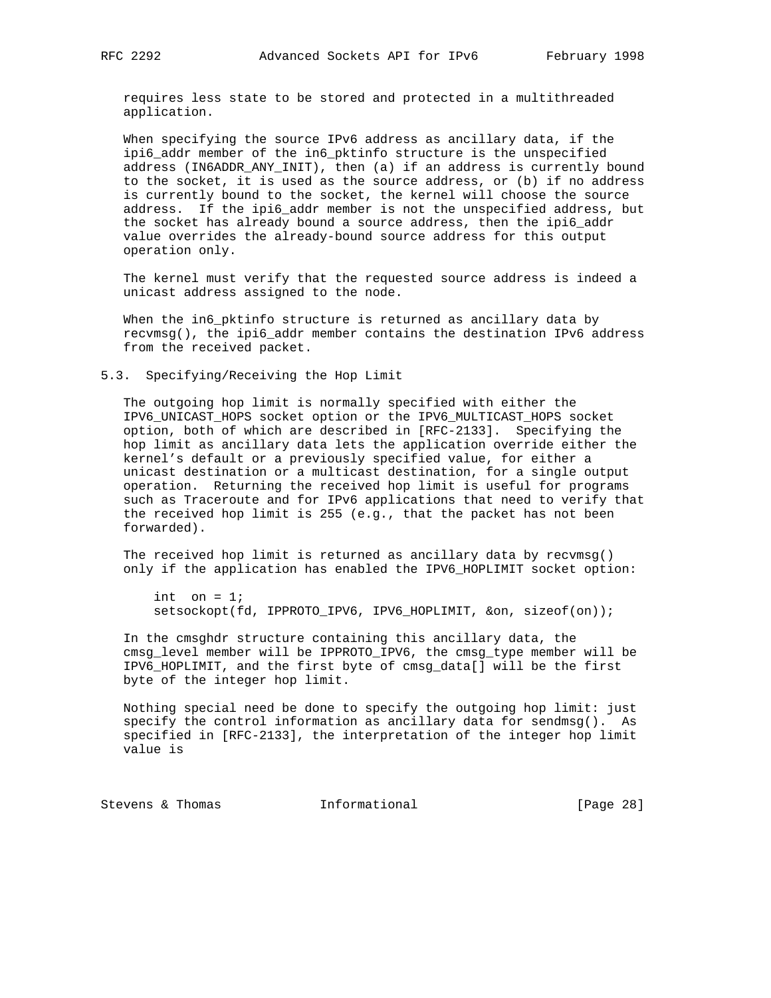requires less state to be stored and protected in a multithreaded application.

 When specifying the source IPv6 address as ancillary data, if the ipi6\_addr member of the in6\_pktinfo structure is the unspecified address (IN6ADDR\_ANY\_INIT), then (a) if an address is currently bound to the socket, it is used as the source address, or (b) if no address is currently bound to the socket, the kernel will choose the source address. If the ipi6\_addr member is not the unspecified address, but the socket has already bound a source address, then the ipi6\_addr value overrides the already-bound source address for this output operation only.

 The kernel must verify that the requested source address is indeed a unicast address assigned to the node.

When the in6\_pktinfo structure is returned as ancillary data by recvmsg(), the ipi6\_addr member contains the destination IPv6 address from the received packet.

5.3. Specifying/Receiving the Hop Limit

 The outgoing hop limit is normally specified with either the IPV6\_UNICAST\_HOPS socket option or the IPV6\_MULTICAST\_HOPS socket option, both of which are described in [RFC-2133]. Specifying the hop limit as ancillary data lets the application override either the kernel's default or a previously specified value, for either a unicast destination or a multicast destination, for a single output operation. Returning the received hop limit is useful for programs such as Traceroute and for IPv6 applications that need to verify that the received hop limit is 255 (e.g., that the packet has not been forwarded).

 The received hop limit is returned as ancillary data by recvmsg() only if the application has enabled the IPV6\_HOPLIMIT socket option:

```
int on = 1;
 setsockopt(fd, IPPROTO_IPV6, IPV6_HOPLIMIT, &on, sizeof(on));
```
 In the cmsghdr structure containing this ancillary data, the cmsg\_level member will be IPPROTO\_IPV6, the cmsg\_type member will be IPV6\_HOPLIMIT, and the first byte of cmsg\_data[] will be the first byte of the integer hop limit.

 Nothing special need be done to specify the outgoing hop limit: just specify the control information as ancillary data for sendmsg(). As specified in [RFC-2133], the interpretation of the integer hop limit value is

Stevens & Thomas **Informational** [Page 28]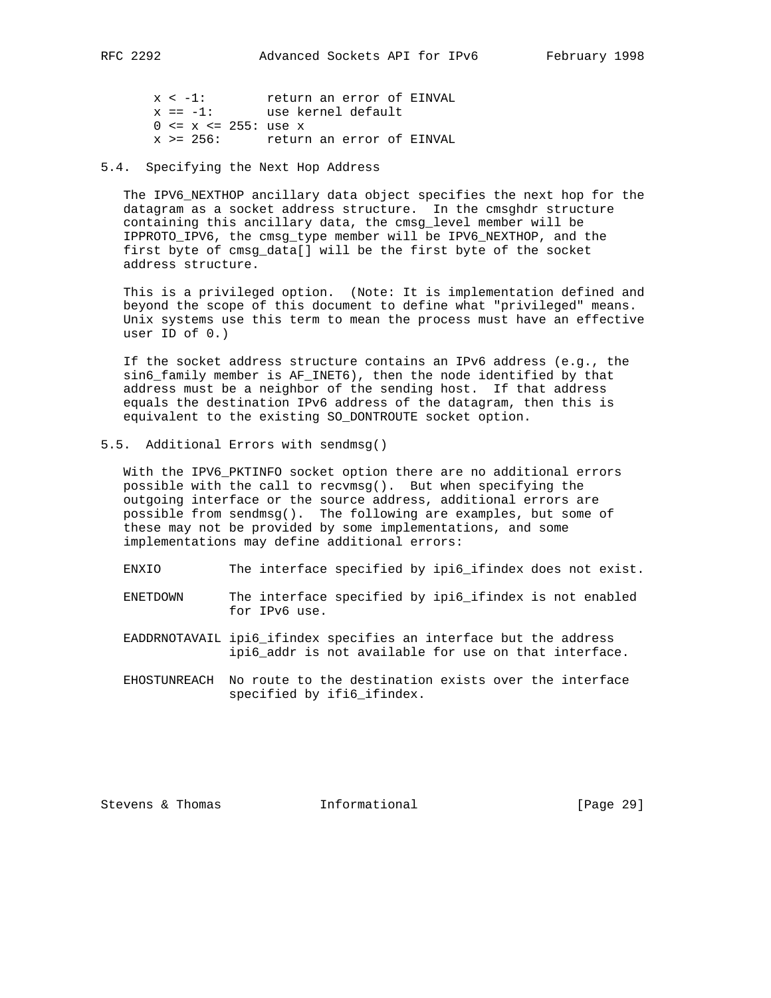x < -1: return an error of EINVAL x == -1: use kernel default 0 <= x <= 255: use x

x >= 256: return an error of EINVAL

### 5.4. Specifying the Next Hop Address

 The IPV6\_NEXTHOP ancillary data object specifies the next hop for the datagram as a socket address structure. In the cmsghdr structure containing this ancillary data, the cmsg\_level member will be IPPROTO\_IPV6, the cmsg\_type member will be IPV6\_NEXTHOP, and the first byte of cmsg\_data[] will be the first byte of the socket address structure.

 This is a privileged option. (Note: It is implementation defined and beyond the scope of this document to define what "privileged" means. Unix systems use this term to mean the process must have an effective user ID of 0.)

 If the socket address structure contains an IPv6 address (e.g., the sin6\_family member is AF\_INET6), then the node identified by that address must be a neighbor of the sending host. If that address equals the destination IPv6 address of the datagram, then this is equivalent to the existing SO\_DONTROUTE socket option.

5.5. Additional Errors with sendmsg()

 With the IPV6\_PKTINFO socket option there are no additional errors possible with the call to recvmsg(). But when specifying the outgoing interface or the source address, additional errors are possible from sendmsg(). The following are examples, but some of these may not be provided by some implementations, and some implementations may define additional errors:

- ENXIO The interface specified by ipi6\_ifindex does not exist.
- ENETDOWN The interface specified by ipi6\_ifindex is not enabled for IPv6 use.
- EADDRNOTAVAIL ipi6\_ifindex specifies an interface but the address ipi6\_addr is not available for use on that interface.
- EHOSTUNREACH No route to the destination exists over the interface specified by ifi6\_ifindex.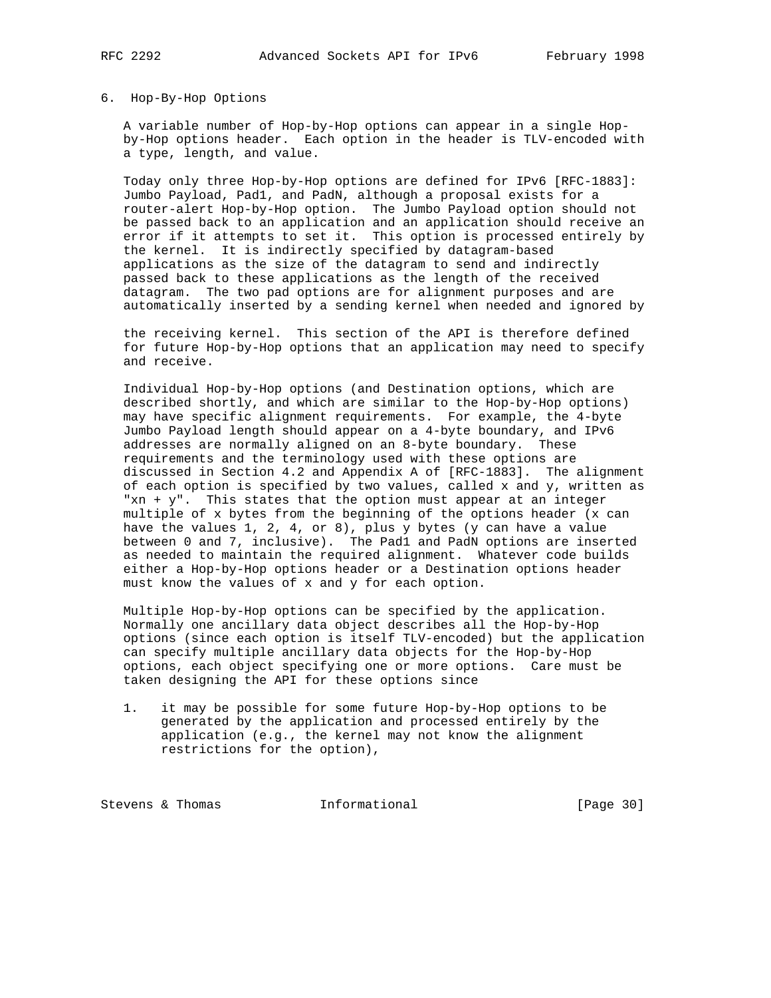#### 6. Hop-By-Hop Options

 A variable number of Hop-by-Hop options can appear in a single Hop by-Hop options header. Each option in the header is TLV-encoded with a type, length, and value.

 Today only three Hop-by-Hop options are defined for IPv6 [RFC-1883]: Jumbo Payload, Pad1, and PadN, although a proposal exists for a router-alert Hop-by-Hop option. The Jumbo Payload option should not be passed back to an application and an application should receive an error if it attempts to set it. This option is processed entirely by the kernel. It is indirectly specified by datagram-based applications as the size of the datagram to send and indirectly passed back to these applications as the length of the received datagram. The two pad options are for alignment purposes and are automatically inserted by a sending kernel when needed and ignored by

 the receiving kernel. This section of the API is therefore defined for future Hop-by-Hop options that an application may need to specify and receive.

 Individual Hop-by-Hop options (and Destination options, which are described shortly, and which are similar to the Hop-by-Hop options) may have specific alignment requirements. For example, the 4-byte Jumbo Payload length should appear on a 4-byte boundary, and IPv6 addresses are normally aligned on an 8-byte boundary. These requirements and the terminology used with these options are discussed in Section 4.2 and Appendix A of [RFC-1883]. The alignment of each option is specified by two values, called x and y, written as "xn + y". This states that the option must appear at an integer multiple of x bytes from the beginning of the options header (x can have the values 1, 2, 4, or 8), plus  $y$  bytes ( $y$  can have a value between 0 and 7, inclusive). The Pad1 and PadN options are inserted as needed to maintain the required alignment. Whatever code builds either a Hop-by-Hop options header or a Destination options header must know the values of x and y for each option.

 Multiple Hop-by-Hop options can be specified by the application. Normally one ancillary data object describes all the Hop-by-Hop options (since each option is itself TLV-encoded) but the application can specify multiple ancillary data objects for the Hop-by-Hop options, each object specifying one or more options. Care must be taken designing the API for these options since

 1. it may be possible for some future Hop-by-Hop options to be generated by the application and processed entirely by the application (e.g., the kernel may not know the alignment restrictions for the option),

Stevens & Thomas **Informational** [Page 30]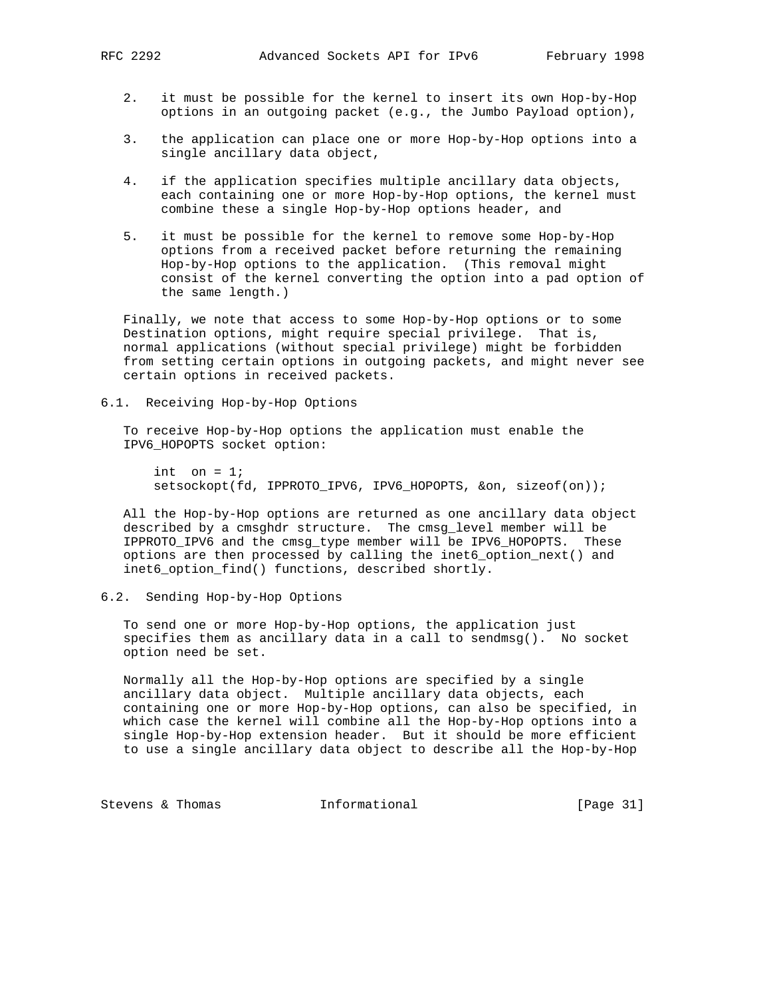- 2. it must be possible for the kernel to insert its own Hop-by-Hop options in an outgoing packet (e.g., the Jumbo Payload option),
- 3. the application can place one or more Hop-by-Hop options into a single ancillary data object,
- 4. if the application specifies multiple ancillary data objects, each containing one or more Hop-by-Hop options, the kernel must combine these a single Hop-by-Hop options header, and
- 5. it must be possible for the kernel to remove some Hop-by-Hop options from a received packet before returning the remaining Hop-by-Hop options to the application. (This removal might consist of the kernel converting the option into a pad option of the same length.)

 Finally, we note that access to some Hop-by-Hop options or to some Destination options, might require special privilege. That is, normal applications (without special privilege) might be forbidden from setting certain options in outgoing packets, and might never see certain options in received packets.

6.1. Receiving Hop-by-Hop Options

 To receive Hop-by-Hop options the application must enable the IPV6\_HOPOPTS socket option:

int on  $= 1$ ; setsockopt(fd, IPPROTO\_IPV6, IPV6\_HOPOPTS, &on, sizeof(on));

 All the Hop-by-Hop options are returned as one ancillary data object described by a cmsghdr structure. The cmsg\_level member will be IPPROTO\_IPV6 and the cmsg\_type member will be IPV6\_HOPOPTS. These options are then processed by calling the inet6\_option\_next() and inet6\_option\_find() functions, described shortly.

# 6.2. Sending Hop-by-Hop Options

 To send one or more Hop-by-Hop options, the application just specifies them as ancillary data in a call to sendmsg(). No socket option need be set.

 Normally all the Hop-by-Hop options are specified by a single ancillary data object. Multiple ancillary data objects, each containing one or more Hop-by-Hop options, can also be specified, in which case the kernel will combine all the Hop-by-Hop options into a single Hop-by-Hop extension header. But it should be more efficient to use a single ancillary data object to describe all the Hop-by-Hop

Stevens & Thomas **Informational** [Page 31]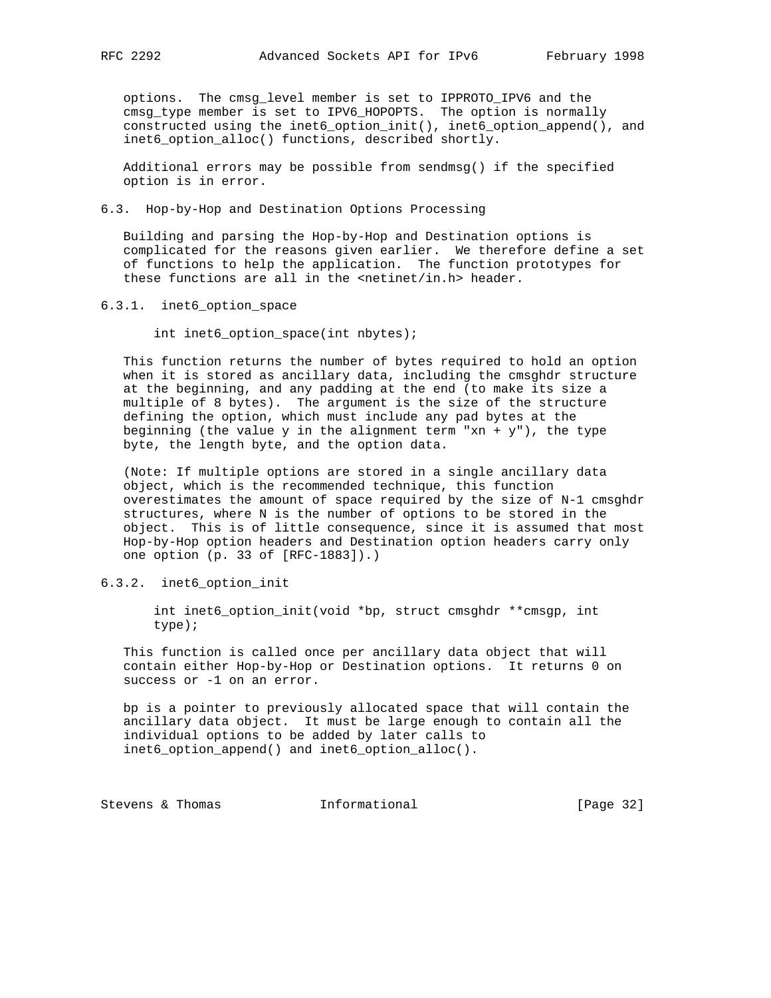options. The cmsg\_level member is set to IPPROTO\_IPV6 and the cmsg\_type member is set to IPV6\_HOPOPTS. The option is normally constructed using the inet6\_option\_init(), inet6\_option\_append(), and inet6\_option\_alloc() functions, described shortly.

 Additional errors may be possible from sendmsg() if the specified option is in error.

6.3. Hop-by-Hop and Destination Options Processing

 Building and parsing the Hop-by-Hop and Destination options is complicated for the reasons given earlier. We therefore define a set of functions to help the application. The function prototypes for these functions are all in the <netinet/in.h> header.

6.3.1. inet6\_option\_space

int inet6\_option\_space(int nbytes);

 This function returns the number of bytes required to hold an option when it is stored as ancillary data, including the cmsghdr structure at the beginning, and any padding at the end (to make its size a multiple of 8 bytes). The argument is the size of the structure defining the option, which must include any pad bytes at the beginning (the value  $y$  in the alignment term "xn +  $y$ "), the type byte, the length byte, and the option data.

 (Note: If multiple options are stored in a single ancillary data object, which is the recommended technique, this function overestimates the amount of space required by the size of N-1 cmsghdr structures, where N is the number of options to be stored in the object. This is of little consequence, since it is assumed that most Hop-by-Hop option headers and Destination option headers carry only one option (p. 33 of [RFC-1883]).)

## 6.3.2. inet6\_option\_init

 int inet6\_option\_init(void \*bp, struct cmsghdr \*\*cmsgp, int type);

 This function is called once per ancillary data object that will contain either Hop-by-Hop or Destination options. It returns 0 on success or -1 on an error.

 bp is a pointer to previously allocated space that will contain the ancillary data object. It must be large enough to contain all the individual options to be added by later calls to inet6\_option\_append() and inet6\_option\_alloc().

Stevens & Thomas **Informational** [Page 32]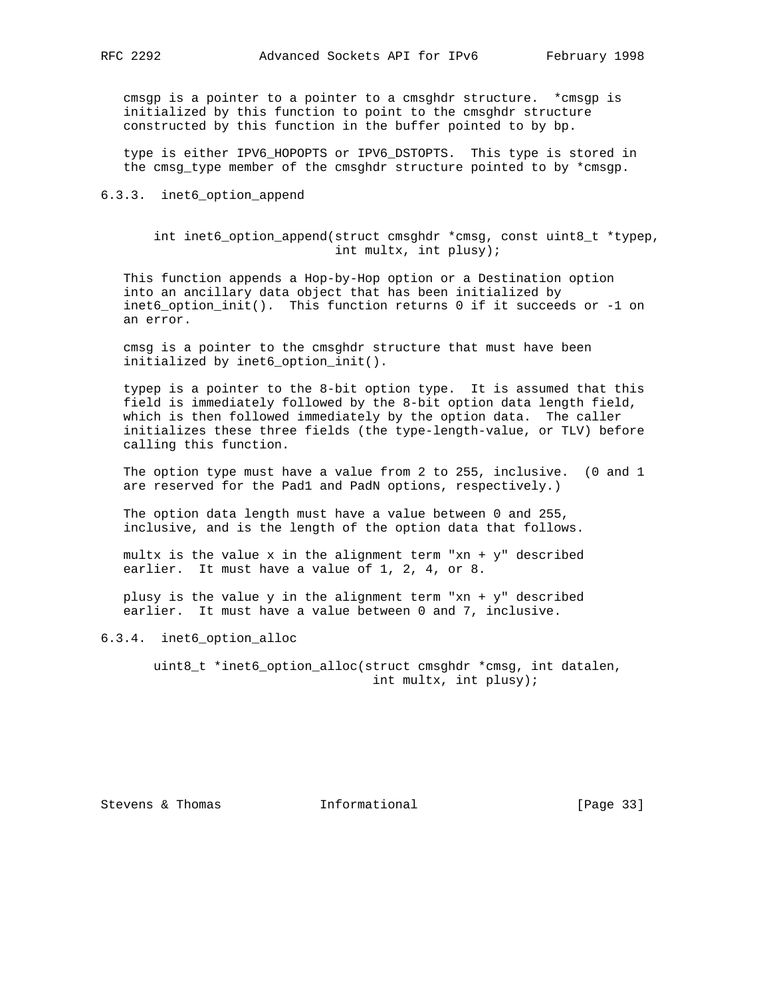cmsgp is a pointer to a pointer to a cmsghdr structure. \*cmsgp is initialized by this function to point to the cmsghdr structure constructed by this function in the buffer pointed to by bp.

 type is either IPV6\_HOPOPTS or IPV6\_DSTOPTS. This type is stored in the cmsg\_type member of the cmsghdr structure pointed to by \*cmsgp.

## 6.3.3. inet6\_option\_append

 int inet6\_option\_append(struct cmsghdr \*cmsg, const uint8\_t \*typep, int multx, int plusy);

 This function appends a Hop-by-Hop option or a Destination option into an ancillary data object that has been initialized by inet6\_option\_init(). This function returns 0 if it succeeds or -1 on an error.

 cmsg is a pointer to the cmsghdr structure that must have been initialized by inet6\_option\_init().

 typep is a pointer to the 8-bit option type. It is assumed that this field is immediately followed by the 8-bit option data length field, which is then followed immediately by the option data. The caller initializes these three fields (the type-length-value, or TLV) before calling this function.

 The option type must have a value from 2 to 255, inclusive. (0 and 1 are reserved for the Pad1 and PadN options, respectively.)

 The option data length must have a value between 0 and 255, inclusive, and is the length of the option data that follows.

multx is the value x in the alignment term "xn +  $y$ " described earlier. It must have a value of 1, 2, 4, or 8.

plusy is the value  $y$  in the alignment term "xn +  $y$ " described earlier. It must have a value between 0 and 7, inclusive.

#### 6.3.4. inet6\_option\_alloc

 uint8\_t \*inet6\_option\_alloc(struct cmsghdr \*cmsg, int datalen, int multx, int plusy);

Stevens & Thomas **Informational** [Page 33]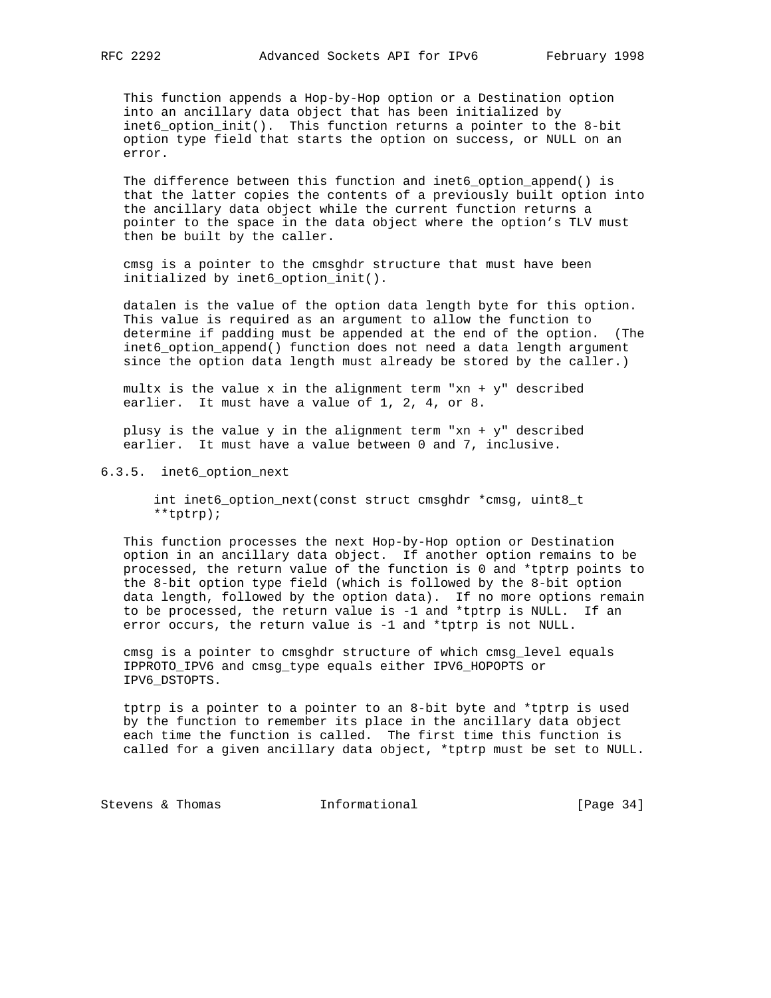This function appends a Hop-by-Hop option or a Destination option into an ancillary data object that has been initialized by inet6\_option\_init(). This function returns a pointer to the 8-bit option type field that starts the option on success, or NULL on an error.

 The difference between this function and inet6\_option\_append() is that the latter copies the contents of a previously built option into the ancillary data object while the current function returns a pointer to the space in the data object where the option's TLV must then be built by the caller.

 cmsg is a pointer to the cmsghdr structure that must have been initialized by inet6\_option\_init().

 datalen is the value of the option data length byte for this option. This value is required as an argument to allow the function to determine if padding must be appended at the end of the option. (The inet6\_option\_append() function does not need a data length argument since the option data length must already be stored by the caller.)

multx is the value x in the alignment term "xn +  $y$ " described earlier. It must have a value of 1, 2, 4, or 8.

 plusy is the value y in the alignment term "xn + y" described earlier. It must have a value between 0 and 7, inclusive.

#### 6.3.5. inet6\_option\_next

 int inet6\_option\_next(const struct cmsghdr \*cmsg, uint8\_t \*\*tptrp);

 This function processes the next Hop-by-Hop option or Destination option in an ancillary data object. If another option remains to be processed, the return value of the function is 0 and \*tptrp points to the 8-bit option type field (which is followed by the 8-bit option data length, followed by the option data). If no more options remain to be processed, the return value is -1 and \*tptrp is NULL. If an error occurs, the return value is -1 and \*tptrp is not NULL.

 cmsg is a pointer to cmsghdr structure of which cmsg\_level equals IPPROTO\_IPV6 and cmsg\_type equals either IPV6\_HOPOPTS or IPV6\_DSTOPTS.

 tptrp is a pointer to a pointer to an 8-bit byte and \*tptrp is used by the function to remember its place in the ancillary data object each time the function is called. The first time this function is called for a given ancillary data object, \*tptrp must be set to NULL.

Stevens & Thomas 1nformational 111 [Page 34]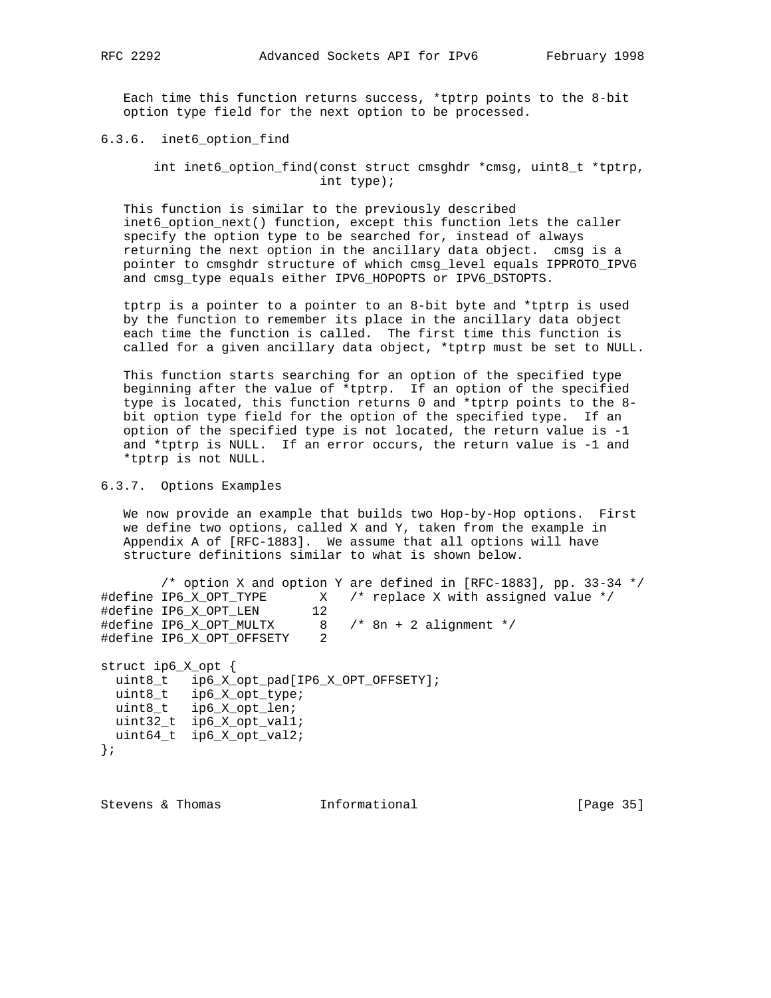Each time this function returns success, \*tptrp points to the 8-bit option type field for the next option to be processed.

6.3.6. inet6\_option\_find

 int inet6\_option\_find(const struct cmsghdr \*cmsg, uint8\_t \*tptrp, int type);

 This function is similar to the previously described inet6 option next() function, except this function lets the caller specify the option type to be searched for, instead of always returning the next option in the ancillary data object. cmsg is a pointer to cmsghdr structure of which cmsg\_level equals IPPROTO\_IPV6 and cmsg\_type equals either IPV6\_HOPOPTS or IPV6\_DSTOPTS.

 tptrp is a pointer to a pointer to an 8-bit byte and \*tptrp is used by the function to remember its place in the ancillary data object each time the function is called. The first time this function is called for a given ancillary data object, \*tptrp must be set to NULL.

 This function starts searching for an option of the specified type beginning after the value of \*tptrp. If an option of the specified type is located, this function returns 0 and \*tptrp points to the 8 bit option type field for the option of the specified type. If an option of the specified type is not located, the return value is -1 and \*tptrp is NULL. If an error occurs, the return value is -1 and \*tptrp is not NULL.

6.3.7. Options Examples

 We now provide an example that builds two Hop-by-Hop options. First we define two options, called X and Y, taken from the example in Appendix A of [RFC-1883]. We assume that all options will have structure definitions similar to what is shown below.

/\* option X and option Y are defined in [RFC-1883], pp. 33-34 \*/ #define IP6\_X\_OPT\_TYPE X /\* replace X with assigned value \*/ #define IP6\_X\_OPT\_LEN 12 #define IP6\_X\_OPT\_MULTX 8 /\* 8n + 2 alignment \*/ #define IP6\_X\_OPT\_OFFSETY 2

struct ip6\_X\_opt { uint8\_t ip6\_X\_opt\_pad[IP6\_X\_OPT\_OFFSETY]; uint8\_t ip6\_X\_opt\_type; uint8\_t ip6\_X\_opt\_len; uint32\_t ip6\_X\_opt\_val1; uint64\_t ip6\_X\_opt\_val2; };

Stevens & Thomas **Informational** [Page 35]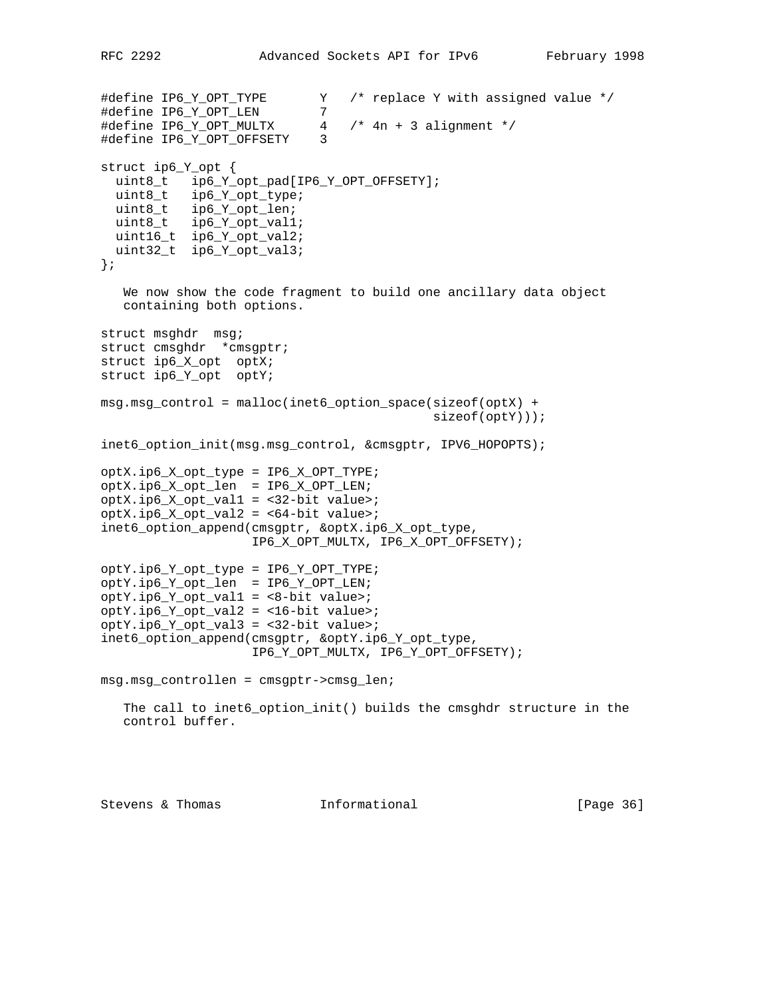```
#define IP6_Y_OPT_TYPE Y /* replace Y with assigned value */
#define IP6_Y_OPT_LEN 7
#define IP6_Y_OPT_MULTX 4 /* 4n + 3 alignment */
#define IP6 Y OPT OFFSETY 3
struct ip6_Y_opt {
  uint8_t ip6_Y_opt_pad[IP6_Y_OPT_OFFSETY];
  uint8_t ip6_Y_opt_type;
  uint8_t ip6_Y_opt_len;
  uint8_t ip6_Y_opt_val1;
  uint16_t ip6_Y_opt_val2;
  uint32_t ip6_Y_opt_val3;
};
    We now show the code fragment to build one ancillary data object
   containing both options.
struct msghdr msg;
struct cmsghdr *cmsgptr;
struct ip6_X_opt optX;
struct ip6_Y_opt optY;
msg.msg_control = malloc(inet6_option_space(sizeof(optX) +
                                            sizeof(optY)));
inet6_option_init(msg.msg_control, &cmsgptr, IPV6_HOPOPTS);
optX.ip6_X_opt_type = IP6_X_OPT_TYPE;
optX.ip6_X_opt_len = IP6_X_OPT_LEN;
optX.jpg_Xopt_val1 = <32-bit value>;
optX.ip6_X_opt_val2 = <64-bit value>;
inet6_option_append(cmsgptr, &optX.ip6_X_opt_type,
                    IP6_X_OPT_MULTX, IP6_X_OPT_OFFSETY);
optY.ip6_Y_opt_type = IP6_Y_OPT_TYPE;
optY.ip6_Y_opt_len = IP6_Y_OPT_LEN;
optY.ip6_Y_opt_val1 = <8-bit value>;
optY.jpg. Y opt_val2 = <16-bit value>;
optY.jpg_y opty.ip6Y opt_val3 = <32-bit value>;
inet6_option_append(cmsgptr, &optY.ip6_Y_opt_type,
                    IP6_Y_OPT_MULTX, IP6_Y_OPT_OFFSETY);
msg.msg_controllen = cmsgptr->cmsg_len;
  The call to inet6_option_init() builds the cmsghdr structure in the
   control buffer.
```
Stevens & Thomas **Informational** [Page 36]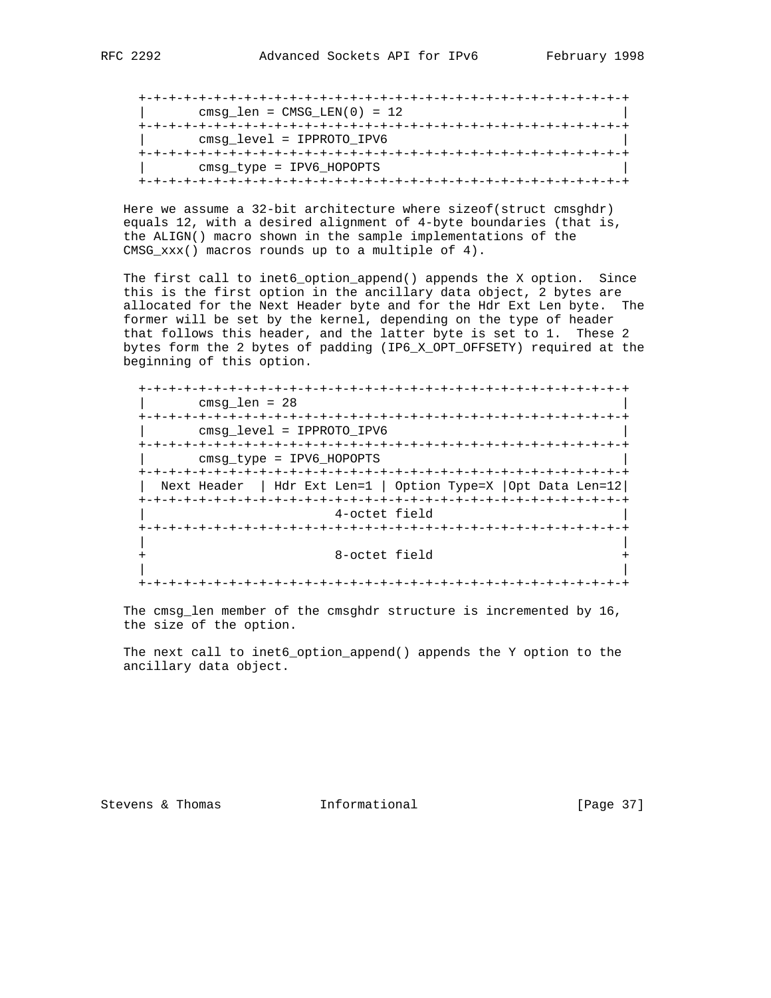+-+-+-+-+-+-+-+-+-+-+-+-+-+-+-+-+-+-+-+-+-+-+-+-+-+-+-+-+-+-+-+-+

 Here we assume a 32-bit architecture where sizeof(struct cmsghdr) equals 12, with a desired alignment of 4-byte boundaries (that is, the ALIGN() macro shown in the sample implementations of the CMSG\_xxx() macros rounds up to a multiple of 4).

 The first call to inet6\_option\_append() appends the X option. Since this is the first option in the ancillary data object, 2 bytes are allocated for the Next Header byte and for the Hdr Ext Len byte. The former will be set by the kernel, depending on the type of header that follows this header, and the latter byte is set to 1. These 2 bytes form the 2 bytes of padding (IP6\_X\_OPT\_OFFSETY) required at the beginning of this option.

 +-+-+-+-+-+-+-+-+-+-+-+-+-+-+-+-+-+-+-+-+-+-+-+-+-+-+-+-+-+-+-+-+ | cmsg\_len = 28 | +-+-+-+-+-+-+-+-+-+-+-+-+-+-+-+-+-+-+-+-+-+-+-+-+-+-+-+-+-+-+-+-+ | cmsg\_level = IPPROTO\_IPV6 | +-+-+-+-+-+-+-+-+-+-+-+-+-+-+-+-+-+-+-+-+-+-+-+-+-+-+-+-+-+-+-+-+ | cmsg\_type = IPV6\_HOPOPTS | +-+-+-+-+-+-+-+-+-+-+-+-+-+-+-+-+-+-+-+-+-+-+-+-+-+-+-+-+-+-+-+-+ | Next Header | Hdr Ext Len=1 | Option Type=X |Opt Data Len=12| +-+-+-+-+-+-+-+-+-+-+-+-+-+-+-+-+-+-+-+-+-+-+-+-+-+-+-+-+-+-+-+-+ | 4-octet field | +-+-+-+-+-+-+-+-+-+-+-+-+-+-+-+-+-+-+-+-+-+-+-+-+-+-+-+-+-+-+-+-+ | | 8-octet field | | +-+-+-+-+-+-+-+-+-+-+-+-+-+-+-+-+-+-+-+-+-+-+-+-+-+-+-+-+-+-+-+-+

 The cmsg\_len member of the cmsghdr structure is incremented by 16, the size of the option.

 The next call to inet6\_option\_append() appends the Y option to the ancillary data object.

Stevens & Thomas **Informational** [Page 37]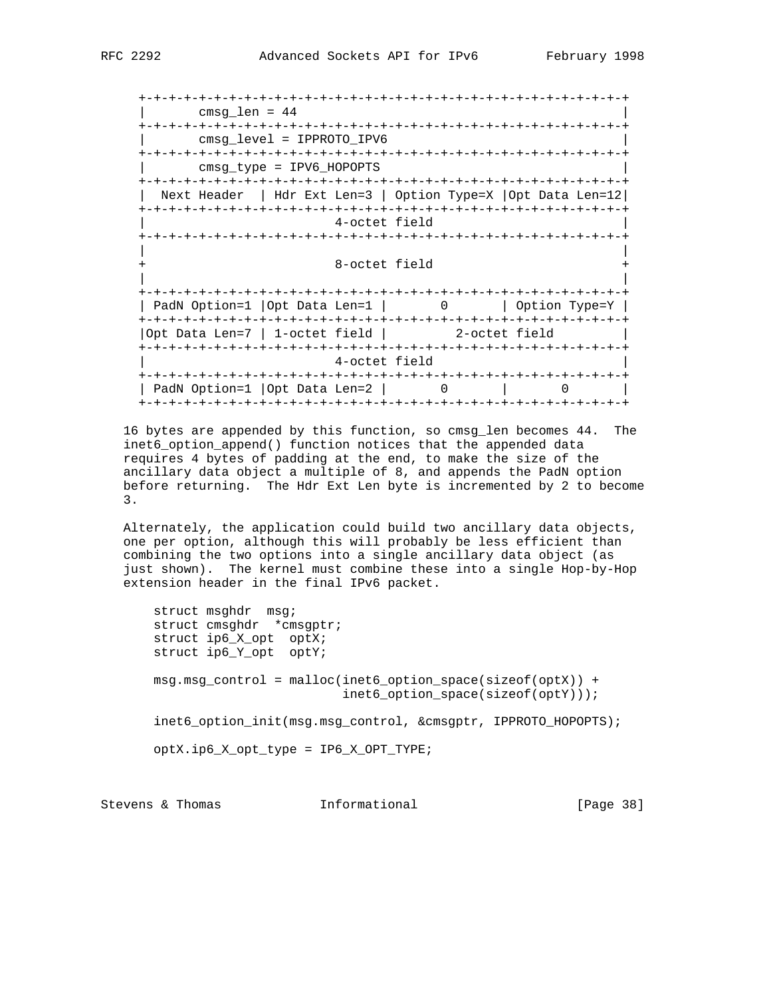+-+-+-+-+-+-+-+-+-+-+-+-+-+-+-+-+-+-+-+-+-+-+-+-+-+-+-+-+-+-+-+-+ | cmsg\_len = 44 | +-+-+-+-+-+-+-+-+-+-+-+-+-+-+-+-+-+-+-+-+-+-+-+-+-+-+-+-+-+-+-+-+ | cmsg\_level = IPPROTO\_IPV6 | +-+-+-+-+-+-+-+-+-+-+-+-+-+-+-+-+-+-+-+-+-+-+-+-+-+-+-+-+-+-+-+-+ | cmsg\_type = IPV6\_HOPOPTS | +-+-+-+-+-+-+-+-+-+-+-+-+-+-+-+-+-+-+-+-+-+-+-+-+-+-+-+-+-+-+-+-+ | Next Header | Hdr Ext Len=3 | Option Type=X |Opt Data Len=12| +-+-+-+-+-+-+-+-+-+-+-+-+-+-+-+-+-+-+-+-+-+-+-+-+-+-+-+-+-+-+-+-+ 4-octet field +-+-+-+-+-+-+-+-+-+-+-+-+-+-+-+-+-+-+-+-+-+-+-+-+-+-+-+-+-+-+-+-+ | | 8-octet field | | +-+-+-+-+-+-+-+-+-+-+-+-+-+-+-+-+-+-+-+-+-+-+-+-+-+-+-+-+-+-+-+-+ | PadN Option=1 |Opt Data Len=1 | 0 | Option Type=Y | +-+-+-+-+-+-+-+-+-+-+-+-+-+-+-+-+-+-+-+-+-+-+-+-+-+-+-+-+-+-+-+-+ |Opt Data Len=7 | 1-octet field | 2-octet field | +-+-+-+-+-+-+-+-+-+-+-+-+-+-+-+-+-+-+-+-+-+-+-+-+-+-+-+-+-+-+-+-+ 4-octet field +-+-+-+-+-+-+-+-+-+-+-+-+-+-+-+-+-+-+-+-+-+-+-+-+-+-+-+-+-+-+-+-+ | PadN Option=1 | Opt Data Len=2 | 0 | 0 | +-+-+-+-+-+-+-+-+-+-+-+-+-+-+-+-+-+-+-+-+-+-+-+-+-+-+-+-+-+-+-+-+

 16 bytes are appended by this function, so cmsg\_len becomes 44. The inet6\_option\_append() function notices that the appended data requires 4 bytes of padding at the end, to make the size of the ancillary data object a multiple of 8, and appends the PadN option before returning. The Hdr Ext Len byte is incremented by 2 to become 3.

 Alternately, the application could build two ancillary data objects, one per option, although this will probably be less efficient than combining the two options into a single ancillary data object (as just shown). The kernel must combine these into a single Hop-by-Hop extension header in the final IPv6 packet.

 struct msghdr msg; struct cmsghdr \*cmsgptr; struct ip6\_X\_opt optX; struct ip6\_Y\_opt optY; msg.msg\_control = malloc(inet6\_option\_space(sizeof(optX)) + inet6\_option\_space(sizeof(optY))); inet6\_option\_init(msg.msg\_control, &cmsgptr, IPPROTO\_HOPOPTS); optX.ip6\_X\_opt\_type = IP6\_X\_OPT\_TYPE;

Stevens & Thomas **Informational** [Page 38]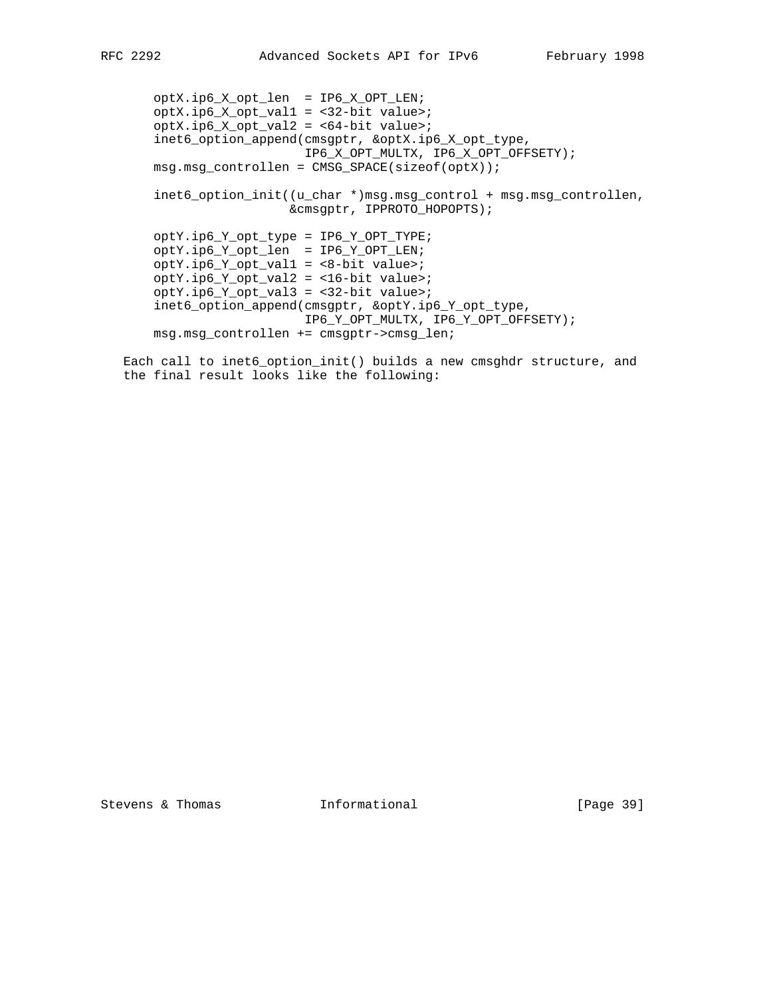optX.ip6\_X\_opt\_len = IP6\_X\_OPT\_LEN;  $optX.jpg X opt_val1 = <32-bit value>$ ; optX.ip6\_X\_opt\_val2 = <64-bit value>; inet6\_option\_append(cmsgptr, &optX.ip6\_X\_opt\_type, IP6\_X\_OPT\_MULTX, IP6\_X\_OPT\_OFFSETY); msg.msg\_controllen = CMSG\_SPACE(sizeof(optX)); inet6\_option\_init((u\_char \*)msg.msg\_control + msg.msg\_controllen, &cmsgptr, IPPROTO\_HOPOPTS); optY.ip6\_Y\_opt\_type = IP6\_Y\_OPT\_TYPE; optY.ip6\_Y\_opt\_len = IP6\_Y\_OPT\_LEN; optY.ip6\_Y\_opt\_val1 = <8-bit value>; optY.ip6\_Y\_opt\_val2 = <16-bit value>; optY.ip6\_Y\_opt\_val3 = <32-bit value>; inet6\_option\_append(cmsgptr, &optY.ip6\_Y\_opt\_type, IP6\_Y\_OPT\_MULTX, IP6\_Y\_OPT\_OFFSETY); msg.msg\_controllen += cmsgptr->cmsg\_len;

 Each call to inet6\_option\_init() builds a new cmsghdr structure, and the final result looks like the following: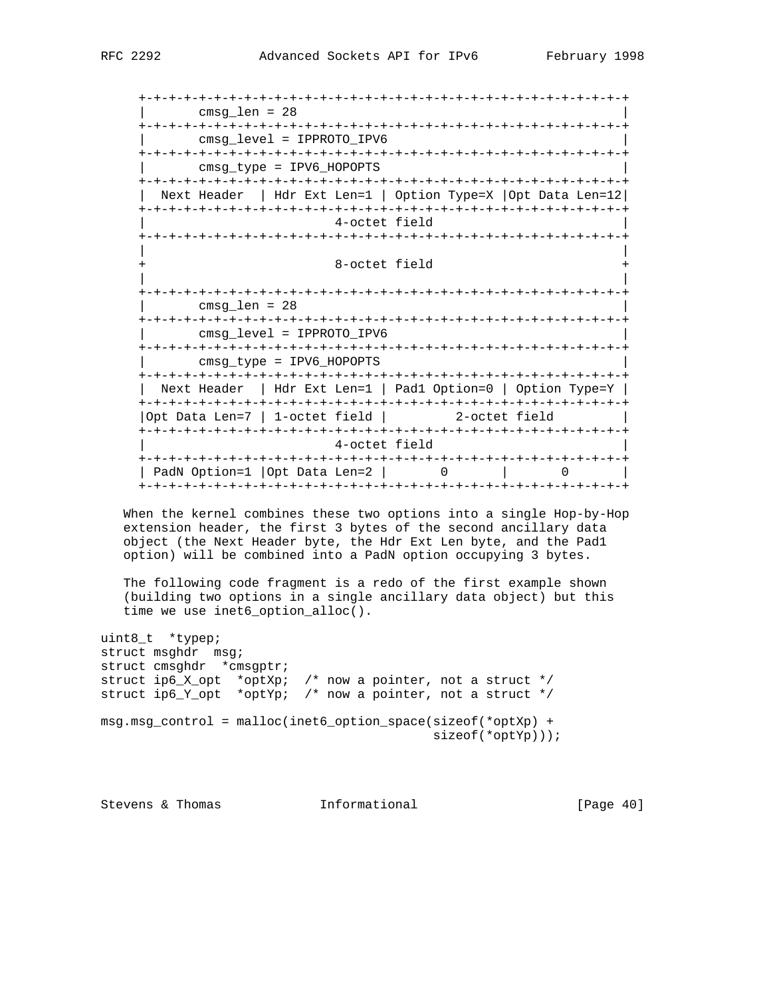+-+-+-+-+-+-+-+-+-+-+-+-+-+-+-+-+-+-+-+-+-+-+-+-+-+-+-+-+-+-+-+-+ | cmsg\_len = 28 | +-+-+-+-+-+-+-+-+-+-+-+-+-+-+-+-+-+-+-+-+-+-+-+-+-+-+-+-+-+-+-+-+ | cmsg\_level = IPPROTO\_IPV6 | +-+-+-+-+-+-+-+-+-+-+-+-+-+-+-+-+-+-+-+-+-+-+-+-+-+-+-+-+-+-+-+-+ | cmsg\_type = IPV6\_HOPOPTS | +-+-+-+-+-+-+-+-+-+-+-+-+-+-+-+-+-+-+-+-+-+-+-+-+-+-+-+-+-+-+-+-+ | Next Header | Hdr Ext Len=1 | Option Type=X |Opt Data Len=12| +-+-+-+-+-+-+-+-+-+-+-+-+-+-+-+-+-+-+-+-+-+-+-+-+-+-+-+-+-+-+-+-+ | 4-octet field | +-+-+-+-+-+-+-+-+-+-+-+-+-+-+-+-+-+-+-+-+-+-+-+-+-+-+-+-+-+-+-+-+ | | 8-octet field | | +-+-+-+-+-+-+-+-+-+-+-+-+-+-+-+-+-+-+-+-+-+-+-+-+-+-+-+-+-+-+-+-+ | cmsg\_len = 28 | +-+-+-+-+-+-+-+-+-+-+-+-+-+-+-+-+-+-+-+-+-+-+-+-+-+-+-+-+-+-+-+-+ | cmsg\_level = IPPROTO\_IPV6 | +-+-+-+-+-+-+-+-+-+-+-+-+-+-+-+-+-+-+-+-+-+-+-+-+-+-+-+-+-+-+-+-+ | cmsg\_type = IPV6\_HOPOPTS | +-+-+-+-+-+-+-+-+-+-+-+-+-+-+-+-+-+-+-+-+-+-+-+-+-+-+-+-+-+-+-+-+ | Next Header | Hdr Ext Len=1 | Pad1 Option=0 | Option Type=Y | +-+-+-+-+-+-+-+-+-+-+-+-+-+-+-+-+-+-+-+-+-+-+-+-+-+-+-+-+-+-+-+-+ |Opt Data Len=7 | 1-octet field | 2-octet field | +-+-+-+-+-+-+-+-+-+-+-+-+-+-+-+-+-+-+-+-+-+-+-+-+-+-+-+-+-+-+-+-+ | 4-octet field | +-+-+-+-+-+-+-+-+-+-+-+-+-+-+-+-+-+-+-+-+-+-+-+-+-+-+-+-+-+-+-+-+ | PadN Option=1 |Opt Data Len=2 | 0 | 0 +-+-+-+-+-+-+-+-+-+-+-+-+-+-+-+-+-+-+-+-+-+-+-+-+-+-+-+-+-+-+-+-+

 When the kernel combines these two options into a single Hop-by-Hop extension header, the first 3 bytes of the second ancillary data object (the Next Header byte, the Hdr Ext Len byte, and the Pad1 option) will be combined into a PadN option occupying 3 bytes.

 The following code fragment is a redo of the first example shown (building two options in a single ancillary data object) but this time we use inet6\_option\_alloc().

uint8\_t \*typep; struct msghdr msg; struct cmsghdr \*cmsgptr; struct ip6\_X\_opt \*optXp; /\* now a pointer, not a struct \*/ struct ip6\_Y\_opt \*optYp; /\* now a pointer, not a struct \*/ msg.msg\_control = malloc(inet6\_option\_space(sizeof(\*optXp) + sizeof(\*optYp)));

Stevens & Thomas **Informational** [Page 40]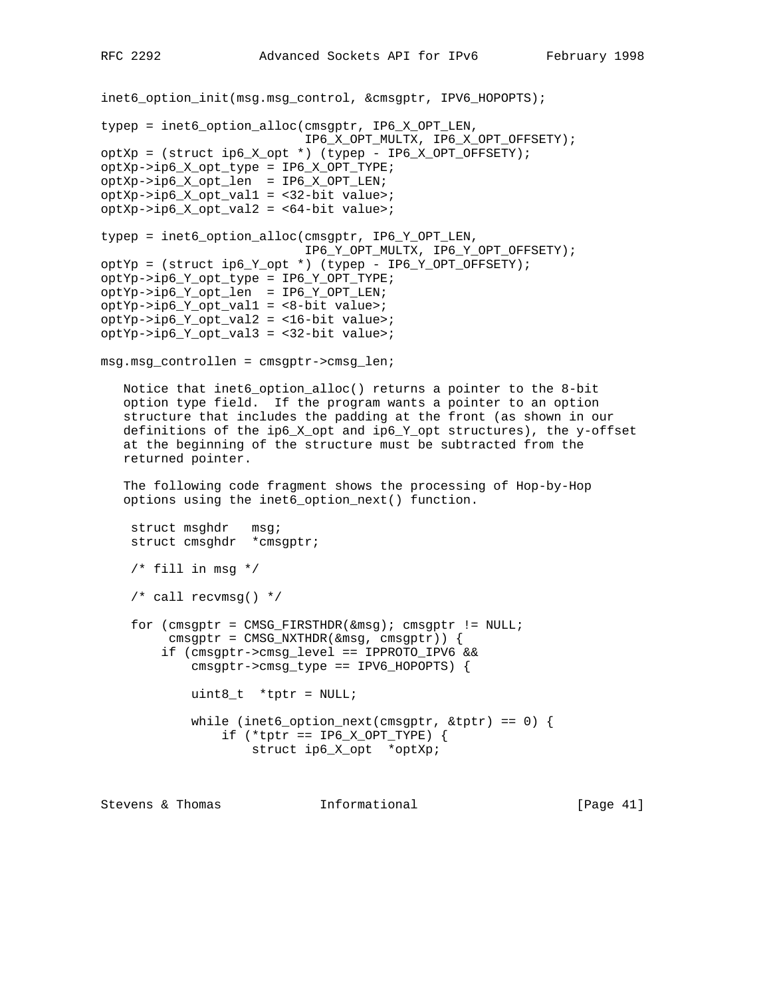```
inet6_option_init(msg.msg_control, &cmsgptr, IPV6_HOPOPTS);
typep = inet6_option_alloc(cmsgptr, IP6_X_OPT_LEN,
                            IP6_X_OPT_MULTX, IP6_X_OPT_OFFSETY);
optXp = (struct ip6_X_opt *) (typep - IP6_X_OPT_OFFSETY);
optXp->ip6_X_opt_type = IP6_X_OPT_TYPE;
optXp->ip6_X_opt_len = IP6_X_OPT_LEN;
optXp->ip6_X_opt_val1 = <32-bit value>;
optXp->ip6_X_opt_val2 = <64-bit value>;
typep = inet6_option_alloc(cmsgptr, IP6_Y_OPT_LEN,
                            IP6_Y_OPT_MULTX, IP6_Y_OPT_OFFSETY);
optYp = (struct ip6_Y_opt *) (typep - IP6_Y_OPT_OFFSETY);
optYp->ip6_Y_opt_type = IP6_Y_OPT_TYPE;
optYp->ip6_Y_opt_len = IP6_Y_OPT_LEN;
optYp->ip6_Y_opt_val1 = <8-bit value>;
optYp->ip6_Y_opt_val2 = <16-bit value>;
optYp->ip6_Y_opt_val3 = <32-bit value>;
msg.msg_controllen = cmsgptr->cmsg_len;
   Notice that inet6_option_alloc() returns a pointer to the 8-bit
    option type field. If the program wants a pointer to an option
    structure that includes the padding at the front (as shown in our
    definitions of the ip6_X_opt and ip6_Y_opt structures), the y-offset
    at the beginning of the structure must be subtracted from the
    returned pointer.
    The following code fragment shows the processing of Hop-by-Hop
    options using the inet6_option_next() function.
    struct msghdr msg;
     struct cmsghdr *cmsgptr;
    /* fill in msg */
     /* call recvmsg() */
     for (cmsgptr = CMSG_FIRSTHDR(&msg); cmsgptr != NULL;
          cmsgptr = CMSG_NXTHDR(&msg, cmsgptr)) {
         if (cmsgptr->cmsg_level == IPPROTO_IPV6 &&
             cmsgptr->cmsg_type == IPV6_HOPOPTS) {
             uint8_t *tptr = NULL;
            while (inet6_option_next(cmsgptr, &ttptr) == 0) {
                 if (*tptr == IP6_X_OPT_TYPE) {
                     struct ip6_X_opt *optXp;
```
Stevens & Thomas **Informational** [Page 41]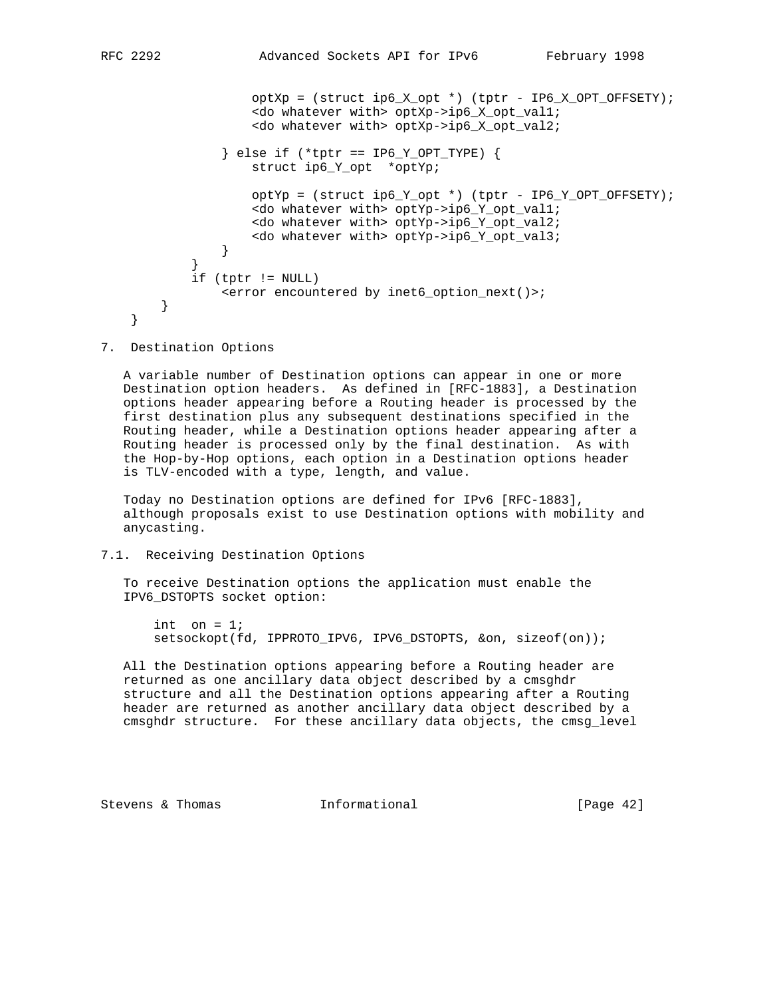```
 <do whatever with> optXp->ip6_X_opt_val2;
                } else if (*tptr == IP6_Y_OPT_TYPE) {
                    struct ip6_Y_opt *optYp;
                   optYp = (struct ip6_Y-opt *) (tptr - IP6_Y_OPT_OFFSETY);
                    <do whatever with> optYp->ip6_Y_opt_val1;
                    <do whatever with> optYp->ip6_Y_opt_val2;
                <do whatever with> optYp->ip6_Y_opt_val3;
 }
 }
            if (tptr != NULL)
                <error encountered by inet6_option_next()>;
        }
    }
```
7. Destination Options

 A variable number of Destination options can appear in one or more Destination option headers. As defined in [RFC-1883], a Destination options header appearing before a Routing header is processed by the first destination plus any subsequent destinations specified in the Routing header, while a Destination options header appearing after a Routing header is processed only by the final destination. As with the Hop-by-Hop options, each option in a Destination options header is TLV-encoded with a type, length, and value.

 Today no Destination options are defined for IPv6 [RFC-1883], although proposals exist to use Destination options with mobility and anycasting.

# 7.1. Receiving Destination Options

 To receive Destination options the application must enable the IPV6\_DSTOPTS socket option:

int on  $= 1$ ; setsockopt(fd, IPPROTO\_IPV6, IPV6\_DSTOPTS, &on, sizeof(on));

 All the Destination options appearing before a Routing header are returned as one ancillary data object described by a cmsghdr structure and all the Destination options appearing after a Routing header are returned as another ancillary data object described by a cmsghdr structure. For these ancillary data objects, the cmsg\_level

Stevens & Thomas **Informational** [Page 42]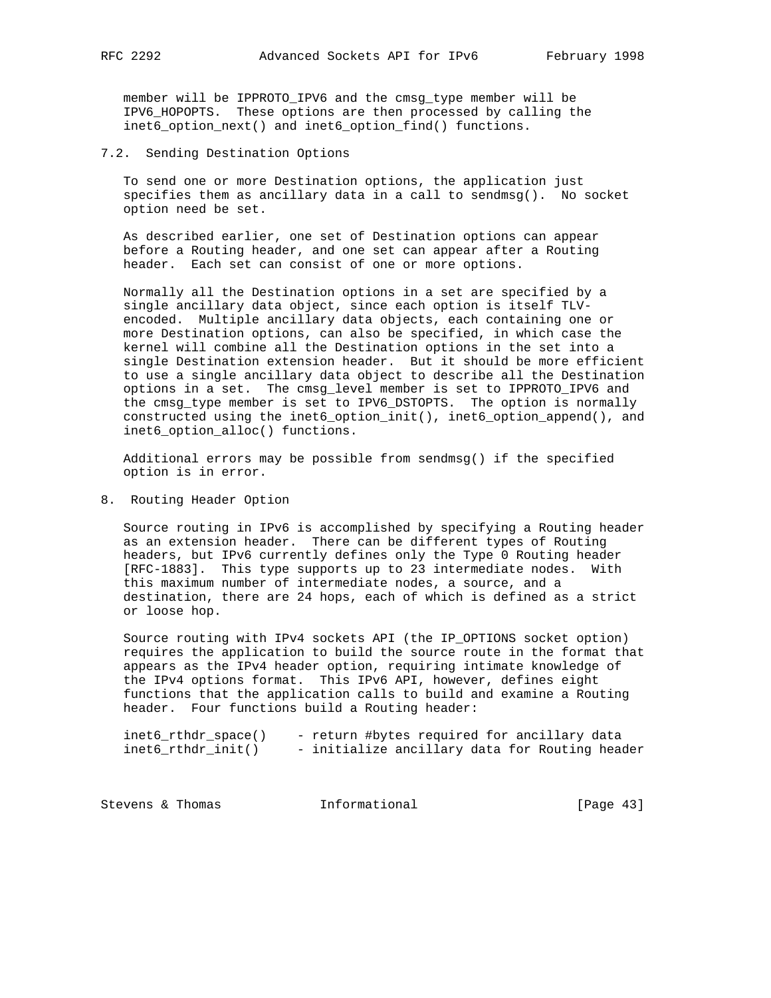member will be IPPROTO\_IPV6 and the cmsg\_type member will be IPV6\_HOPOPTS. These options are then processed by calling the inet6\_option\_next() and inet6\_option\_find() functions.

7.2. Sending Destination Options

 To send one or more Destination options, the application just specifies them as ancillary data in a call to sendmsg(). No socket option need be set.

 As described earlier, one set of Destination options can appear before a Routing header, and one set can appear after a Routing header. Each set can consist of one or more options.

 Normally all the Destination options in a set are specified by a single ancillary data object, since each option is itself TLV encoded. Multiple ancillary data objects, each containing one or more Destination options, can also be specified, in which case the kernel will combine all the Destination options in the set into a single Destination extension header. But it should be more efficient to use a single ancillary data object to describe all the Destination options in a set. The cmsg\_level member is set to IPPROTO\_IPV6 and the cmsg\_type member is set to IPV6\_DSTOPTS. The option is normally constructed using the inet6\_option\_init(), inet6\_option\_append(), and inet6\_option\_alloc() functions.

 Additional errors may be possible from sendmsg() if the specified option is in error.

8. Routing Header Option

 Source routing in IPv6 is accomplished by specifying a Routing header as an extension header. There can be different types of Routing headers, but IPv6 currently defines only the Type 0 Routing header [RFC-1883]. This type supports up to 23 intermediate nodes. With this maximum number of intermediate nodes, a source, and a destination, there are 24 hops, each of which is defined as a strict or loose hop.

 Source routing with IPv4 sockets API (the IP\_OPTIONS socket option) requires the application to build the source route in the format that appears as the IPv4 header option, requiring intimate knowledge of the IPv4 options format. This IPv6 API, however, defines eight functions that the application calls to build and examine a Routing header. Four functions build a Routing header:

| $inet6_rthdr_space()$ | - return #bytes required for ancillary data    |  |
|-----------------------|------------------------------------------------|--|
| inet6_rthdr_init()    | - initialize ancillary data for Routing header |  |

| [Page $43$ ]<br>Informational<br>Stevens & Thomas |  |
|---------------------------------------------------|--|
|---------------------------------------------------|--|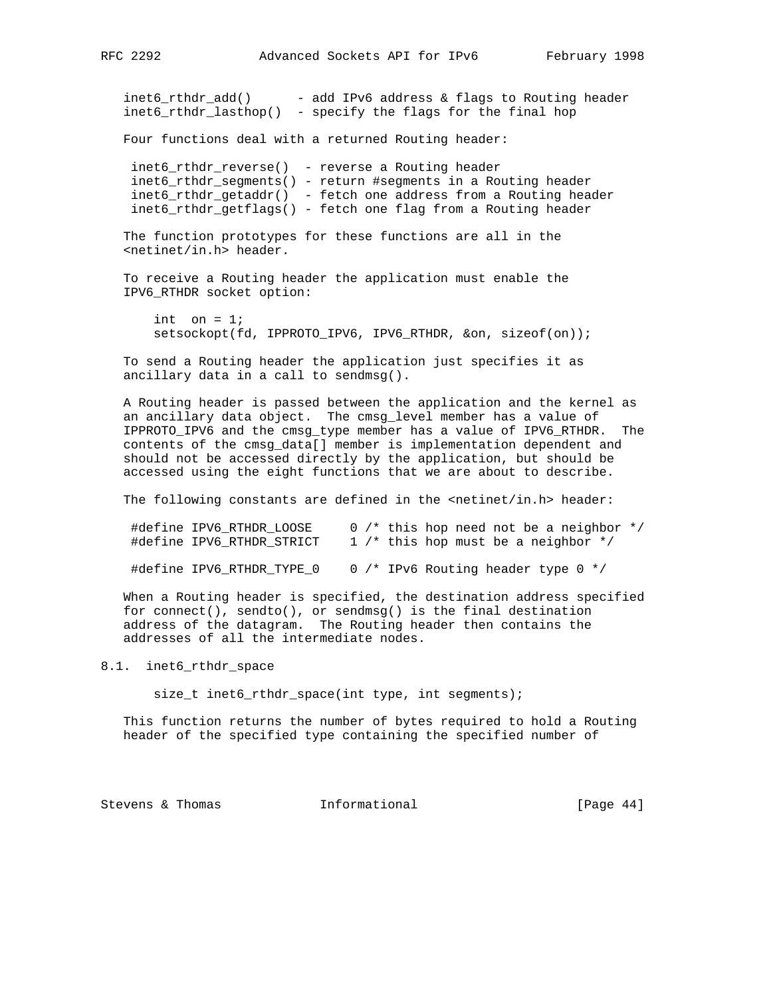$inet6_rthdr\_add()$  - add IPv6 address & flags to Routing header inet6\_rthdr\_lasthop() - specify the flags for the final hop

Four functions deal with a returned Routing header:

 inet6\_rthdr\_reverse() - reverse a Routing header inet6\_rthdr\_segments() - return #segments in a Routing header inet6\_rthdr\_getaddr() - fetch one address from a Routing header inet6\_rthdr\_getflags() - fetch one flag from a Routing header

 The function prototypes for these functions are all in the <netinet/in.h> header.

 To receive a Routing header the application must enable the IPV6\_RTHDR socket option:

int on  $= 1$ ; setsockopt(fd, IPPROTO\_IPV6, IPV6\_RTHDR, &on, sizeof(on));

 To send a Routing header the application just specifies it as ancillary data in a call to sendmsg().

 A Routing header is passed between the application and the kernel as an ancillary data object. The cmsg\_level member has a value of IPPROTO\_IPV6 and the cmsg\_type member has a value of IPV6\_RTHDR. The contents of the cmsg\_data[] member is implementation dependent and should not be accessed directly by the application, but should be accessed using the eight functions that we are about to describe.

The following constants are defined in the <netinet/in.h> header:

 #define IPV6\_RTHDR\_LOOSE 0 /\* this hop need not be a neighbor \*/ #define IPV6\_RTHDR\_STRICT 1 /\* this hop must be a neighbor \*/

#define IPV6\_RTHDR\_TYPE\_0 0 /\* IPv6 Routing header type 0 \*/

 When a Routing header is specified, the destination address specified for connect(), sendto(), or sendmsg() is the final destination address of the datagram. The Routing header then contains the addresses of all the intermediate nodes.

# 8.1. inet6\_rthdr\_space

size\_t inet6\_rthdr\_space(int type, int segments);

 This function returns the number of bytes required to hold a Routing header of the specified type containing the specified number of

Stevens & Thomas **Informational** [Page 44]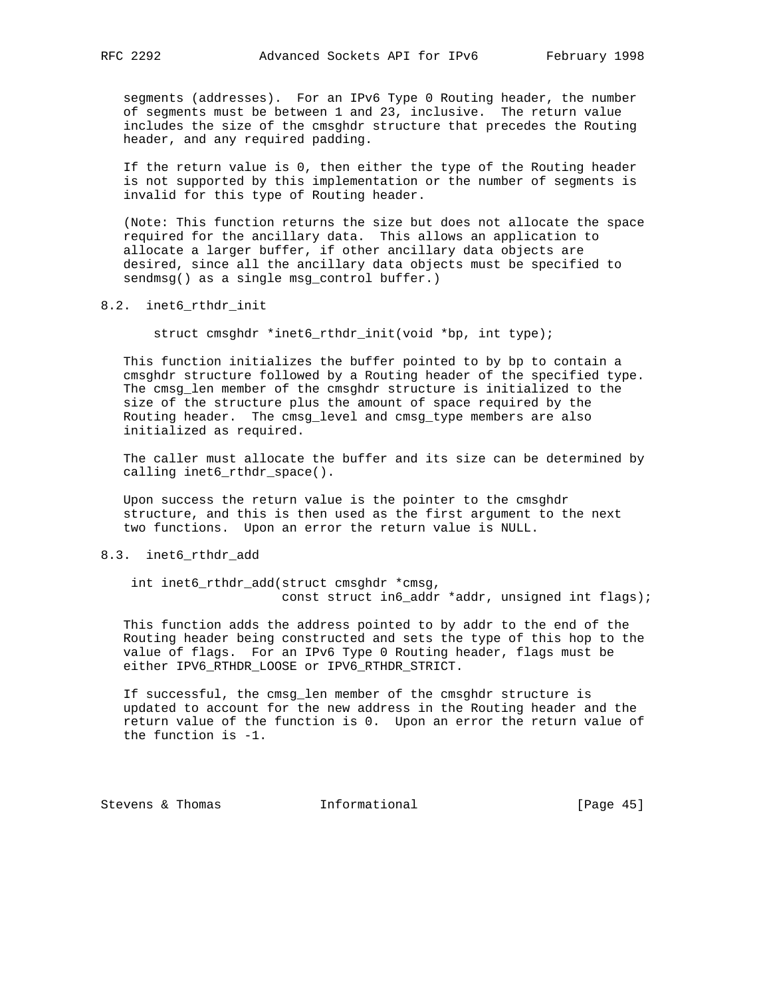segments (addresses). For an IPv6 Type 0 Routing header, the number of segments must be between 1 and 23, inclusive. The return value includes the size of the cmsghdr structure that precedes the Routing header, and any required padding.

 If the return value is 0, then either the type of the Routing header is not supported by this implementation or the number of segments is invalid for this type of Routing header.

 (Note: This function returns the size but does not allocate the space required for the ancillary data. This allows an application to allocate a larger buffer, if other ancillary data objects are desired, since all the ancillary data objects must be specified to sendmsg() as a single msg\_control buffer.)

8.2. inet6\_rthdr\_init

struct cmsghdr \*inet6\_rthdr\_init(void \*bp, int type);

 This function initializes the buffer pointed to by bp to contain a cmsghdr structure followed by a Routing header of the specified type. The cmsg\_len member of the cmsghdr structure is initialized to the size of the structure plus the amount of space required by the Routing header. The cmsg\_level and cmsg\_type members are also initialized as required.

 The caller must allocate the buffer and its size can be determined by calling inet6\_rthdr\_space().

 Upon success the return value is the pointer to the cmsghdr structure, and this is then used as the first argument to the next two functions. Upon an error the return value is NULL.

# 8.3. inet6\_rthdr\_add

 int inet6\_rthdr\_add(struct cmsghdr \*cmsg, const struct in6\_addr \*addr, unsigned int flags);

 This function adds the address pointed to by addr to the end of the Routing header being constructed and sets the type of this hop to the value of flags. For an IPv6 Type 0 Routing header, flags must be either IPV6\_RTHDR\_LOOSE or IPV6\_RTHDR\_STRICT.

 If successful, the cmsg\_len member of the cmsghdr structure is updated to account for the new address in the Routing header and the return value of the function is 0. Upon an error the return value of the function is -1.

Stevens & Thomas **Informational** [Page 45]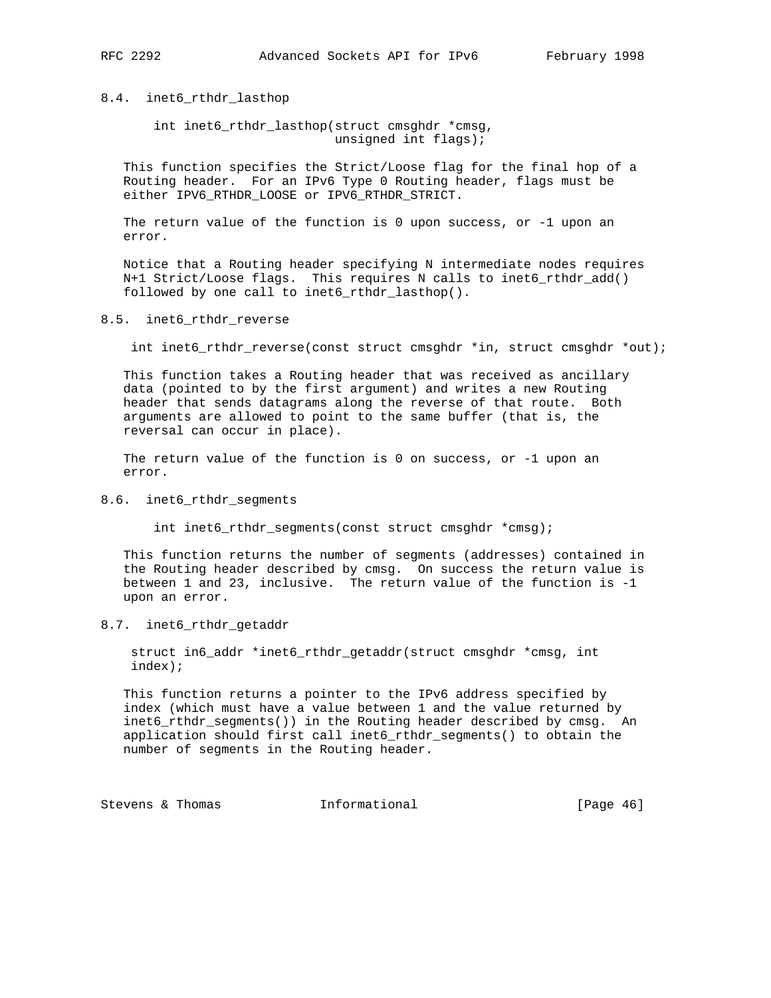8.4. inet6\_rthdr\_lasthop

 int inet6\_rthdr\_lasthop(struct cmsghdr \*cmsg, unsigned int flags);

 This function specifies the Strict/Loose flag for the final hop of a Routing header. For an IPv6 Type 0 Routing header, flags must be either IPV6\_RTHDR\_LOOSE or IPV6\_RTHDR\_STRICT.

The return value of the function is  $0$  upon success, or  $-1$  upon an error.

 Notice that a Routing header specifying N intermediate nodes requires N+1 Strict/Loose flags. This requires N calls to inet6\_rthdr\_add() followed by one call to inet6\_rthdr\_lasthop().

# 8.5. inet6\_rthdr\_reverse

int inet6\_rthdr\_reverse(const struct cmsghdr \*in, struct cmsghdr \*out);

 This function takes a Routing header that was received as ancillary data (pointed to by the first argument) and writes a new Routing header that sends datagrams along the reverse of that route. Both arguments are allowed to point to the same buffer (that is, the reversal can occur in place).

 The return value of the function is 0 on success, or -1 upon an error.

#### 8.6. inet6\_rthdr\_segments

int inet6\_rthdr\_segments(const struct cmsghdr \*cmsg);

 This function returns the number of segments (addresses) contained in the Routing header described by cmsg. On success the return value is between 1 and 23, inclusive. The return value of the function is -1 upon an error.

#### 8.7. inet6\_rthdr\_getaddr

 struct in6\_addr \*inet6\_rthdr\_getaddr(struct cmsghdr \*cmsg, int index);

 This function returns a pointer to the IPv6 address specified by index (which must have a value between 1 and the value returned by inet6\_rthdr\_segments()) in the Routing header described by cmsg. An application should first call inet6\_rthdr\_segments() to obtain the number of segments in the Routing header.

Stevens & Thomas **Informational** [Page 46]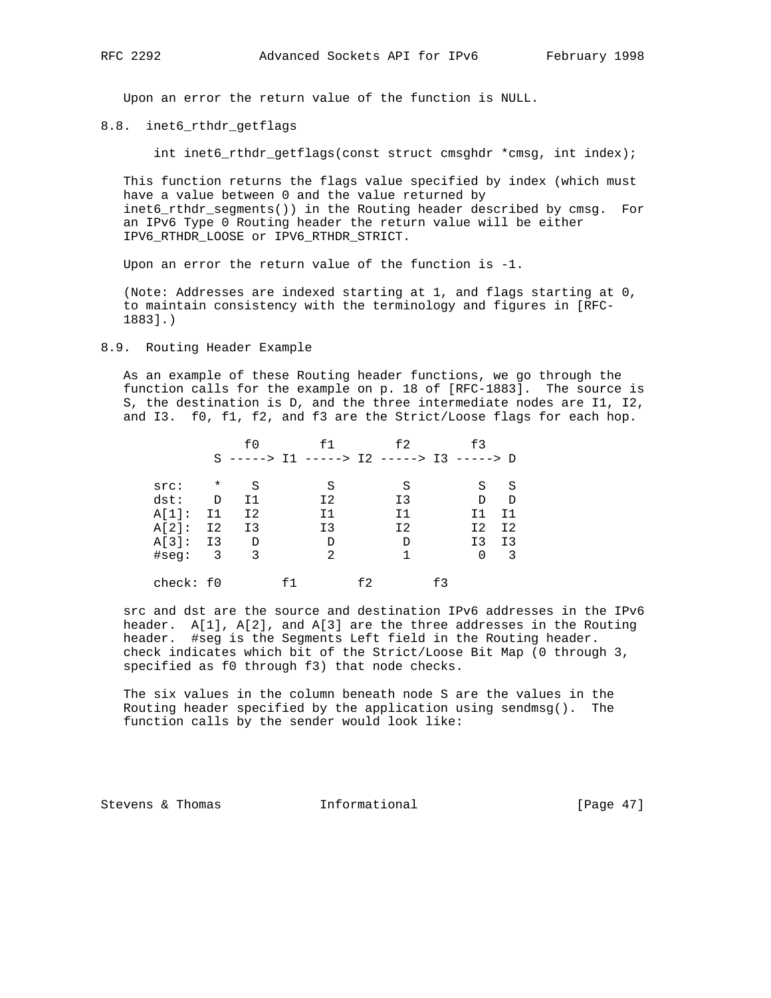Upon an error the return value of the function is NULL.

## 8.8. inet6\_rthdr\_getflags

int inet6\_rthdr\_getflags(const struct cmsghdr \*cmsg, int index);

 This function returns the flags value specified by index (which must have a value between 0 and the value returned by inet6\_rthdr\_segments()) in the Routing header described by cmsg. For an IPv6 Type 0 Routing header the return value will be either IPV6\_RTHDR\_LOOSE or IPV6\_RTHDR\_STRICT.

Upon an error the return value of the function is -1.

 (Note: Addresses are indexed starting at 1, and flags starting at 0, to maintain consistency with the terminology and figures in [RFC- 1883].)

## 8.9. Routing Header Example

 As an example of these Routing header functions, we go through the function calls for the example on p. 18 of [RFC-1883]. The source is S, the destination is D, and the three intermediate nodes are I1, I2, and I3. f0, f1, f2, and f3 are the Strict/Loose flags for each hop.

|           |         | f0             | f 1                                            |      | £2 |     | £3             |                |
|-----------|---------|----------------|------------------------------------------------|------|----|-----|----------------|----------------|
|           |         |                | S -----> $I1$ -----> $I2$ -----> $I3$ -----> D |      |    |     |                |                |
| src:      | $\star$ | S              | S                                              |      | S  |     | S              | S              |
| dst:      | D       | Ι1             | I2                                             |      | I3 |     | D              | D              |
| $A[1]$ :  | I1      | I <sub>2</sub> | T 1                                            |      | I1 |     | Ι1             | T 1            |
| $A[2]$ :  | I2      | I <sub>3</sub> | I3                                             |      | I2 |     | I2             | I <sub>2</sub> |
| $A[3]$ :  | Ι3      | D              | D                                              |      | D  |     | I <sub>3</sub> | I3             |
| #seq:     | 3       | 3              | $\mathfrak{D}$                                 |      |    |     | 0              | 3              |
| check: f0 |         |                |                                                | f 2. |    | f 3 |                |                |

 src and dst are the source and destination IPv6 addresses in the IPv6 header. A[1], A[2], and A[3] are the three addresses in the Routing header. #seg is the Segments Left field in the Routing header. check indicates which bit of the Strict/Loose Bit Map (0 through 3, specified as f0 through f3) that node checks.

 The six values in the column beneath node S are the values in the Routing header specified by the application using sendmsg(). The function calls by the sender would look like:

Stevens & Thomas **Informational** [Page 47]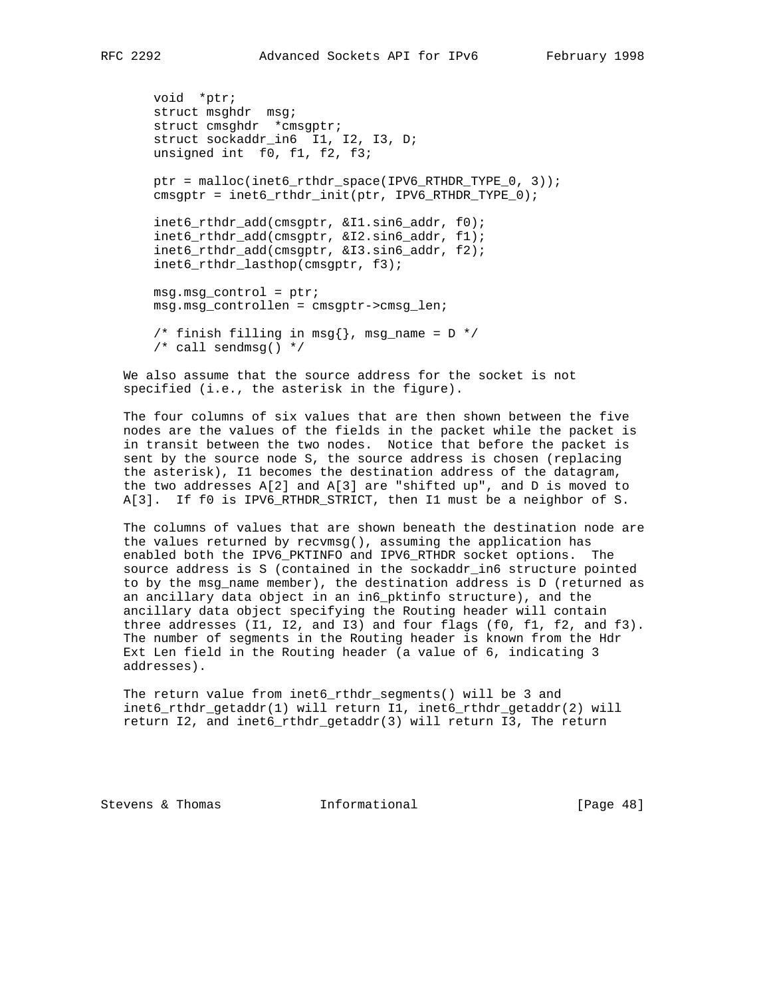```
 void *ptr;
 struct msghdr msg;
struct cmsghdr *cmsgptr;
 struct sockaddr_in6 I1, I2, I3, D;
 unsigned int f0, f1, f2, f3;
 ptr = malloc(inet6_rthdr_space(IPV6_RTHDR_TYPE_0, 3));
 cmsgptr = inet6_rthdr_init(ptr, IPV6_RTHDR_TYPE_0);
inet6 rthdr add(cmsqptr, &I1.sin6 addr, f0);
 inet6_rthdr_add(cmsgptr, &I2.sin6_addr, f1);
 inet6_rthdr_add(cmsgptr, &I3.sin6_addr, f2);
 inet6_rthdr_lasthop(cmsgptr, f3);
 msg.msg_control = ptr;
 msg.msg_controllen = cmsgptr->cmsg_len;
/* finish filling in msg{}, msg_name = D */
 /* call sendmsg() */
```
 We also assume that the source address for the socket is not specified (i.e., the asterisk in the figure).

 The four columns of six values that are then shown between the five nodes are the values of the fields in the packet while the packet is in transit between the two nodes. Notice that before the packet is sent by the source node S, the source address is chosen (replacing the asterisk), I1 becomes the destination address of the datagram, the two addresses A[2] and A[3] are "shifted up", and D is moved to A[3]. If f0 is IPV6\_RTHDR\_STRICT, then I1 must be a neighbor of S.

 The columns of values that are shown beneath the destination node are the values returned by recvmsg(), assuming the application has enabled both the IPV6\_PKTINFO and IPV6\_RTHDR socket options. The source address is S (contained in the sockaddr\_in6 structure pointed to by the msg\_name member), the destination address is D (returned as an ancillary data object in an in6\_pktinfo structure), and the ancillary data object specifying the Routing header will contain three addresses (I1, I2, and I3) and four flags (f0, f1, f2, and f3). The number of segments in the Routing header is known from the Hdr Ext Len field in the Routing header (a value of 6, indicating 3 addresses).

 The return value from inet6\_rthdr\_segments() will be 3 and inet6\_rthdr\_getaddr(1) will return I1, inet6\_rthdr\_getaddr(2) will return I2, and inet6\_rthdr\_getaddr(3) will return I3, The return

Stevens & Thomas **Informational** [Page 48]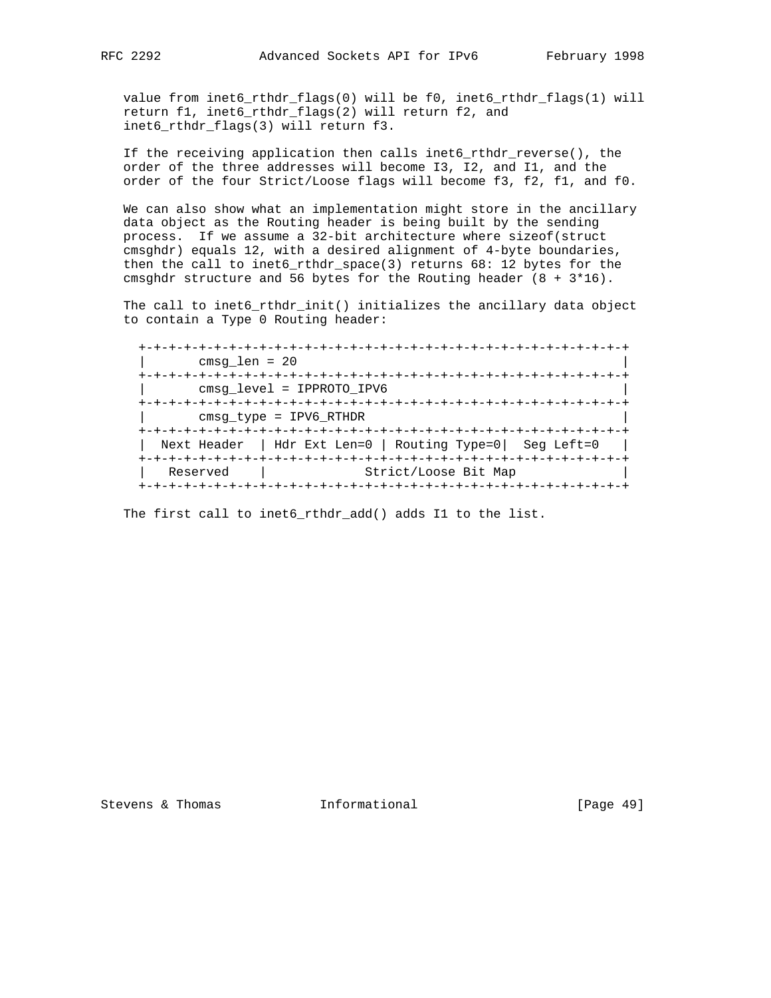value from inet6\_rthdr\_flags(0) will be f0, inet6\_rthdr\_flags(1) will return f1, inet6\_rthdr\_flags(2) will return f2, and inet6\_rthdr\_flags(3) will return f3.

 If the receiving application then calls inet6\_rthdr\_reverse(), the order of the three addresses will become I3, I2, and I1, and the order of the four Strict/Loose flags will become f3, f2, f1, and f0.

 We can also show what an implementation might store in the ancillary data object as the Routing header is being built by the sending process. If we assume a 32-bit architecture where sizeof(struct cmsghdr) equals 12, with a desired alignment of 4-byte boundaries, then the call to inet6\_rthdr\_space(3) returns 68: 12 bytes for the cmsghdr structure and 56 bytes for the Routing header  $(8 + 3*16)$ .

 The call to inet6\_rthdr\_init() initializes the ancillary data object to contain a Type 0 Routing header:

 +-+-+-+-+-+-+-+-+-+-+-+-+-+-+-+-+-+-+-+-+-+-+-+-+-+-+-+-+-+-+-+-+ | cmsg\_len = 20 | +-+-+-+-+-+-+-+-+-+-+-+-+-+-+-+-+-+-+-+-+-+-+-+-+-+-+-+-+-+-+-+-+ | cmsg\_level = IPPROTO\_IPV6 | +-+-+-+-+-+-+-+-+-+-+-+-+-+-+-+-+-+-+-+-+-+-+-+-+-+-+-+-+-+-+-+-+ | cmsg\_type = IPV6\_RTHDR | +-+-+-+-+-+-+-+-+-+-+-+-+-+-+-+-+-+-+-+-+-+-+-+-+-+-+-+-+-+-+-+-+ | Next Header | Hdr Ext Len=0 | Routing Type=0| Seg Left=0 | +-+-+-+-+-+-+-+-+-+-+-+-+-+-+-+-+-+-+-+-+-+-+-+-+-+-+-+-+-+-+-+-+ Reserved | Strict/Loose Bit Map +-+-+-+-+-+-+-+-+-+-+-+-+-+-+-+-+-+-+-+-+-+-+-+-+-+-+-+-+-+-+-+-+

The first call to inet6 rthdr add() adds I1 to the list.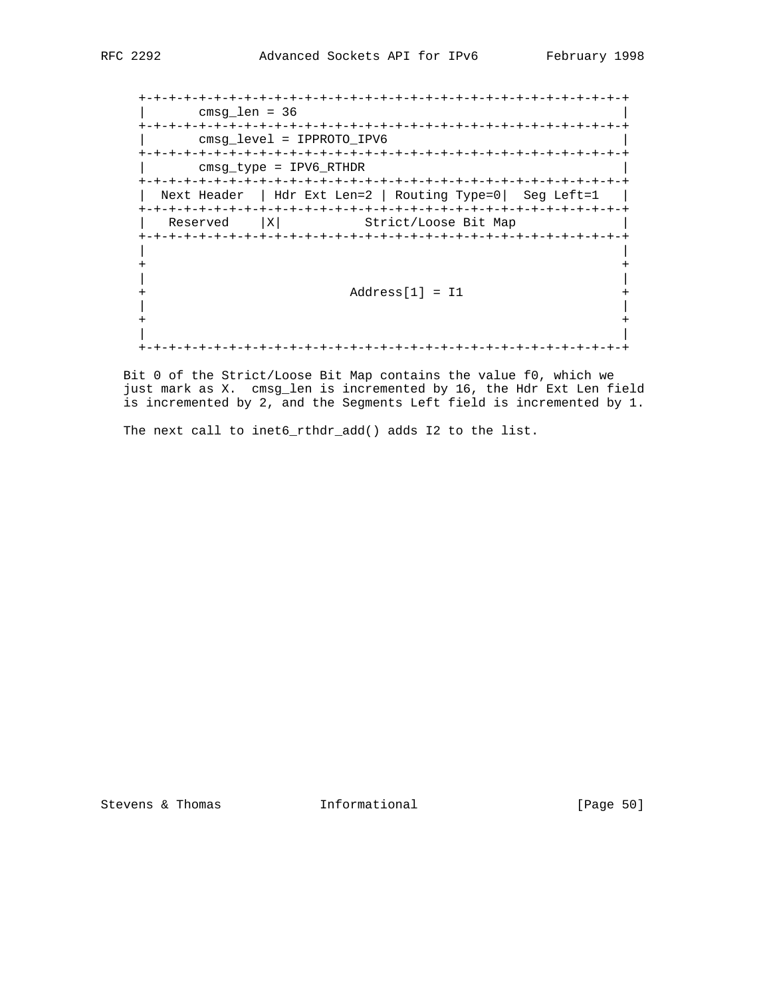```
 +-+-+-+-+-+-+-+-+-+-+-+-+-+-+-+-+-+-+-+-+-+-+-+-+-+-+-+-+-+-+-+-+
    | cmsg_len = 36 |
    +-+-+-+-+-+-+-+-+-+-+-+-+-+-+-+-+-+-+-+-+-+-+-+-+-+-+-+-+-+-+-+-+
    | cmsg_level = IPPROTO_IPV6 |
   +-+-+-+-+-+-+-+-+-+-+-+-+-+-+-+-+-+-+-+-+-+-+-+-+-+-+-+-+-+-+-+-+
      | cmsg_type = IPV6_RTHDR |
    +-+-+-+-+-+-+-+-+-+-+-+-+-+-+-+-+-+-+-+-+-+-+-+-+-+-+-+-+-+-+-+-+
    | Next Header | Hdr Ext Len=2 | Routing Type=0| Seg Left=1 |
    +-+-+-+-+-+-+-+-+-+-+-+-+-+-+-+-+-+-+-+-+-+-+-+-+-+-+-+-+-+-+-+-+
    Reserved | X | Strict/Loose Bit Map
    +-+-+-+-+-+-+-+-+-+-+-+-+-+-+-+-+-+-+-+-+-+-+-+-+-+-+-+-+-+-+-+-+
 | |
 + +
 | |
   + \qquad \qquad \text{Address[1] = 11} +
 | |
 + +
 | |
   +-+-+-+-+-+-+-+-+-+-+-+-+-+-+-+-+-+-+-+-+-+-+-+-+-+-+-+-+-+-+-+-+
```
 Bit 0 of the Strict/Loose Bit Map contains the value f0, which we just mark as X. cmsg\_len is incremented by 16, the Hdr Ext Len field is incremented by 2, and the Segments Left field is incremented by 1.

The next call to inet6\_rthdr\_add() adds I2 to the list.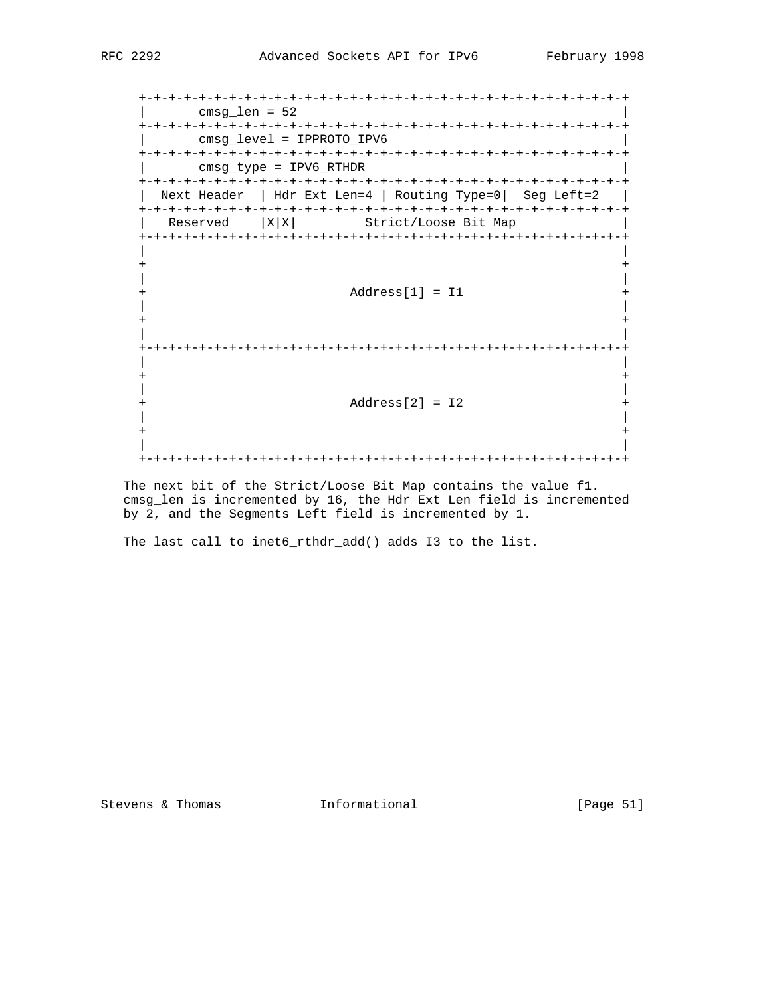+-+-+-+-+-+-+-+-+-+-+-+-+-+-+-+-+-+-+-+-+-+-+-+-+-+-+-+-+-+-+-+-+  $\lvert$  cmsg\_len = 52 +-+-+-+-+-+-+-+-+-+-+-+-+-+-+-+-+-+-+-+-+-+-+-+-+-+-+-+-+-+-+-+-+ | cmsg\_level = IPPROTO\_IPV6 | +-+-+-+-+-+-+-+-+-+-+-+-+-+-+-+-+-+-+-+-+-+-+-+-+-+-+-+-+-+-+-+-+ | cmsg\_type = IPV6\_RTHDR | +-+-+-+-+-+-+-+-+-+-+-+-+-+-+-+-+-+-+-+-+-+-+-+-+-+-+-+-+-+-+-+-+ Next Header | Hdr Ext Len=4 | Routing Type=0| Seg Left=2 | +-+-+-+-+-+-+-+-+-+-+-+-+-+-+-+-+-+-+-+-+-+-+-+-+-+-+-+-+-+-+-+-+ Reserved | X|X| Strict/Loose Bit Map +-+-+-+-+-+-+-+-+-+-+-+-+-+-+-+-+-+-+-+-+-+-+-+-+-+-+-+-+-+-+-+-+ | | + + | | + Address[1] = I1 + | | + + | | +-+-+-+-+-+-+-+-+-+-+-+-+-+-+-+-+-+-+-+-+-+-+-+-+-+-+-+-+-+-+-+-+ | | + + | | + Address[2] = I2 + | | + + | | +-+-+-+-+-+-+-+-+-+-+-+-+-+-+-+-+-+-+-+-+-+-+-+-+-+-+-+-+-+-+-+-+

 The next bit of the Strict/Loose Bit Map contains the value f1. cmsg\_len is incremented by 16, the Hdr Ext Len field is incremented by 2, and the Segments Left field is incremented by 1.

The last call to inet6\_rthdr\_add() adds I3 to the list.

Stevens & Thomas 1nformational [Page 51]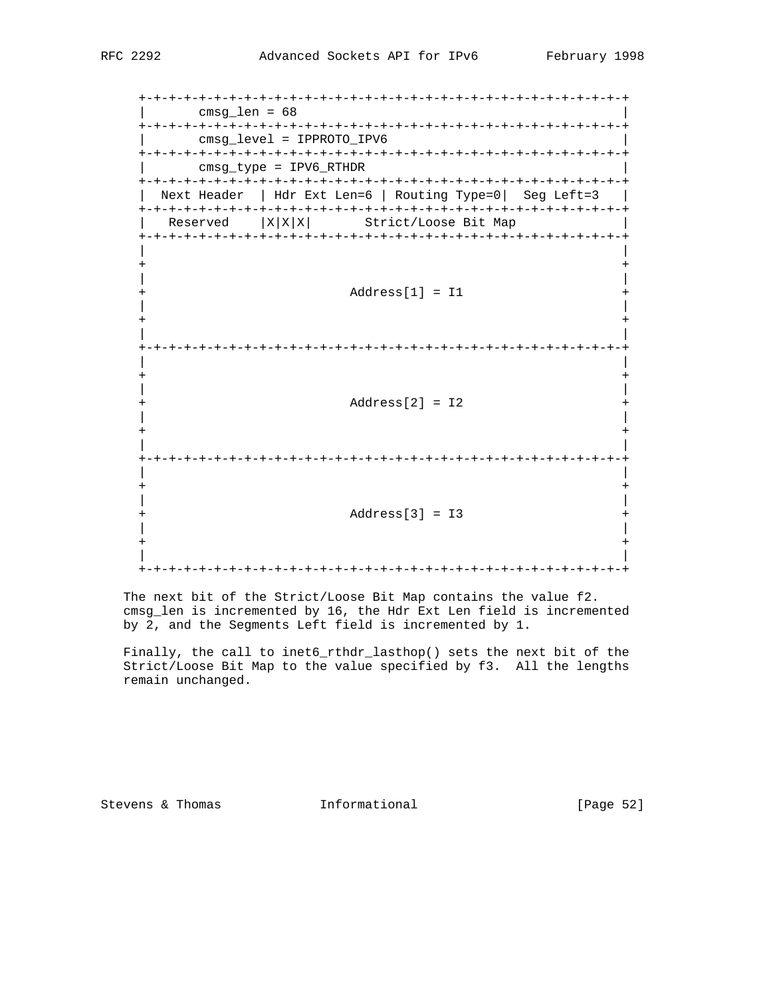+-+-+-+-+-+-+-+-+-+-+-+-+-+-+-+-+-+-+-+-+-+-+-+-+-+-+-+-+-+-+-+-+ | cmsg\_len = 68 | +-+-+-+-+-+-+-+-+-+-+-+-+-+-+-+-+-+-+-+-+-+-+-+-+-+-+-+-+-+-+-+-+ | cmsg\_level = IPPROTO\_IPV6 | +-+-+-+-+-+-+-+-+-+-+-+-+-+-+-+-+-+-+-+-+-+-+-+-+-+-+-+-+-+-+-+-+ | cmsg\_type = IPV6\_RTHDR | +-+-+-+-+-+-+-+-+-+-+-+-+-+-+-+-+-+-+-+-+-+-+-+-+-+-+-+-+-+-+-+-+ Next Header | Hdr Ext Len=6 | Routing Type=0| Seg Left=3 | +-+-+-+-+-+-+-+-+-+-+-+-+-+-+-+-+-+-+-+-+-+-+-+-+-+-+-+-+-+-+-+-+  $Reserved$  |  $X|X|X$ | Strict/Loose Bit Map +-+-+-+-+-+-+-+-+-+-+-+-+-+-+-+-+-+-+-+-+-+-+-+-+-+-+-+-+-+-+-+-+ | | + + | | + Address[1] = I1 + | | + + | | +-+-+-+-+-+-+-+-+-+-+-+-+-+-+-+-+-+-+-+-+-+-+-+-+-+-+-+-+-+-+-+-+ | | + + | | + Address[2] = I2 + | | + + | | +-+-+-+-+-+-+-+-+-+-+-+-+-+-+-+-+-+-+-+-+-+-+-+-+-+-+-+-+-+-+-+-+ | | + + | | + Address[3] = I3 + | | + + | | +-+-+-+-+-+-+-+-+-+-+-+-+-+-+-+-+-+-+-+-+-+-+-+-+-+-+-+-+-+-+-+-+

 The next bit of the Strict/Loose Bit Map contains the value f2. cmsg\_len is incremented by 16, the Hdr Ext Len field is incremented by 2, and the Segments Left field is incremented by 1.

 Finally, the call to inet6\_rthdr\_lasthop() sets the next bit of the Strict/Loose Bit Map to the value specified by f3. All the lengths remain unchanged.

Stevens & Thomas **Informational Informational** [Page 52]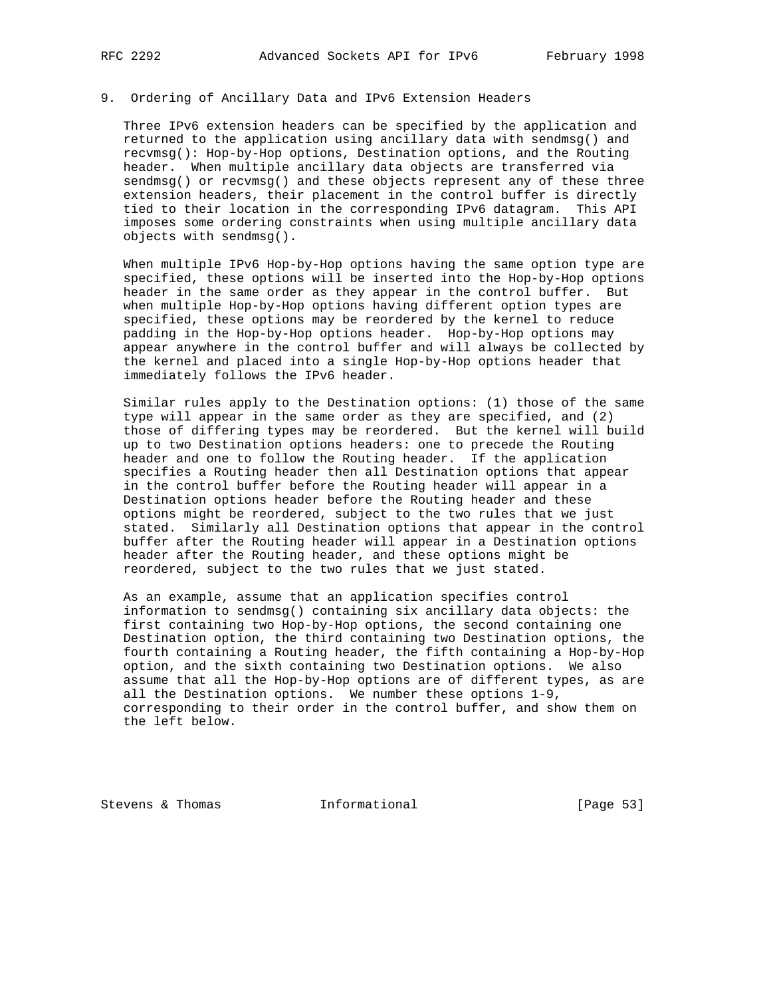#### 9. Ordering of Ancillary Data and IPv6 Extension Headers

 Three IPv6 extension headers can be specified by the application and returned to the application using ancillary data with sendmsg() and recvmsg(): Hop-by-Hop options, Destination options, and the Routing header. When multiple ancillary data objects are transferred via sendmsg() or recvmsg() and these objects represent any of these three extension headers, their placement in the control buffer is directly tied to their location in the corresponding IPv6 datagram. This API imposes some ordering constraints when using multiple ancillary data objects with sendmsg().

 When multiple IPv6 Hop-by-Hop options having the same option type are specified, these options will be inserted into the Hop-by-Hop options header in the same order as they appear in the control buffer. But when multiple Hop-by-Hop options having different option types are specified, these options may be reordered by the kernel to reduce padding in the Hop-by-Hop options header. Hop-by-Hop options may appear anywhere in the control buffer and will always be collected by the kernel and placed into a single Hop-by-Hop options header that immediately follows the IPv6 header.

 Similar rules apply to the Destination options: (1) those of the same type will appear in the same order as they are specified, and (2) those of differing types may be reordered. But the kernel will build up to two Destination options headers: one to precede the Routing header and one to follow the Routing header. If the application specifies a Routing header then all Destination options that appear in the control buffer before the Routing header will appear in a Destination options header before the Routing header and these options might be reordered, subject to the two rules that we just stated. Similarly all Destination options that appear in the control buffer after the Routing header will appear in a Destination options header after the Routing header, and these options might be reordered, subject to the two rules that we just stated.

 As an example, assume that an application specifies control information to sendmsg() containing six ancillary data objects: the first containing two Hop-by-Hop options, the second containing one Destination option, the third containing two Destination options, the fourth containing a Routing header, the fifth containing a Hop-by-Hop option, and the sixth containing two Destination options. We also assume that all the Hop-by-Hop options are of different types, as are all the Destination options. We number these options 1-9, corresponding to their order in the control buffer, and show them on the left below.

Stevens & Thomas **Informational** [Page 53]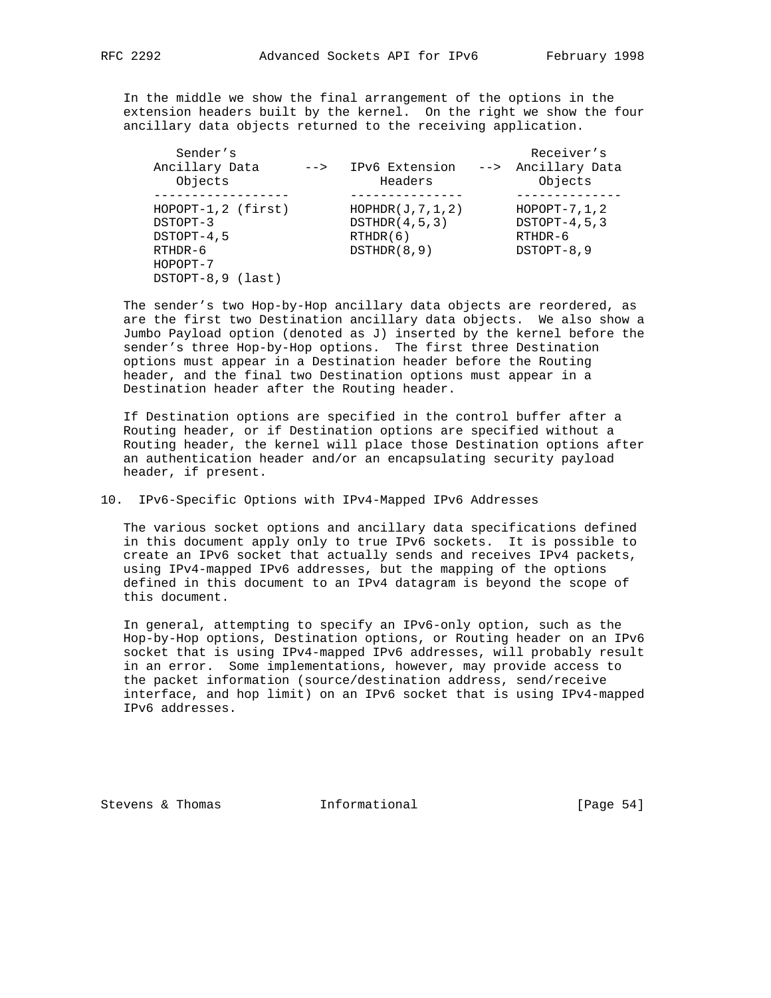In the middle we show the final arrangement of the options in the extension headers built by the kernel. On the right we show the four ancillary data objects returned to the receiving application.

| Sender's              |                 |                    | Receiver's         |
|-----------------------|-----------------|--------------------|--------------------|
| Ancillary Data        | $--\rightarrow$ | IPv6 Extension     | --> Ancillary Data |
| Objects               |                 | Headers            | Objects            |
|                       |                 |                    |                    |
| $HOPOPT-1, 2 (first)$ |                 | HOPHDR(J, 7, 1, 2) | $HOPOPT-7, 1, 2$   |
| DSTOPT-3              |                 | DSTHDR(4,5,3)      | $DSTOPT-4, 5, 3$   |
| DSTOPT-4,5            |                 | RTHDR(6)           | $RTHDR-6$          |
| $RTHDR-6$             |                 | DSTHDR(8,9)        | DSTOPT-8,9         |
| HOPOPT-7              |                 |                    |                    |
| DSTOPT-8,9 (last)     |                 |                    |                    |
|                       |                 |                    |                    |

 The sender's two Hop-by-Hop ancillary data objects are reordered, as are the first two Destination ancillary data objects. We also show a Jumbo Payload option (denoted as J) inserted by the kernel before the sender's three Hop-by-Hop options. The first three Destination options must appear in a Destination header before the Routing header, and the final two Destination options must appear in a Destination header after the Routing header.

 If Destination options are specified in the control buffer after a Routing header, or if Destination options are specified without a Routing header, the kernel will place those Destination options after an authentication header and/or an encapsulating security payload header, if present.

10. IPv6-Specific Options with IPv4-Mapped IPv6 Addresses

 The various socket options and ancillary data specifications defined in this document apply only to true IPv6 sockets. It is possible to create an IPv6 socket that actually sends and receives IPv4 packets, using IPv4-mapped IPv6 addresses, but the mapping of the options defined in this document to an IPv4 datagram is beyond the scope of this document.

 In general, attempting to specify an IPv6-only option, such as the Hop-by-Hop options, Destination options, or Routing header on an IPv6 socket that is using IPv4-mapped IPv6 addresses, will probably result in an error. Some implementations, however, may provide access to the packet information (source/destination address, send/receive interface, and hop limit) on an IPv6 socket that is using IPv4-mapped IPv6 addresses.

Stevens & Thomas **Informational** [Page 54]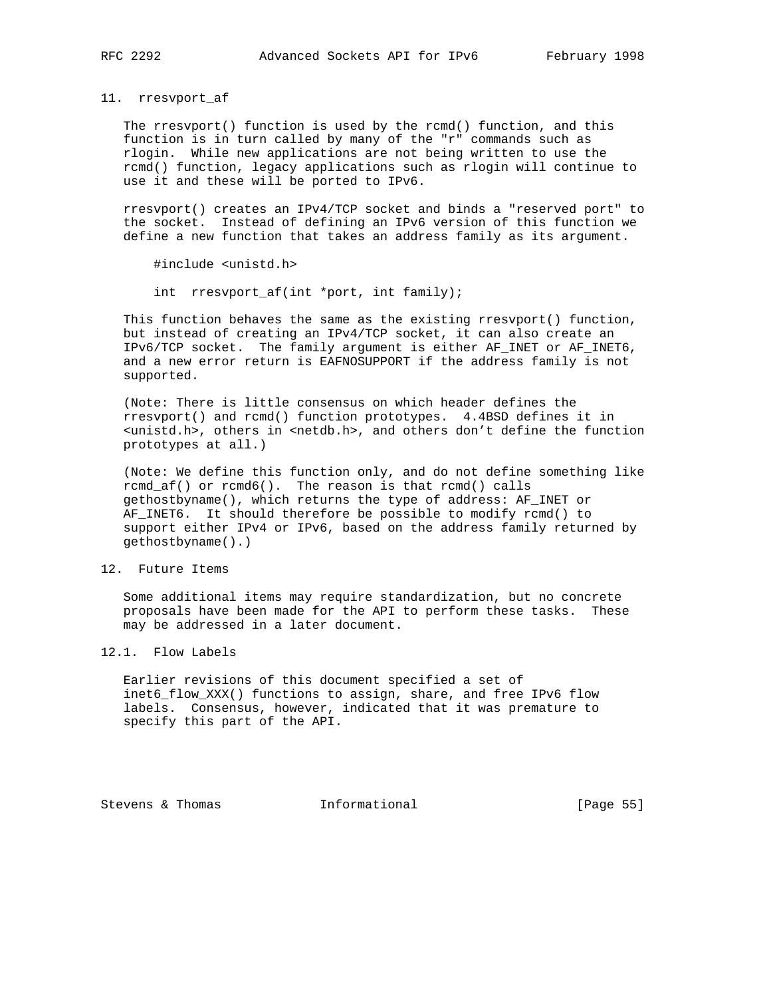11. rresvport\_af

 The rresvport() function is used by the rcmd() function, and this function is in turn called by many of the "r" commands such as rlogin. While new applications are not being written to use the rcmd() function, legacy applications such as rlogin will continue to use it and these will be ported to IPv6.

 rresvport() creates an IPv4/TCP socket and binds a "reserved port" to the socket. Instead of defining an IPv6 version of this function we define a new function that takes an address family as its argument.

#include <unistd.h>

int rresvport\_af(int \*port, int family);

 This function behaves the same as the existing rresvport() function, but instead of creating an IPv4/TCP socket, it can also create an IPv6/TCP socket. The family argument is either AF\_INET or AF\_INET6, and a new error return is EAFNOSUPPORT if the address family is not supported.

 (Note: There is little consensus on which header defines the rresvport() and rcmd() function prototypes. 4.4BSD defines it in <unistd.h>, others in <netdb.h>, and others don't define the function prototypes at all.)

 (Note: We define this function only, and do not define something like rcmd\_af() or rcmd6(). The reason is that rcmd() calls gethostbyname(), which returns the type of address: AF\_INET or AF\_INET6. It should therefore be possible to modify rcmd() to support either IPv4 or IPv6, based on the address family returned by gethostbyname().)

#### 12. Future Items

 Some additional items may require standardization, but no concrete proposals have been made for the API to perform these tasks. These may be addressed in a later document.

12.1. Flow Labels

 Earlier revisions of this document specified a set of inet6\_flow\_XXX() functions to assign, share, and free IPv6 flow labels. Consensus, however, indicated that it was premature to specify this part of the API.

Stevens & Thomas **Informational** [Page 55]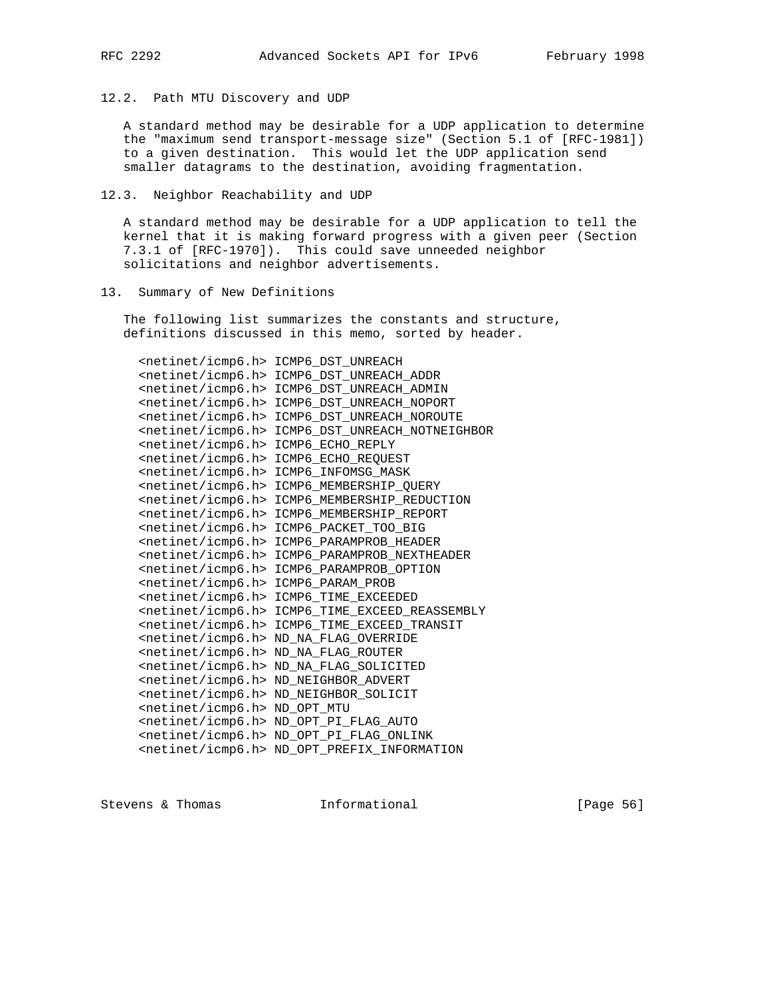# 12.2. Path MTU Discovery and UDP

 A standard method may be desirable for a UDP application to determine the "maximum send transport-message size" (Section 5.1 of [RFC-1981]) to a given destination. This would let the UDP application send smaller datagrams to the destination, avoiding fragmentation.

#### 12.3. Neighbor Reachability and UDP

 A standard method may be desirable for a UDP application to tell the kernel that it is making forward progress with a given peer (Section 7.3.1 of [RFC-1970]). This could save unneeded neighbor solicitations and neighbor advertisements.

## 13. Summary of New Definitions

 The following list summarizes the constants and structure, definitions discussed in this memo, sorted by header.

| <netinet icmp6.h=""></netinet> | ICMP6 DST UNREACH                                        |
|--------------------------------|----------------------------------------------------------|
| <netinet icmp6.h=""></netinet> | ICMP6 DST UNREACH ADDR                                   |
| <netinet icmp6.h=""></netinet> | ICMP6 DST UNREACH ADMIN                                  |
| <netinet icmp6.h=""></netinet> | ICMP6_DST_UNREACH_NOPORT                                 |
| <netinet icmp6.h=""></netinet> | ICMP6 DST UNREACH NOROUTE                                |
| <netinet icmp6.h=""></netinet> | ICMP6 DST UNREACH NOTNEIGHBOR                            |
| <netinet icmp6.h=""></netinet> | ICMP6 ECHO REPLY                                         |
| <netinet icmp6.h=""></netinet> | ICMP6 ECHO REOUEST                                       |
| $netinet/icmp6.h$              | ICMP6 INFOMSG MASK                                       |
| <netinet icmp6.h=""></netinet> | ICMP6 MEMBERSHIP QUERY                                   |
| <netinet icmp6.h=""></netinet> | ICMP6_MEMBERSHIP_REDUCTION                               |
| <netinet icmp6.h=""></netinet> | ICMP6 MEMBERSHIP REPORT                                  |
| <netinet icmp6.h=""></netinet> | ICMP6_PACKET_TOO_BIG                                     |
| <netinet icmp6.h=""></netinet> | ICMP6 PARAMPROB HEADER                                   |
| <netinet icmp6.h=""></netinet> | ICMP6 PARAMPROB NEXTHEADER                               |
| <netinet icmp6.h=""></netinet> | ICMP6 PARAMPROB OPTION                                   |
| <netinet icmp6.h=""></netinet> | ICMP6 PARAM PROB                                         |
| <netinet icmp6.h=""></netinet> | ICMP6 TIME EXCEEDED                                      |
| <netinet icmp6.h=""></netinet> | ICMP6 TIME EXCEED REASSEMBLY                             |
| <netinet icmp6.h=""></netinet> | ICMP6 TIME EXCEED TRANSIT                                |
| <netinet icmp6.h=""></netinet> | ND NA FLAG OVERRIDE                                      |
| <netinet icmp6.h=""></netinet> | ND NA FLAG ROUTER                                        |
| <netinet icmp6.h=""></netinet> | ND NA FLAG SOLICITED                                     |
| <netinet icmp6.h=""></netinet> | ND NEIGHBOR ADVERT                                       |
| <netinet icmp6.h=""></netinet> | ND NEIGHBOR SOLICIT                                      |
| <netinet icmp6.h=""></netinet> | ND OPT MTU                                               |
| <netinet icmp6.h=""></netinet> | ND OPT PI FLAG AUTO                                      |
|                                | <netinet icmp6.h=""> ND_OPT_PI_FLAG_ONLINK</netinet>     |
|                                | <netinet icmp6.h=""> ND_OPT_PREFIX_INFORMATION</netinet> |

Stevens & Thomas **Informational** [Page 56]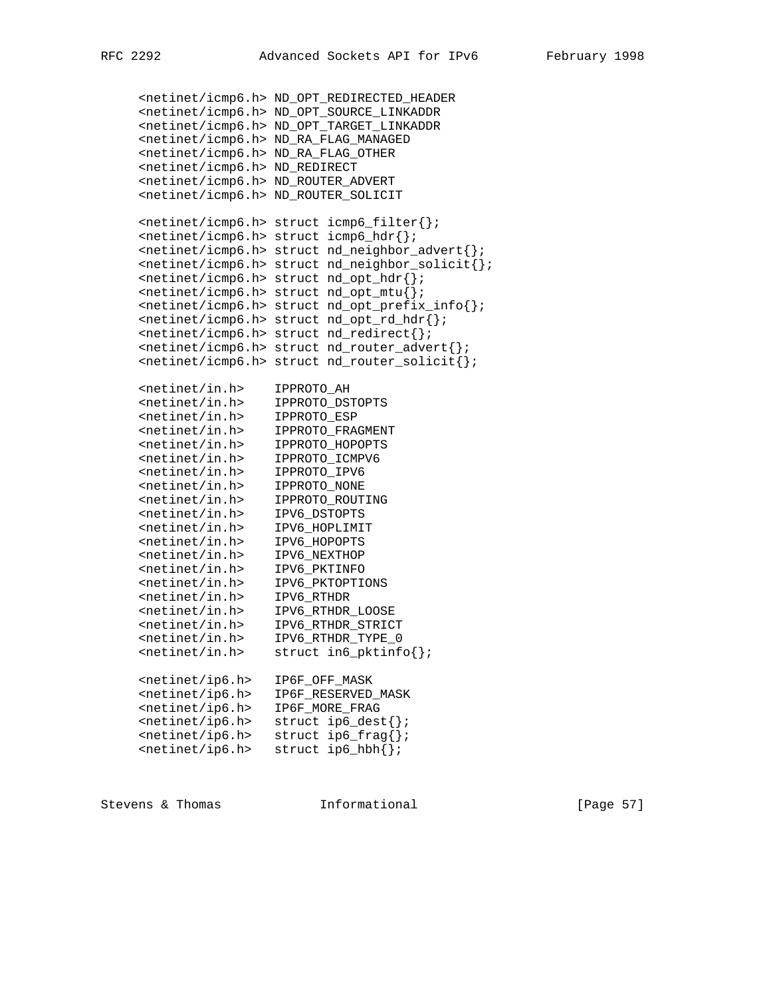```
 <netinet/icmp6.h> ND_OPT_REDIRECTED_HEADER
     <netinet/icmp6.h> ND_OPT_SOURCE_LINKADDR
     <netinet/icmp6.h> ND_OPT_TARGET_LINKADDR
     <netinet/icmp6.h> ND_RA_FLAG_MANAGED
     <netinet/icmp6.h> ND_RA_FLAG_OTHER
     <netinet/icmp6.h> ND_REDIRECT
     <netinet/icmp6.h> ND_ROUTER_ADVERT
     <netinet/icmp6.h> ND_ROUTER_SOLICIT
     <netinet/icmp6.h> struct icmp6_filter{};
     <netinet/icmp6.h> struct icmp6_hdr{};
     <netinet/icmp6.h> struct nd_neighbor_advert{};
     <netinet/icmp6.h> struct nd_neighbor_solicit{};
     <netinet/icmp6.h> struct nd_opt_hdr{};
     <netinet/icmp6.h> struct nd_opt_mtu{};
     <netinet/icmp6.h> struct nd_opt_prefix_info{};
     <netinet/icmp6.h> struct nd_opt_rd_hdr{};
     <netinet/icmp6.h> struct nd_redirect{};
     <netinet/icmp6.h> struct nd_router_advert{};
     <netinet/icmp6.h> struct nd_router_solicit{};
 <netinet/in.h> IPPROTO_AH
 <netinet/in.h> IPPROTO_DSTOPTS
 <netinet/in.h> IPPROTO_ESP
 <netinet/in.h> IPPROTO_FRAGMENT
 <netinet/in.h> IPPROTO_HOPOPTS
 <netinet/in.h> IPPROTO_ICMPV6
 <netinet/in.h> IPPROTO_IPV6
 <netinet/in.h> IPPROTO_NONE
 <netinet/in.h> IPPROTO_ROUTING
 <netinet/in.h> IPV6_DSTOPTS
 <netinet/in.h> IPV6_HOPLIMIT
 <netinet/in.h> IPV6_HOPOPTS
 <netinet/in.h> IPV6_NEXTHOP
 <netinet/in.h> IPV6_PKTINFO
 <netinet/in.h> IPV6_PKTOPTIONS
 <netinet/in.h> IPV6_RTHDR
 <netinet/in.h> IPV6_RTHDR_LOOSE
 <netinet/in.h> IPV6_RTHDR_STRICT
 <netinet/in.h> IPV6_RTHDR_TYPE_0
\verb||| <netinet/in.h> struct in6_pktinfo\{\};
     <netinet/ip6.h> IP6F_OFF_MASK
     <netinet/ip6.h> IP6F_RESERVED_MASK
     <netinet/ip6.h> IP6F_MORE_FRAG
     <netinet/ip6.h> struct ip6_dest{};
\texttt{\\epsilon} / \texttt{ip6.h>} struct ip6_frag{};
 <netinet/ip6.h> struct ip6_hbh{};
```
Stevens & Thomas **Informational** [Page 57]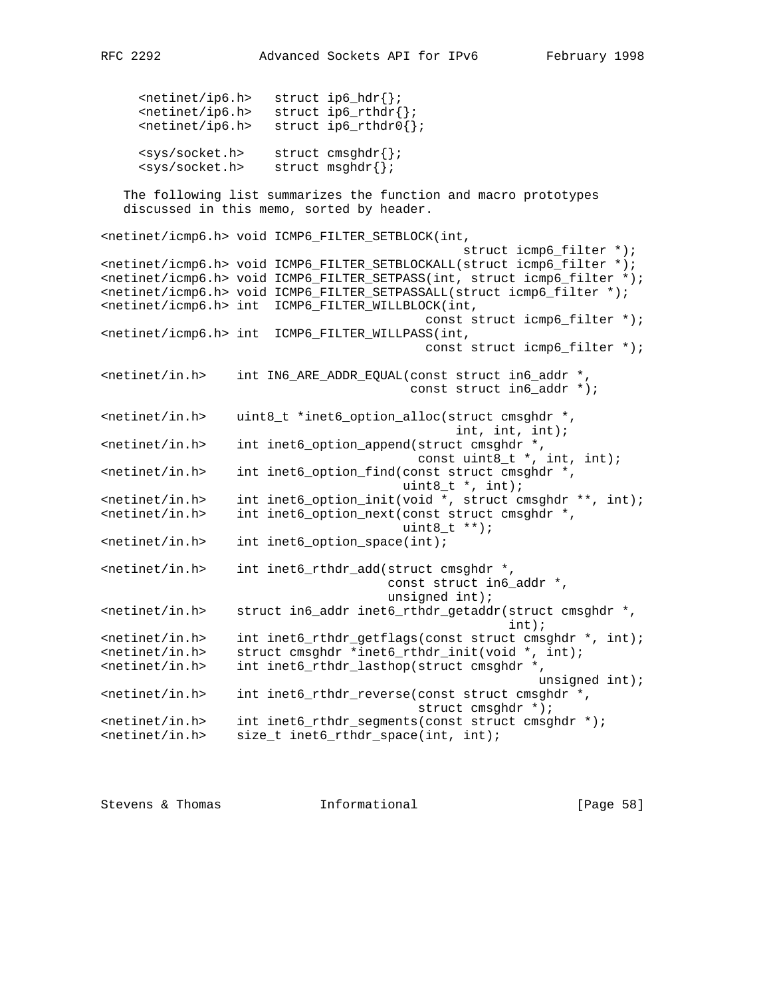<netinet/ip6.h> struct ip6\_hdr{};  $\verb|ip6.h> struct ip6_rthdr{};$  $\verb|||$  <netinet/ip6.h> struct ip6\_rthdr0 $\verb|||$ ; <sys/socket.h> struct cmsghdr{}; <sys/socket.h> struct msghdr{}; The following list summarizes the function and macro prototypes discussed in this memo, sorted by header. <netinet/icmp6.h> void ICMP6\_FILTER\_SETBLOCK(int, struct icmp6\_filter \*); <netinet/icmp6.h> void ICMP6\_FILTER\_SETBLOCKALL(struct icmp6\_filter \*); <netinet/icmp6.h> void ICMP6\_FILTER\_SETPASS(int, struct icmp6\_filter \*); <netinet/icmp6.h> void ICMP6\_FILTER\_SETPASSALL(struct icmp6\_filter \*);

<netinet/icmp6.h> int ICMP6\_FILTER\_WILLBLOCK(int, const struct icmp6\_filter \*); <netinet/icmp6.h> int ICMP6\_FILTER\_WILLPASS(int, const struct icmp6\_filter \*); <netinet/in.h> int IN6\_ARE\_ADDR\_EQUAL(const struct in6\_addr \*, const struct in6\_addr \*);  $\epsilon$  <netinet/in.h> uint8\_t \*inet6\_option\_alloc(struct cmsghdr \*, int, int, int); <netinet/in.h> int inet6\_option\_append(struct cmsghdr \*, const uint8\_t \*, int, int); <netinet/in.h> int inet6\_option\_find(const struct cmsghdr \*, uint $8_t$  \*, int);  $\mathsf{I}$  <netinet/in.h> int inet6\_option\_init(void \*, struct cmsghdr \*\*, int); <netinet/in.h> int inet6\_option\_next(const struct cmsghdr \*, uint $8_t$  \*\*); <netinet/in.h> int inet6\_option\_space(int); <netinet/in.h> int inet6\_rthdr\_add(struct cmsghdr \*, const struct in6\_addr \*, unsigned int); <netinet/in.h> struct in6\_addr inet6\_rthdr\_getaddr(struct cmsghdr \*, int); <netinet/in.h> int inet6\_rthdr\_getflags(const struct cmsghdr \*, int); <netinet/in.h> struct cmsghdr \*inet6\_rthdr\_init(void \*, int); <netinet/in.h> int inet6\_rthdr\_lasthop(struct cmsghdr \*, unsigned int); <netinet/in.h> int inet6\_rthdr\_reverse(const struct cmsghdr \*, struct cmsghdr \*); <netinet/in.h> int inet6\_rthdr\_segments(const struct cmsghdr \*); <netinet/in.h> size\_t inet6\_rthdr\_space(int, int);

Stevens & Thomas **Informational** [Page 58]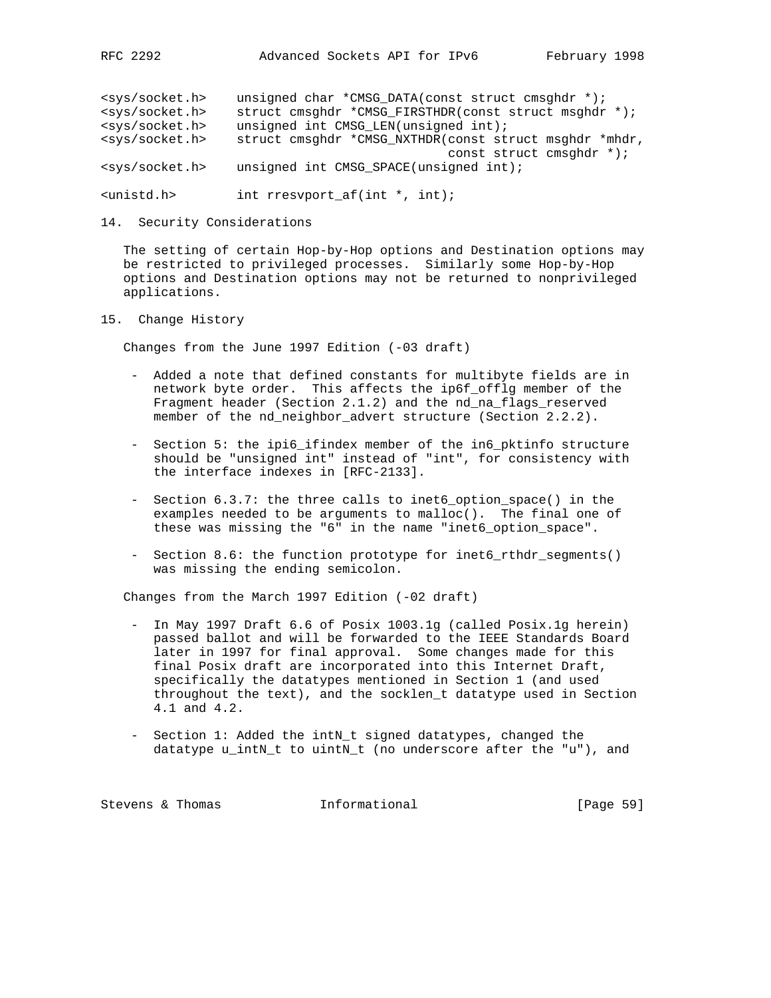| <sys socket.h=""></sys> | unsigned char *CMSG DATA(const struct cmsghdr *);      |  |  |  |  |
|-------------------------|--------------------------------------------------------|--|--|--|--|
| <sys socket.h=""></sys> | struct cmsghdr *CMSG FIRSTHDR(const struct msghdr *);  |  |  |  |  |
| <sys socket.h=""></sys> | unsigned int CMSG LEN(unsigned int);                   |  |  |  |  |
| <sys socket.h=""></sys> | struct cmsghdr *CMSG_NXTHDR(const struct msghdr *mhdr, |  |  |  |  |
|                         | const struct cmsqhdr $*$ );                            |  |  |  |  |
| <sys socket.h=""></sys> | unsigned int CMSG SPACE(unsigned int);                 |  |  |  |  |

<unistd.h> int rresvport\_af(int \*, int);

14. Security Considerations

 The setting of certain Hop-by-Hop options and Destination options may be restricted to privileged processes. Similarly some Hop-by-Hop options and Destination options may not be returned to nonprivileged applications.

15. Change History

Changes from the June 1997 Edition (-03 draft)

- Added a note that defined constants for multibyte fields are in network byte order. This affects the ip6f\_offlg member of the Fragment header (Section 2.1.2) and the nd\_na\_flags\_reserved member of the nd\_neighbor\_advert structure (Section 2.2.2).
- Section 5: the ipi6\_ifindex member of the in6\_pktinfo structure should be "unsigned int" instead of "int", for consistency with the interface indexes in [RFC-2133].
- Section 6.3.7: the three calls to inet6\_option\_space() in the examples needed to be arguments to malloc(). The final one of these was missing the "6" in the name "inet6\_option\_space".
- Section 8.6: the function prototype for inet6\_rthdr\_segments() was missing the ending semicolon.

Changes from the March 1997 Edition (-02 draft)

- In May 1997 Draft 6.6 of Posix 1003.1g (called Posix.1g herein) passed ballot and will be forwarded to the IEEE Standards Board later in 1997 for final approval. Some changes made for this final Posix draft are incorporated into this Internet Draft, specifically the datatypes mentioned in Section 1 (and used throughout the text), and the socklen\_t datatype used in Section 4.1 and 4.2.
- Section 1: Added the intN\_t signed datatypes, changed the datatype u\_intN\_t to uintN\_t (no underscore after the "u"), and

| Stevens & Thomas |  |  | Informational | [Page 59] |
|------------------|--|--|---------------|-----------|
|------------------|--|--|---------------|-----------|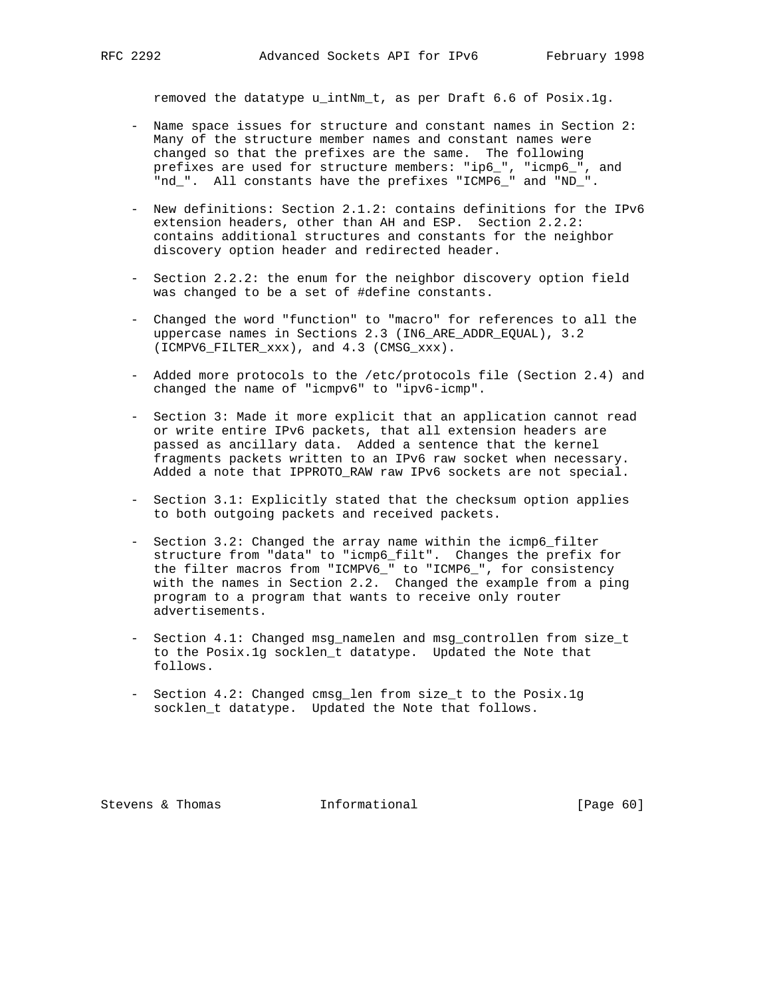removed the datatype u\_intNm\_t, as per Draft 6.6 of Posix.1g.

- Name space issues for structure and constant names in Section 2: Many of the structure member names and constant names were changed so that the prefixes are the same. The following prefixes are used for structure members: "ip6\_", "icmp6\_", and "nd\_". All constants have the prefixes "ICMP6\_" and "ND\_".
- New definitions: Section 2.1.2: contains definitions for the IPv6 extension headers, other than AH and ESP. Section 2.2.2: contains additional structures and constants for the neighbor discovery option header and redirected header.
- Section 2.2.2: the enum for the neighbor discovery option field was changed to be a set of #define constants.
- Changed the word "function" to "macro" for references to all the uppercase names in Sections 2.3 (IN6\_ARE\_ADDR\_EQUAL), 3.2 (ICMPV6\_FILTER\_xxx), and 4.3 (CMSG\_xxx).
- Added more protocols to the /etc/protocols file (Section 2.4) and changed the name of "icmpv6" to "ipv6-icmp".
- Section 3: Made it more explicit that an application cannot read or write entire IPv6 packets, that all extension headers are passed as ancillary data. Added a sentence that the kernel fragments packets written to an IPv6 raw socket when necessary. Added a note that IPPROTO\_RAW raw IPv6 sockets are not special.
- Section 3.1: Explicitly stated that the checksum option applies to both outgoing packets and received packets.
- Section 3.2: Changed the array name within the icmp6\_filter structure from "data" to "icmp6\_filt". Changes the prefix for the filter macros from "ICMPV6\_" to "ICMP6\_", for consistency with the names in Section 2.2. Changed the example from a ping program to a program that wants to receive only router advertisements.
	- Section 4.1: Changed msg\_namelen and msg\_controllen from size\_t to the Posix.1g socklen\_t datatype. Updated the Note that follows.
	- Section 4.2: Changed cmsg\_len from size\_t to the Posix.1g socklen\_t datatype. Updated the Note that follows.

Stevens & Thomas **Informational** [Page 60]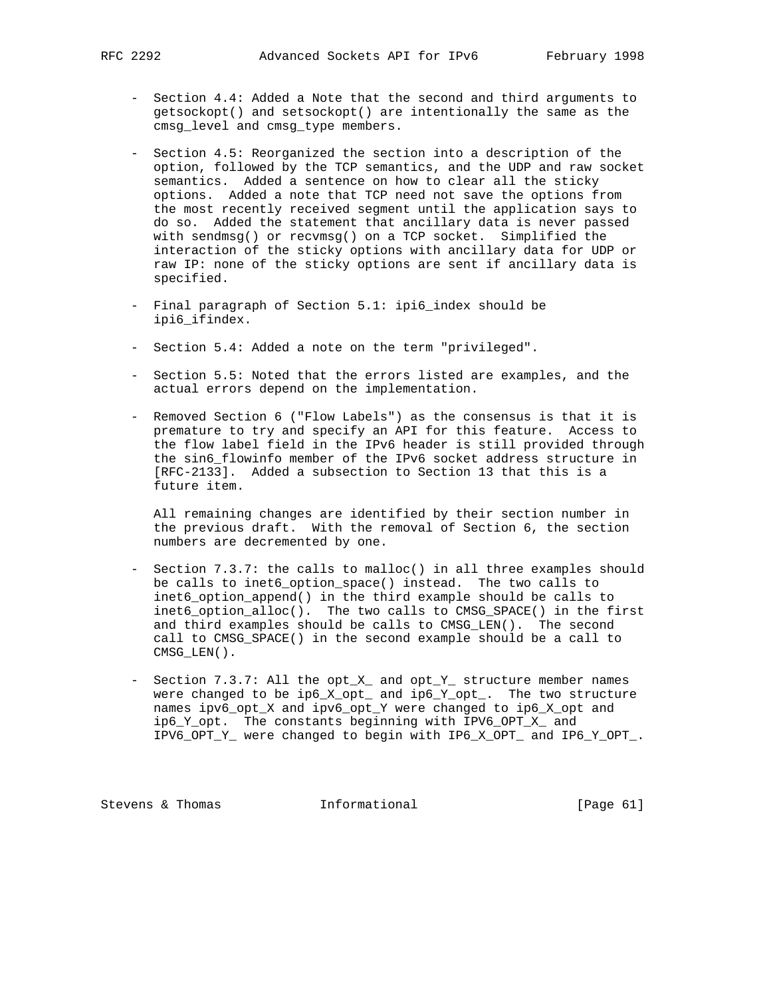- Section 4.4: Added a Note that the second and third arguments to getsockopt() and setsockopt() are intentionally the same as the cmsg\_level and cmsg\_type members.
- Section 4.5: Reorganized the section into a description of the option, followed by the TCP semantics, and the UDP and raw socket semantics. Added a sentence on how to clear all the sticky options. Added a note that TCP need not save the options from the most recently received segment until the application says to do so. Added the statement that ancillary data is never passed with sendmsg() or recvmsg() on a TCP socket. Simplified the interaction of the sticky options with ancillary data for UDP or raw IP: none of the sticky options are sent if ancillary data is specified.
- Final paragraph of Section 5.1: ipi6\_index should be ipi6\_ifindex.
- Section 5.4: Added a note on the term "privileged".
- Section 5.5: Noted that the errors listed are examples, and the actual errors depend on the implementation.
- Removed Section 6 ("Flow Labels") as the consensus is that it is premature to try and specify an API for this feature. Access to the flow label field in the IPv6 header is still provided through the sin6\_flowinfo member of the IPv6 socket address structure in [RFC-2133]. Added a subsection to Section 13 that this is a future item.

 All remaining changes are identified by their section number in the previous draft. With the removal of Section 6, the section numbers are decremented by one.

- Section 7.3.7: the calls to malloc() in all three examples should be calls to inet6\_option\_space() instead. The two calls to inet6\_option\_append() in the third example should be calls to inet6\_option\_alloc(). The two calls to CMSG\_SPACE() in the first and third examples should be calls to CMSG\_LEN(). The second call to CMSG\_SPACE() in the second example should be a call to CMSG\_LEN().
- Section 7.3.7: All the opt\_X\_ and opt\_Y\_ structure member names were changed to be ip6\_X\_opt\_ and ip6\_Y\_opt\_. The two structure names ipv6\_opt\_X and ipv6\_opt\_Y were changed to ip6\_X\_opt and ip6\_Y\_opt. The constants beginning with IPV6\_OPT\_X\_ and IPV6\_OPT\_Y\_ were changed to begin with IP6\_X\_OPT\_ and IP6\_Y\_OPT\_.

Stevens & Thomas **Informational** [Page 61]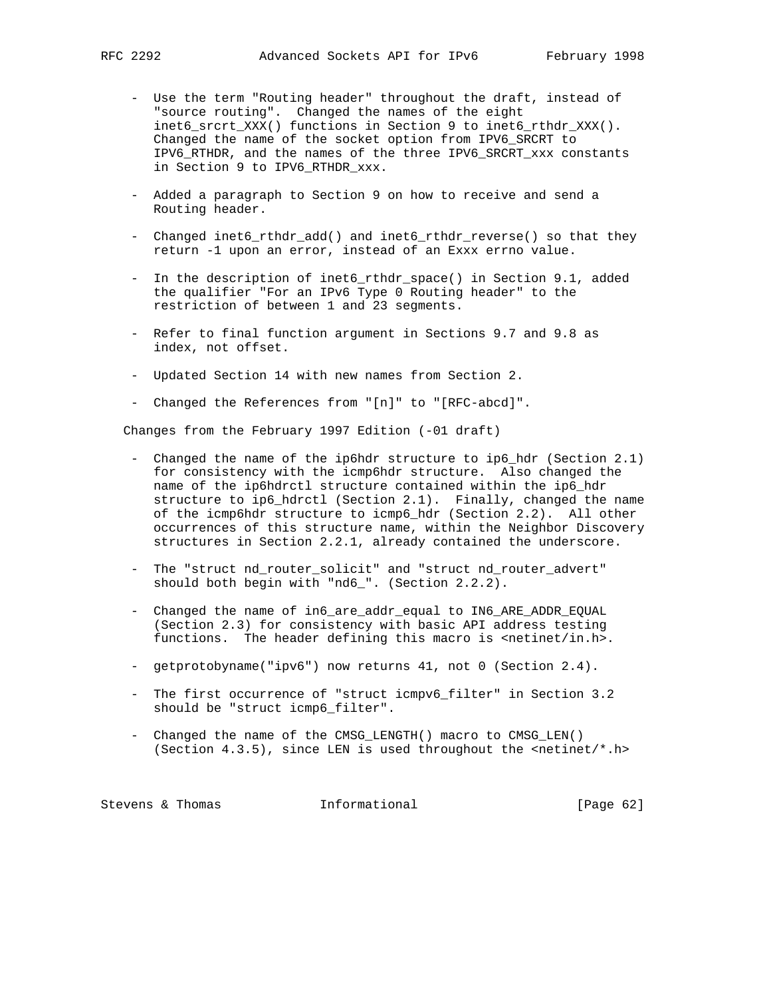- Use the term "Routing header" throughout the draft, instead of "source routing". Changed the names of the eight inet6\_srcrt\_XXX() functions in Section 9 to inet6\_rthdr\_XXX(). Changed the name of the socket option from IPV6\_SRCRT to IPV6\_RTHDR, and the names of the three IPV6\_SRCRT\_xxx constants in Section 9 to IPV6\_RTHDR\_xxx.
- Added a paragraph to Section 9 on how to receive and send a Routing header.
- Changed inet6\_rthdr\_add() and inet6\_rthdr\_reverse() so that they return -1 upon an error, instead of an Exxx errno value.
- In the description of inet6\_rthdr\_space() in Section 9.1, added the qualifier "For an IPv6 Type 0 Routing header" to the restriction of between 1 and 23 segments.
- Refer to final function argument in Sections 9.7 and 9.8 as index, not offset.
- Updated Section 14 with new names from Section 2.
- Changed the References from "[n]" to "[RFC-abcd]".

Changes from the February 1997 Edition (-01 draft)

- Changed the name of the ip6hdr structure to ip6\_hdr (Section 2.1) for consistency with the icmp6hdr structure. Also changed the name of the ip6hdrctl structure contained within the ip6\_hdr structure to ip6\_hdrctl (Section 2.1). Finally, changed the name of the icmp6hdr structure to icmp6\_hdr (Section 2.2). All other occurrences of this structure name, within the Neighbor Discovery structures in Section 2.2.1, already contained the underscore.
- The "struct nd\_router\_solicit" and "struct nd\_router\_advert" should both begin with "nd6\_". (Section 2.2.2).
- Changed the name of in6\_are\_addr\_equal to IN6\_ARE\_ADDR\_EQUAL (Section 2.3) for consistency with basic API address testing functions. The header defining this macro is  $\epsilon$ netinet/in.h>.
- getprotobyname("ipv6") now returns 41, not 0 (Section 2.4).
- The first occurrence of "struct icmpv6\_filter" in Section 3.2 should be "struct icmp6\_filter".
- Changed the name of the CMSG\_LENGTH() macro to CMSG\_LEN() (Section  $4.3.5$ ), since LEN is used throughout the <netinet/\*.h>

Stevens & Thomas **Informational** [Page 62]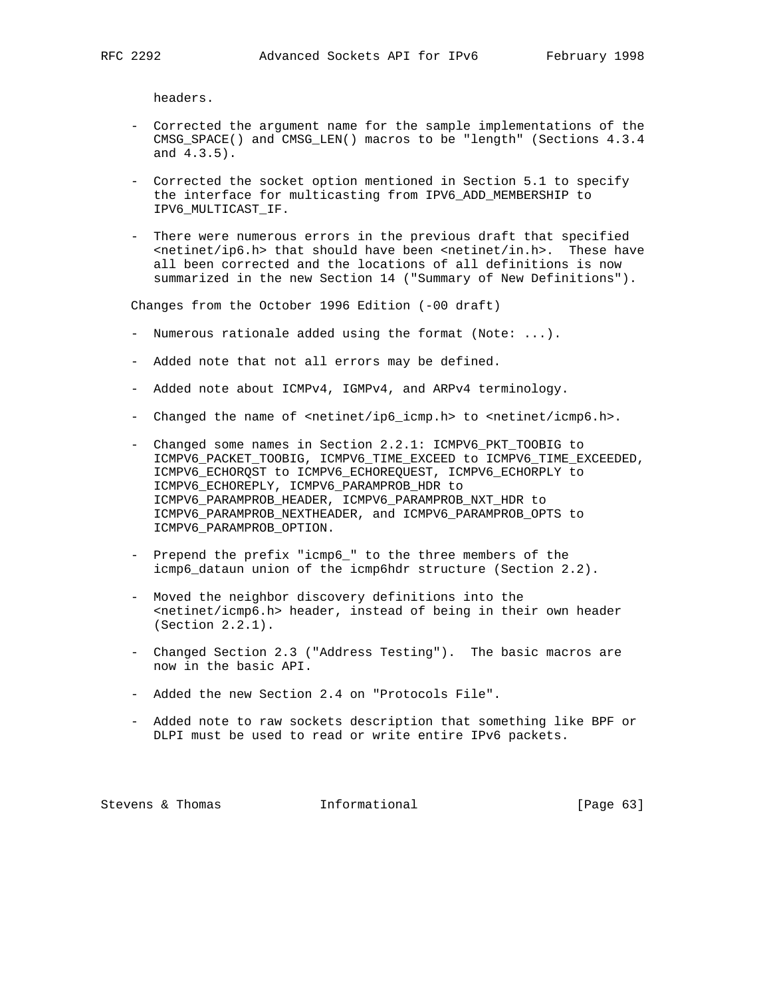headers.

- Corrected the argument name for the sample implementations of the CMSG\_SPACE() and CMSG\_LEN() macros to be "length" (Sections 4.3.4 and 4.3.5).
- Corrected the socket option mentioned in Section 5.1 to specify the interface for multicasting from IPV6\_ADD\_MEMBERSHIP to IPV6\_MULTICAST\_IF.
- There were numerous errors in the previous draft that specified <netinet/ip6.h> that should have been <netinet/in.h>. These have all been corrected and the locations of all definitions is now summarized in the new Section 14 ("Summary of New Definitions").

Changes from the October 1996 Edition (-00 draft)

- Numerous rationale added using the format (Note: ...).
- Added note that not all errors may be defined.
- Added note about ICMPv4, IGMPv4, and ARPv4 terminology.
- Changed the name of <netinet/ip6\_icmp.h> to <netinet/icmp6.h>.
- Changed some names in Section 2.2.1: ICMPV6\_PKT\_TOOBIG to ICMPV6\_PACKET\_TOOBIG, ICMPV6\_TIME\_EXCEED to ICMPV6\_TIME\_EXCEEDED, ICMPV6\_ECHORQST to ICMPV6\_ECHOREQUEST, ICMPV6\_ECHORPLY to ICMPV6\_ECHOREPLY, ICMPV6\_PARAMPROB\_HDR to ICMPV6\_PARAMPROB\_HEADER, ICMPV6\_PARAMPROB\_NXT\_HDR to ICMPV6\_PARAMPROB\_NEXTHEADER, and ICMPV6\_PARAMPROB\_OPTS to ICMPV6\_PARAMPROB\_OPTION.
- Prepend the prefix "icmp6\_" to the three members of the icmp6\_dataun union of the icmp6hdr structure (Section 2.2).
- Moved the neighbor discovery definitions into the <netinet/icmp6.h> header, instead of being in their own header (Section 2.2.1).
- Changed Section 2.3 ("Address Testing"). The basic macros are now in the basic API.
- Added the new Section 2.4 on "Protocols File".
- Added note to raw sockets description that something like BPF or DLPI must be used to read or write entire IPv6 packets.

Stevens & Thomas **Informational** [Page 63]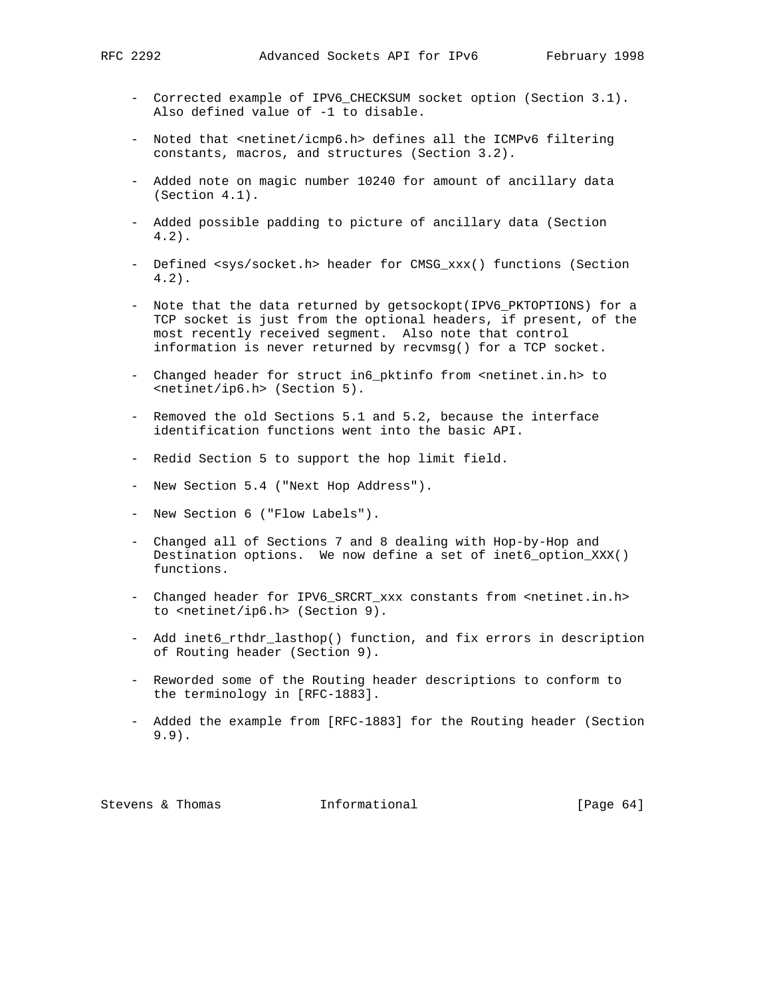- Corrected example of IPV6\_CHECKSUM socket option (Section 3.1). Also defined value of -1 to disable.
- Noted that <netinet/icmp6.h> defines all the ICMPv6 filtering constants, macros, and structures (Section 3.2).
- Added note on magic number 10240 for amount of ancillary data (Section 4.1).
- Added possible padding to picture of ancillary data (Section 4.2).
- Defined <sys/socket.h> header for CMSG\_xxx() functions (Section 4.2).
- Note that the data returned by getsockopt(IPV6\_PKTOPTIONS) for a TCP socket is just from the optional headers, if present, of the most recently received segment. Also note that control information is never returned by recvmsg() for a TCP socket.
- Changed header for struct in6\_pktinfo from <netinet.in.h> to <netinet/ip6.h> (Section 5).
- Removed the old Sections 5.1 and 5.2, because the interface identification functions went into the basic API.
- Redid Section 5 to support the hop limit field.
- New Section 5.4 ("Next Hop Address").
- New Section 6 ("Flow Labels").
- Changed all of Sections 7 and 8 dealing with Hop-by-Hop and Destination options. We now define a set of inet6\_option\_XXX() functions.
- Changed header for IPV6\_SRCRT\_xxx constants from <netinet.in.h> to <netinet/ip6.h> (Section 9).
- Add inet6 rthdr lasthop() function, and fix errors in description of Routing header (Section 9).
- Reworded some of the Routing header descriptions to conform to the terminology in [RFC-1883].
- Added the example from [RFC-1883] for the Routing header (Section 9.9).

Stevens & Thomas **Informational** [Page 64]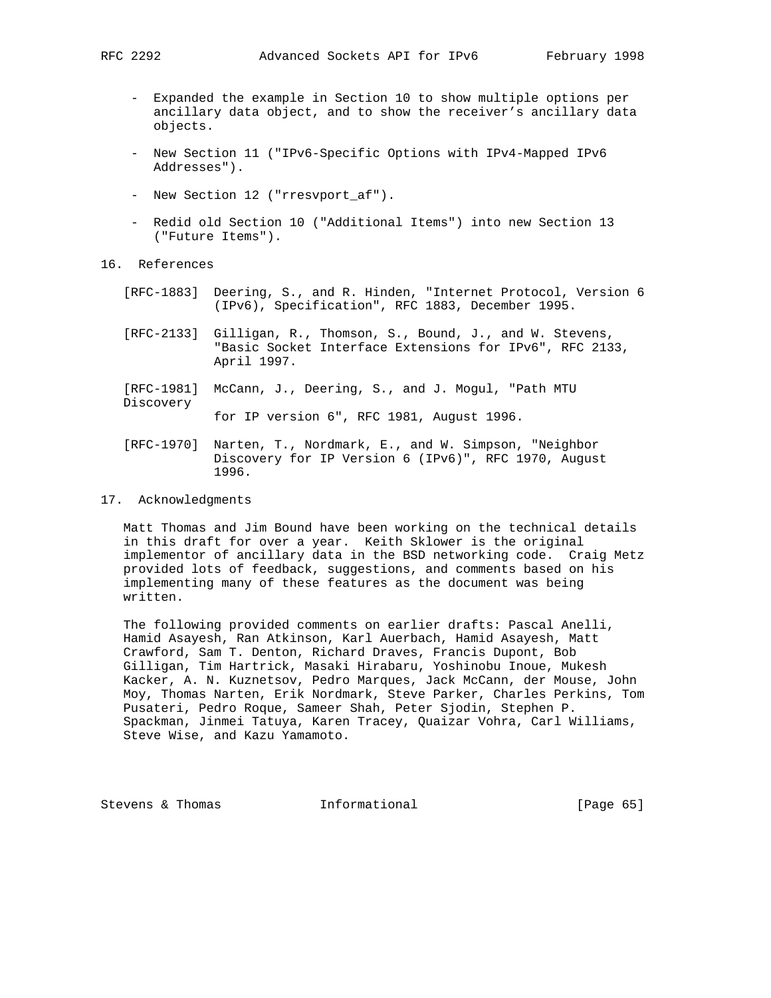- Expanded the example in Section 10 to show multiple options per ancillary data object, and to show the receiver's ancillary data objects.
- New Section 11 ("IPv6-Specific Options with IPv4-Mapped IPv6 Addresses").
- New Section 12 ("rresvport\_af").
- Redid old Section 10 ("Additional Items") into new Section 13 ("Future Items").
- 16. References
	- [RFC-1883] Deering, S., and R. Hinden, "Internet Protocol, Version 6 (IPv6), Specification", RFC 1883, December 1995.
	- [RFC-2133] Gilligan, R., Thomson, S., Bound, J., and W. Stevens, "Basic Socket Interface Extensions for IPv6", RFC 2133, April 1997.
	- [RFC-1981] McCann, J., Deering, S., and J. Mogul, "Path MTU Discovery

for IP version 6", RFC 1981, August 1996.

 [RFC-1970] Narten, T., Nordmark, E., and W. Simpson, "Neighbor Discovery for IP Version 6 (IPv6)", RFC 1970, August 1996.

## 17. Acknowledgments

 Matt Thomas and Jim Bound have been working on the technical details in this draft for over a year. Keith Sklower is the original implementor of ancillary data in the BSD networking code. Craig Metz provided lots of feedback, suggestions, and comments based on his implementing many of these features as the document was being written.

 The following provided comments on earlier drafts: Pascal Anelli, Hamid Asayesh, Ran Atkinson, Karl Auerbach, Hamid Asayesh, Matt Crawford, Sam T. Denton, Richard Draves, Francis Dupont, Bob Gilligan, Tim Hartrick, Masaki Hirabaru, Yoshinobu Inoue, Mukesh Kacker, A. N. Kuznetsov, Pedro Marques, Jack McCann, der Mouse, John Moy, Thomas Narten, Erik Nordmark, Steve Parker, Charles Perkins, Tom Pusateri, Pedro Roque, Sameer Shah, Peter Sjodin, Stephen P. Spackman, Jinmei Tatuya, Karen Tracey, Quaizar Vohra, Carl Williams, Steve Wise, and Kazu Yamamoto.

Stevens & Thomas **Informational** [Page 65]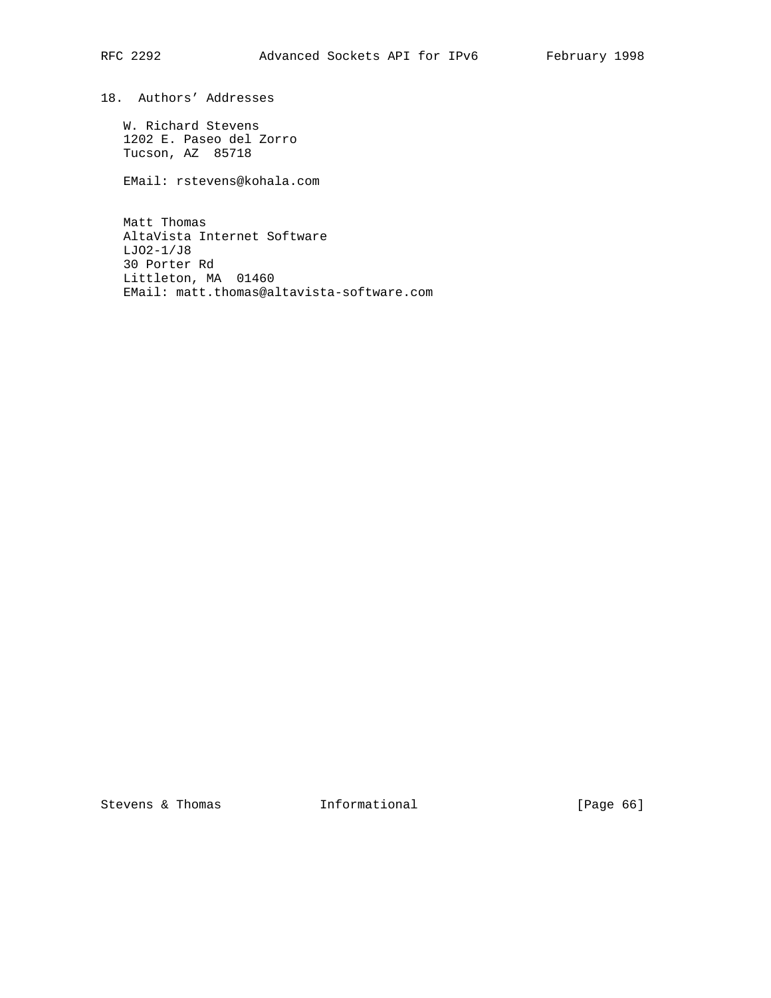18. Authors' Addresses

 W. Richard Stevens 1202 E. Paseo del Zorro Tucson, AZ 85718

EMail: rstevens@kohala.com

 Matt Thomas AltaVista Internet Software LJO2-1/J8 30 Porter Rd Littleton, MA 01460 EMail: matt.thomas@altavista-software.com